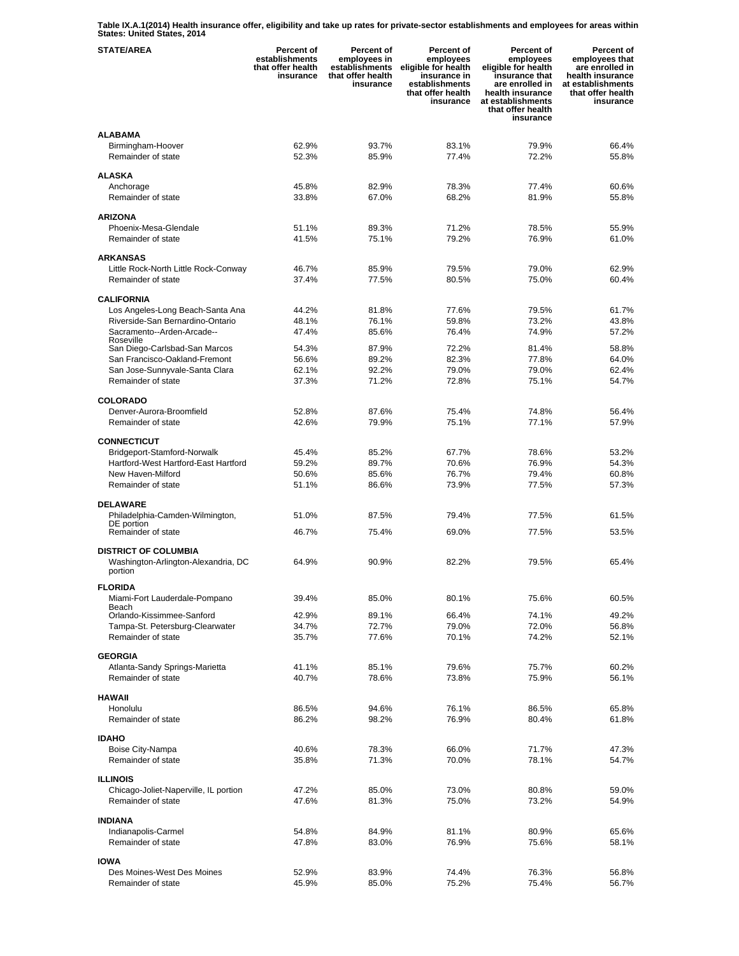**Table IX.A.1(2014) Health insurance offer, eligibility and take up rates for private-sector establishments and employees for areas within States: United States, 2014** 

| <b>STATE/AREA</b>                                    | <b>Percent of</b><br>establishments<br>that offer health<br>insurance | <b>Percent of</b><br>employees in<br>establishments<br>that offer health<br>insurance | Percent of<br>employees<br>eligible for health<br>insurance in<br>establishments<br>that offer health<br>insurance | <b>Percent of</b><br>employees<br>eligible for health<br>insurance that<br>are enrolled in<br>health insurance<br>at establishments<br>that offer health<br>insurance | Percent of<br>employees that<br>are enrolled in<br>health insurance<br>at establishments<br>that offer health<br>insurance |
|------------------------------------------------------|-----------------------------------------------------------------------|---------------------------------------------------------------------------------------|--------------------------------------------------------------------------------------------------------------------|-----------------------------------------------------------------------------------------------------------------------------------------------------------------------|----------------------------------------------------------------------------------------------------------------------------|
| <b>ALABAMA</b>                                       |                                                                       |                                                                                       |                                                                                                                    |                                                                                                                                                                       |                                                                                                                            |
| Birmingham-Hoover<br>Remainder of state              | 62.9%<br>52.3%                                                        | 93.7%<br>85.9%                                                                        | 83.1%<br>77.4%                                                                                                     | 79.9%<br>72.2%                                                                                                                                                        | 66.4%<br>55.8%                                                                                                             |
| <b>ALASKA</b>                                        |                                                                       |                                                                                       |                                                                                                                    |                                                                                                                                                                       |                                                                                                                            |
| Anchorage                                            | 45.8%                                                                 | 82.9%                                                                                 | 78.3%                                                                                                              | 77.4%                                                                                                                                                                 | 60.6%                                                                                                                      |
| Remainder of state                                   | 33.8%                                                                 | 67.0%                                                                                 | 68.2%                                                                                                              | 81.9%                                                                                                                                                                 | 55.8%                                                                                                                      |
|                                                      |                                                                       |                                                                                       |                                                                                                                    |                                                                                                                                                                       |                                                                                                                            |
| <b>ARIZONA</b>                                       |                                                                       |                                                                                       | 71.2%                                                                                                              |                                                                                                                                                                       |                                                                                                                            |
| Phoenix-Mesa-Glendale<br>Remainder of state          | 51.1%<br>41.5%                                                        | 89.3%<br>75.1%                                                                        | 79.2%                                                                                                              | 78.5%<br>76.9%                                                                                                                                                        | 55.9%<br>61.0%                                                                                                             |
|                                                      |                                                                       |                                                                                       |                                                                                                                    |                                                                                                                                                                       |                                                                                                                            |
| <b>ARKANSAS</b>                                      |                                                                       |                                                                                       |                                                                                                                    |                                                                                                                                                                       |                                                                                                                            |
| Little Rock-North Little Rock-Conway                 | 46.7%                                                                 | 85.9%                                                                                 | 79.5%                                                                                                              | 79.0%                                                                                                                                                                 | 62.9%                                                                                                                      |
| Remainder of state                                   | 37.4%                                                                 | 77.5%                                                                                 | 80.5%                                                                                                              | 75.0%                                                                                                                                                                 | 60.4%                                                                                                                      |
| <b>CALIFORNIA</b>                                    |                                                                       |                                                                                       |                                                                                                                    |                                                                                                                                                                       |                                                                                                                            |
| Los Angeles-Long Beach-Santa Ana                     | 44.2%                                                                 | 81.8%                                                                                 | 77.6%                                                                                                              | 79.5%                                                                                                                                                                 | 61.7%                                                                                                                      |
| Riverside-San Bernardino-Ontario                     | 48.1%                                                                 | 76.1%                                                                                 | 59.8%                                                                                                              | 73.2%                                                                                                                                                                 | 43.8%                                                                                                                      |
| Sacramento--Arden-Arcade--<br>Roseville              | 47.4%                                                                 | 85.6%                                                                                 | 76.4%                                                                                                              | 74.9%                                                                                                                                                                 | 57.2%                                                                                                                      |
| San Diego-Carlsbad-San Marcos                        | 54.3%                                                                 | 87.9%                                                                                 | 72.2%                                                                                                              | 81.4%                                                                                                                                                                 | 58.8%                                                                                                                      |
| San Francisco-Oakland-Fremont                        | 56.6%                                                                 | 89.2%                                                                                 | 82.3%                                                                                                              | 77.8%                                                                                                                                                                 | 64.0%                                                                                                                      |
| San Jose-Sunnyvale-Santa Clara                       | 62.1%                                                                 | 92.2%                                                                                 | 79.0%                                                                                                              | 79.0%                                                                                                                                                                 | 62.4%                                                                                                                      |
| Remainder of state                                   | 37.3%                                                                 | 71.2%                                                                                 | 72.8%                                                                                                              | 75.1%                                                                                                                                                                 | 54.7%                                                                                                                      |
| <b>COLORADO</b>                                      |                                                                       |                                                                                       |                                                                                                                    |                                                                                                                                                                       |                                                                                                                            |
| Denver-Aurora-Broomfield                             | 52.8%                                                                 | 87.6%                                                                                 | 75.4%                                                                                                              | 74.8%                                                                                                                                                                 | 56.4%                                                                                                                      |
| Remainder of state                                   | 42.6%                                                                 | 79.9%                                                                                 | 75.1%                                                                                                              | 77.1%                                                                                                                                                                 | 57.9%                                                                                                                      |
|                                                      |                                                                       |                                                                                       |                                                                                                                    |                                                                                                                                                                       |                                                                                                                            |
| <b>CONNECTICUT</b><br>Bridgeport-Stamford-Norwalk    | 45.4%                                                                 | 85.2%                                                                                 | 67.7%                                                                                                              | 78.6%                                                                                                                                                                 | 53.2%                                                                                                                      |
| Hartford-West Hartford-East Hartford                 | 59.2%                                                                 | 89.7%                                                                                 | 70.6%                                                                                                              | 76.9%                                                                                                                                                                 | 54.3%                                                                                                                      |
| New Haven-Milford                                    | 50.6%                                                                 | 85.6%                                                                                 | 76.7%                                                                                                              | 79.4%                                                                                                                                                                 | 60.8%                                                                                                                      |
| Remainder of state                                   | 51.1%                                                                 | 86.6%                                                                                 | 73.9%                                                                                                              | 77.5%                                                                                                                                                                 | 57.3%                                                                                                                      |
|                                                      |                                                                       |                                                                                       |                                                                                                                    |                                                                                                                                                                       |                                                                                                                            |
| <b>DELAWARE</b><br>Philadelphia-Camden-Wilmington,   | 51.0%                                                                 | 87.5%                                                                                 | 79.4%                                                                                                              | 77.5%                                                                                                                                                                 | 61.5%                                                                                                                      |
| DE portion                                           |                                                                       |                                                                                       |                                                                                                                    |                                                                                                                                                                       |                                                                                                                            |
| Remainder of state                                   | 46.7%                                                                 | 75.4%                                                                                 | 69.0%                                                                                                              | 77.5%                                                                                                                                                                 | 53.5%                                                                                                                      |
| <b>DISTRICT OF COLUMBIA</b>                          |                                                                       |                                                                                       |                                                                                                                    |                                                                                                                                                                       |                                                                                                                            |
| Washington-Arlington-Alexandria, DC<br>portion       | 64.9%                                                                 | 90.9%                                                                                 | 82.2%                                                                                                              | 79.5%                                                                                                                                                                 | 65.4%                                                                                                                      |
| <b>FLORIDA</b>                                       |                                                                       |                                                                                       |                                                                                                                    |                                                                                                                                                                       |                                                                                                                            |
| Miami-Fort Lauderdale-Pompano                        | 39.4%                                                                 | 85.0%                                                                                 | 80.1%                                                                                                              | 75.6%                                                                                                                                                                 | 60.5%                                                                                                                      |
| Beach<br>Orlando-Kissimmee-Sanford                   | 42.9%                                                                 | 89.1%                                                                                 | 66.4%                                                                                                              | 74.1%                                                                                                                                                                 | 49.2%                                                                                                                      |
| Tampa-St. Petersburg-Clearwater                      | 34.7%                                                                 | 72.7%                                                                                 | 79.0%                                                                                                              | 72.0%                                                                                                                                                                 | 56.8%                                                                                                                      |
| Remainder of state                                   | 35.7%                                                                 | 77.6%                                                                                 | 70.1%                                                                                                              | 74.2%                                                                                                                                                                 | 52.1%                                                                                                                      |
|                                                      |                                                                       |                                                                                       |                                                                                                                    |                                                                                                                                                                       |                                                                                                                            |
| <b>GEORGIA</b>                                       |                                                                       |                                                                                       |                                                                                                                    |                                                                                                                                                                       |                                                                                                                            |
| Atlanta-Sandy Springs-Marietta<br>Remainder of state | 41.1%<br>40.7%                                                        | 85.1%<br>78.6%                                                                        | 79.6%<br>73.8%                                                                                                     | 75.7%<br>75.9%                                                                                                                                                        | 60.2%<br>56.1%                                                                                                             |
|                                                      |                                                                       |                                                                                       |                                                                                                                    |                                                                                                                                                                       |                                                                                                                            |
| <b>HAWAII</b>                                        |                                                                       |                                                                                       |                                                                                                                    |                                                                                                                                                                       |                                                                                                                            |
| Honolulu                                             | 86.5%                                                                 | 94.6%                                                                                 | 76.1%                                                                                                              | 86.5%                                                                                                                                                                 | 65.8%                                                                                                                      |
| Remainder of state                                   | 86.2%                                                                 | 98.2%                                                                                 | 76.9%                                                                                                              | 80.4%                                                                                                                                                                 | 61.8%                                                                                                                      |
| <b>IDAHO</b>                                         |                                                                       |                                                                                       |                                                                                                                    |                                                                                                                                                                       |                                                                                                                            |
| Boise City-Nampa                                     | 40.6%                                                                 | 78.3%                                                                                 | 66.0%                                                                                                              | 71.7%                                                                                                                                                                 | 47.3%                                                                                                                      |
| Remainder of state                                   | 35.8%                                                                 | 71.3%                                                                                 | 70.0%                                                                                                              | 78.1%                                                                                                                                                                 | 54.7%                                                                                                                      |
| <b>ILLINOIS</b>                                      |                                                                       |                                                                                       |                                                                                                                    |                                                                                                                                                                       |                                                                                                                            |
| Chicago-Joliet-Naperville, IL portion                | 47.2%                                                                 | 85.0%                                                                                 | 73.0%                                                                                                              | 80.8%                                                                                                                                                                 | 59.0%                                                                                                                      |
| Remainder of state                                   | 47.6%                                                                 | 81.3%                                                                                 | 75.0%                                                                                                              | 73.2%                                                                                                                                                                 | 54.9%                                                                                                                      |
|                                                      |                                                                       |                                                                                       |                                                                                                                    |                                                                                                                                                                       |                                                                                                                            |
| <b>INDIANA</b><br>Indianapolis-Carmel                | 54.8%                                                                 | 84.9%                                                                                 | 81.1%                                                                                                              | 80.9%                                                                                                                                                                 | 65.6%                                                                                                                      |
| Remainder of state                                   | 47.8%                                                                 | 83.0%                                                                                 | 76.9%                                                                                                              | 75.6%                                                                                                                                                                 | 58.1%                                                                                                                      |
|                                                      |                                                                       |                                                                                       |                                                                                                                    |                                                                                                                                                                       |                                                                                                                            |
| <b>IOWA</b>                                          |                                                                       |                                                                                       |                                                                                                                    |                                                                                                                                                                       |                                                                                                                            |
| Des Moines-West Des Moines<br>Remainder of state     | 52.9%<br>45.9%                                                        | 83.9%<br>85.0%                                                                        | 74.4%<br>75.2%                                                                                                     | 76.3%<br>75.4%                                                                                                                                                        | 56.8%<br>56.7%                                                                                                             |
|                                                      |                                                                       |                                                                                       |                                                                                                                    |                                                                                                                                                                       |                                                                                                                            |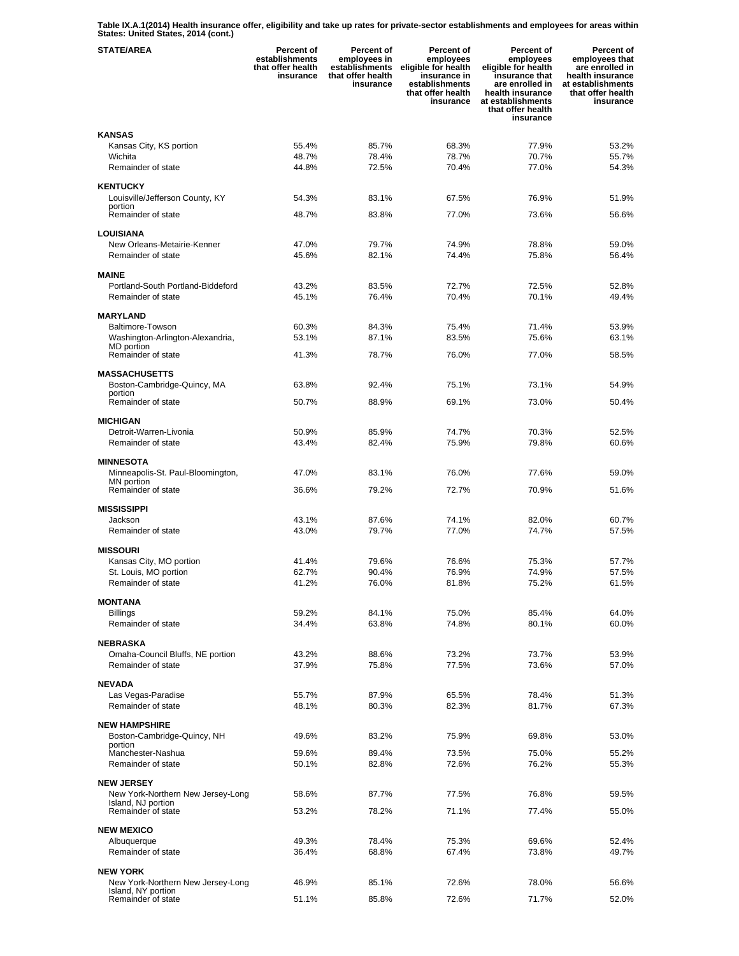**Table IX.A.1(2014) Health insurance offer, eligibility and take up rates for private-sector establishments and employees for areas within States: United States, 2014 (cont.)** 

| <b>STATE/AREA</b>                                       | Percent of<br>establishments<br>that offer health<br>insurance | Percent of<br>employees in<br>establishments<br>that offer health<br>insurance | Percent of<br>employees<br>eligible for health<br>insurance in<br>establishments<br>that offer health<br>insurance | <b>Percent of</b><br>employees<br>eligible for health<br>insurance that<br>are enrolled in<br>health insurance<br>at establishments<br>that offer health<br>insurance | Percent of<br>employees that<br>are enrolled in<br>health insurance<br>at establishments<br>that offer health<br>insurance |
|---------------------------------------------------------|----------------------------------------------------------------|--------------------------------------------------------------------------------|--------------------------------------------------------------------------------------------------------------------|-----------------------------------------------------------------------------------------------------------------------------------------------------------------------|----------------------------------------------------------------------------------------------------------------------------|
| <b>KANSAS</b>                                           |                                                                |                                                                                |                                                                                                                    |                                                                                                                                                                       |                                                                                                                            |
| Kansas City, KS portion                                 | 55.4%                                                          | 85.7%                                                                          | 68.3%                                                                                                              | 77.9%                                                                                                                                                                 | 53.2%                                                                                                                      |
| Wichita                                                 | 48.7%                                                          | 78.4%                                                                          | 78.7%                                                                                                              | 70.7%                                                                                                                                                                 | 55.7%                                                                                                                      |
| Remainder of state                                      | 44.8%                                                          | 72.5%                                                                          | 70.4%                                                                                                              | 77.0%                                                                                                                                                                 | 54.3%                                                                                                                      |
| <b>KENTUCKY</b>                                         |                                                                |                                                                                |                                                                                                                    |                                                                                                                                                                       |                                                                                                                            |
| Louisville/Jefferson County, KY                         | 54.3%                                                          | 83.1%                                                                          | 67.5%                                                                                                              | 76.9%                                                                                                                                                                 | 51.9%                                                                                                                      |
| portion<br>Remainder of state                           | 48.7%                                                          | 83.8%                                                                          | 77.0%                                                                                                              | 73.6%                                                                                                                                                                 | 56.6%                                                                                                                      |
|                                                         |                                                                |                                                                                |                                                                                                                    |                                                                                                                                                                       |                                                                                                                            |
| LOUISIANA                                               |                                                                |                                                                                |                                                                                                                    |                                                                                                                                                                       |                                                                                                                            |
| New Orleans-Metairie-Kenner<br>Remainder of state       | 47.0%<br>45.6%                                                 | 79.7%<br>82.1%                                                                 | 74.9%<br>74.4%                                                                                                     | 78.8%<br>75.8%                                                                                                                                                        | 59.0%<br>56.4%                                                                                                             |
|                                                         |                                                                |                                                                                |                                                                                                                    |                                                                                                                                                                       |                                                                                                                            |
| <b>MAINE</b>                                            |                                                                |                                                                                |                                                                                                                    |                                                                                                                                                                       |                                                                                                                            |
| Portland-South Portland-Biddeford<br>Remainder of state | 43.2%                                                          | 83.5%<br>76.4%                                                                 | 72.7%                                                                                                              | 72.5%                                                                                                                                                                 | 52.8%                                                                                                                      |
|                                                         | 45.1%                                                          |                                                                                | 70.4%                                                                                                              | 70.1%                                                                                                                                                                 | 49.4%                                                                                                                      |
| <b>MARYLAND</b>                                         |                                                                |                                                                                |                                                                                                                    |                                                                                                                                                                       |                                                                                                                            |
| Baltimore-Towson                                        | 60.3%                                                          | 84.3%                                                                          | 75.4%                                                                                                              | 71.4%                                                                                                                                                                 | 53.9%                                                                                                                      |
| Washington-Arlington-Alexandria,<br>MD portion          | 53.1%                                                          | 87.1%                                                                          | 83.5%                                                                                                              | 75.6%                                                                                                                                                                 | 63.1%                                                                                                                      |
| Remainder of state                                      | 41.3%                                                          | 78.7%                                                                          | 76.0%                                                                                                              | 77.0%                                                                                                                                                                 | 58.5%                                                                                                                      |
| <b>MASSACHUSETTS</b>                                    |                                                                |                                                                                |                                                                                                                    |                                                                                                                                                                       |                                                                                                                            |
| Boston-Cambridge-Quincy, MA                             | 63.8%                                                          | 92.4%                                                                          | 75.1%                                                                                                              | 73.1%                                                                                                                                                                 | 54.9%                                                                                                                      |
| portion                                                 |                                                                |                                                                                |                                                                                                                    |                                                                                                                                                                       |                                                                                                                            |
| Remainder of state                                      | 50.7%                                                          | 88.9%                                                                          | 69.1%                                                                                                              | 73.0%                                                                                                                                                                 | 50.4%                                                                                                                      |
| <b>MICHIGAN</b>                                         |                                                                |                                                                                |                                                                                                                    |                                                                                                                                                                       |                                                                                                                            |
| Detroit-Warren-Livonia                                  | 50.9%                                                          | 85.9%                                                                          | 74.7%                                                                                                              | 70.3%                                                                                                                                                                 | 52.5%                                                                                                                      |
| Remainder of state                                      | 43.4%                                                          | 82.4%                                                                          | 75.9%                                                                                                              | 79.8%                                                                                                                                                                 | 60.6%                                                                                                                      |
| <b>MINNESOTA</b>                                        |                                                                |                                                                                |                                                                                                                    |                                                                                                                                                                       |                                                                                                                            |
| Minneapolis-St. Paul-Bloomington,                       | 47.0%                                                          | 83.1%                                                                          | 76.0%                                                                                                              | 77.6%                                                                                                                                                                 | 59.0%                                                                                                                      |
| MN portion<br>Remainder of state                        | 36.6%                                                          | 79.2%                                                                          | 72.7%                                                                                                              | 70.9%                                                                                                                                                                 | 51.6%                                                                                                                      |
|                                                         |                                                                |                                                                                |                                                                                                                    |                                                                                                                                                                       |                                                                                                                            |
| <b>MISSISSIPPI</b>                                      |                                                                |                                                                                |                                                                                                                    |                                                                                                                                                                       |                                                                                                                            |
| Jackson<br>Remainder of state                           | 43.1%<br>43.0%                                                 | 87.6%<br>79.7%                                                                 | 74.1%<br>77.0%                                                                                                     | 82.0%<br>74.7%                                                                                                                                                        | 60.7%<br>57.5%                                                                                                             |
|                                                         |                                                                |                                                                                |                                                                                                                    |                                                                                                                                                                       |                                                                                                                            |
| <b>MISSOURI</b>                                         |                                                                |                                                                                |                                                                                                                    |                                                                                                                                                                       |                                                                                                                            |
| Kansas City, MO portion<br>St. Louis, MO portion        | 41.4%<br>62.7%                                                 | 79.6%<br>90.4%                                                                 | 76.6%<br>76.9%                                                                                                     | 75.3%<br>74.9%                                                                                                                                                        | 57.7%<br>57.5%                                                                                                             |
| Remainder of state                                      | 41.2%                                                          | 76.0%                                                                          | 81.8%                                                                                                              | 75.2%                                                                                                                                                                 | 61.5%                                                                                                                      |
|                                                         |                                                                |                                                                                |                                                                                                                    |                                                                                                                                                                       |                                                                                                                            |
| <b>MONTANA</b><br><b>Billings</b>                       | 59.2%                                                          | 84.1%                                                                          | 75.0%                                                                                                              | 85.4%                                                                                                                                                                 | 64.0%                                                                                                                      |
| Remainder of state                                      | 34.4%                                                          | 63.8%                                                                          | 74.8%                                                                                                              | 80.1%                                                                                                                                                                 | 60.0%                                                                                                                      |
|                                                         |                                                                |                                                                                |                                                                                                                    |                                                                                                                                                                       |                                                                                                                            |
| NEBRASKA                                                |                                                                |                                                                                |                                                                                                                    |                                                                                                                                                                       |                                                                                                                            |
| Omaha-Council Bluffs, NE portion<br>Remainder of state  | 43.2%<br>37.9%                                                 | 88.6%<br>75.8%                                                                 | 73.2%<br>77.5%                                                                                                     | 73.7%<br>73.6%                                                                                                                                                        | 53.9%<br>57.0%                                                                                                             |
|                                                         |                                                                |                                                                                |                                                                                                                    |                                                                                                                                                                       |                                                                                                                            |
| <b>NEVADA</b>                                           |                                                                |                                                                                |                                                                                                                    |                                                                                                                                                                       |                                                                                                                            |
| Las Vegas-Paradise                                      | 55.7%<br>48.1%                                                 | 87.9%                                                                          | 65.5%                                                                                                              | 78.4%                                                                                                                                                                 | 51.3%                                                                                                                      |
| Remainder of state                                      |                                                                | 80.3%                                                                          | 82.3%                                                                                                              | 81.7%                                                                                                                                                                 | 67.3%                                                                                                                      |
| <b>NEW HAMPSHIRE</b>                                    |                                                                |                                                                                |                                                                                                                    |                                                                                                                                                                       |                                                                                                                            |
| Boston-Cambridge-Quincy, NH<br>portion                  | 49.6%                                                          | 83.2%                                                                          | 75.9%                                                                                                              | 69.8%                                                                                                                                                                 | 53.0%                                                                                                                      |
| Manchester-Nashua                                       | 59.6%                                                          | 89.4%                                                                          | 73.5%                                                                                                              | 75.0%                                                                                                                                                                 | 55.2%                                                                                                                      |
| Remainder of state                                      | 50.1%                                                          | 82.8%                                                                          | 72.6%                                                                                                              | 76.2%                                                                                                                                                                 | 55.3%                                                                                                                      |
| <b>NEW JERSEY</b>                                       |                                                                |                                                                                |                                                                                                                    |                                                                                                                                                                       |                                                                                                                            |
| New York-Northern New Jersey-Long                       | 58.6%                                                          | 87.7%                                                                          | 77.5%                                                                                                              | 76.8%                                                                                                                                                                 | 59.5%                                                                                                                      |
| Island, NJ portion<br>Remainder of state                | 53.2%                                                          | 78.2%                                                                          | 71.1%                                                                                                              | 77.4%                                                                                                                                                                 | 55.0%                                                                                                                      |
|                                                         |                                                                |                                                                                |                                                                                                                    |                                                                                                                                                                       |                                                                                                                            |
| <b>NEW MEXICO</b>                                       |                                                                |                                                                                |                                                                                                                    |                                                                                                                                                                       |                                                                                                                            |
| Albuquerque                                             | 49.3%                                                          | 78.4%                                                                          | 75.3%                                                                                                              | 69.6%                                                                                                                                                                 | 52.4%                                                                                                                      |
| Remainder of state                                      | 36.4%                                                          | 68.8%                                                                          | 67.4%                                                                                                              | 73.8%                                                                                                                                                                 | 49.7%                                                                                                                      |
| <b>NEW YORK</b>                                         |                                                                |                                                                                |                                                                                                                    |                                                                                                                                                                       |                                                                                                                            |
| New York-Northern New Jersey-Long<br>Island, NY portion | 46.9%                                                          | 85.1%                                                                          | 72.6%                                                                                                              | 78.0%                                                                                                                                                                 | 56.6%                                                                                                                      |
| Remainder of state                                      | 51.1%                                                          | 85.8%                                                                          | 72.6%                                                                                                              | 71.7%                                                                                                                                                                 | 52.0%                                                                                                                      |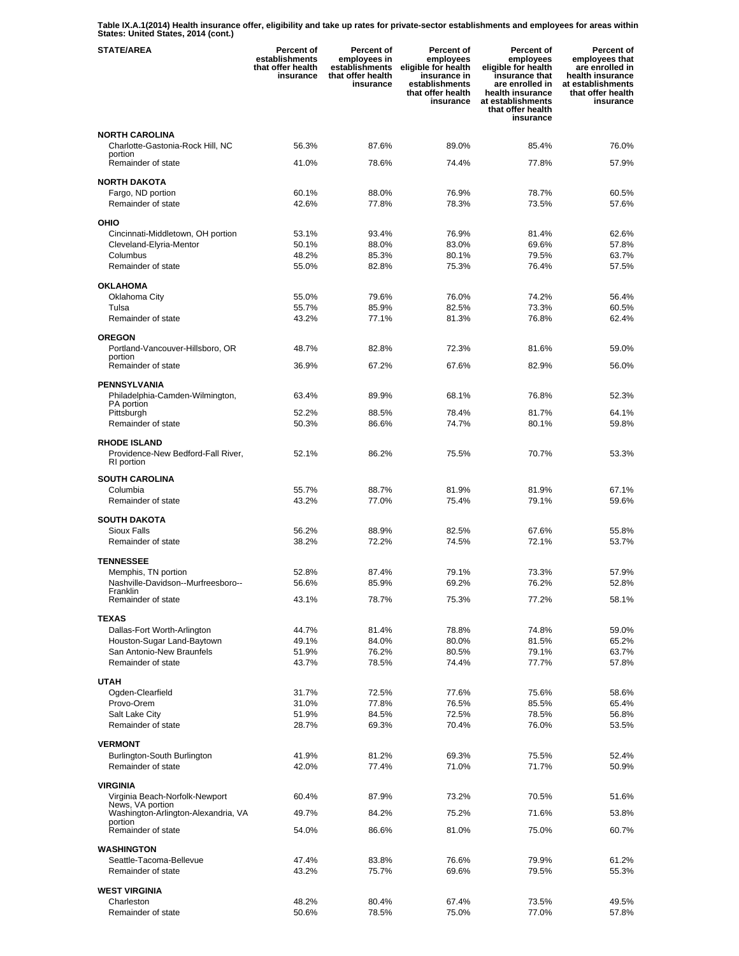**Table IX.A.1(2014) Health insurance offer, eligibility and take up rates for private-sector establishments and employees for areas within States: United States, 2014 (cont.)** 

| <b>STATE/AREA</b>                                       | Percent of<br>establishments<br>that offer health<br>insurance | Percent of<br>employees in<br>establishments<br>that offer health<br>insurance | Percent of<br>employees<br>eligible for health<br>insurance in<br>establishments<br>that offer health<br>insurance | <b>Percent of</b><br>employees<br>eligible for health<br>insurance that<br>are enrolled in<br>health insurance<br>at establishments<br>that offer health<br>insurance | Percent of<br>employees that<br>are enrolled in<br>health insurance<br>at establishments<br>that offer health<br>insurance |
|---------------------------------------------------------|----------------------------------------------------------------|--------------------------------------------------------------------------------|--------------------------------------------------------------------------------------------------------------------|-----------------------------------------------------------------------------------------------------------------------------------------------------------------------|----------------------------------------------------------------------------------------------------------------------------|
| <b>NORTH CAROLINA</b>                                   |                                                                |                                                                                |                                                                                                                    |                                                                                                                                                                       |                                                                                                                            |
| Charlotte-Gastonia-Rock Hill, NC<br>portion             | 56.3%                                                          | 87.6%                                                                          | 89.0%                                                                                                              | 85.4%                                                                                                                                                                 | 76.0%                                                                                                                      |
| Remainder of state                                      | 41.0%                                                          | 78.6%                                                                          | 74.4%                                                                                                              | 77.8%                                                                                                                                                                 | 57.9%                                                                                                                      |
| <b>NORTH DAKOTA</b>                                     |                                                                |                                                                                |                                                                                                                    |                                                                                                                                                                       |                                                                                                                            |
| Fargo, ND portion<br>Remainder of state                 | 60.1%<br>42.6%                                                 | 88.0%<br>77.8%                                                                 | 76.9%<br>78.3%                                                                                                     | 78.7%<br>73.5%                                                                                                                                                        | 60.5%<br>57.6%                                                                                                             |
| <b>OHIO</b>                                             |                                                                |                                                                                |                                                                                                                    |                                                                                                                                                                       |                                                                                                                            |
| Cincinnati-Middletown, OH portion                       | 53.1%                                                          | 93.4%                                                                          | 76.9%                                                                                                              | 81.4%                                                                                                                                                                 | 62.6%                                                                                                                      |
| Cleveland-Elyria-Mentor                                 | 50.1%                                                          | 88.0%                                                                          | 83.0%                                                                                                              | 69.6%                                                                                                                                                                 | 57.8%                                                                                                                      |
| Columbus                                                | 48.2%                                                          | 85.3%                                                                          | 80.1%                                                                                                              | 79.5%                                                                                                                                                                 | 63.7%                                                                                                                      |
| Remainder of state                                      | 55.0%                                                          | 82.8%                                                                          | 75.3%                                                                                                              | 76.4%                                                                                                                                                                 | 57.5%                                                                                                                      |
| <b>OKLAHOMA</b>                                         |                                                                |                                                                                |                                                                                                                    |                                                                                                                                                                       |                                                                                                                            |
| Oklahoma City<br>Tulsa                                  | 55.0%<br>55.7%                                                 | 79.6%<br>85.9%                                                                 | 76.0%<br>82.5%                                                                                                     | 74.2%<br>73.3%                                                                                                                                                        | 56.4%<br>60.5%                                                                                                             |
| Remainder of state                                      | 43.2%                                                          | 77.1%                                                                          | 81.3%                                                                                                              | 76.8%                                                                                                                                                                 | 62.4%                                                                                                                      |
| <b>OREGON</b>                                           |                                                                |                                                                                |                                                                                                                    |                                                                                                                                                                       |                                                                                                                            |
| Portland-Vancouver-Hillsboro, OR                        | 48.7%                                                          | 82.8%                                                                          | 72.3%                                                                                                              | 81.6%                                                                                                                                                                 | 59.0%                                                                                                                      |
| portion<br>Remainder of state                           | 36.9%                                                          | 67.2%                                                                          | 67.6%                                                                                                              | 82.9%                                                                                                                                                                 | 56.0%                                                                                                                      |
| <b>PENNSYLVANIA</b>                                     |                                                                |                                                                                |                                                                                                                    |                                                                                                                                                                       |                                                                                                                            |
| Philadelphia-Camden-Wilmington,                         | 63.4%                                                          | 89.9%                                                                          | 68.1%                                                                                                              | 76.8%                                                                                                                                                                 | 52.3%                                                                                                                      |
| PA portion<br>Pittsburgh                                | 52.2%                                                          | 88.5%                                                                          | 78.4%                                                                                                              | 81.7%                                                                                                                                                                 | 64.1%                                                                                                                      |
| Remainder of state                                      | 50.3%                                                          | 86.6%                                                                          | 74.7%                                                                                                              | 80.1%                                                                                                                                                                 | 59.8%                                                                                                                      |
| <b>RHODE ISLAND</b>                                     |                                                                |                                                                                |                                                                                                                    |                                                                                                                                                                       |                                                                                                                            |
| Providence-New Bedford-Fall River,<br>RI portion        | 52.1%                                                          | 86.2%                                                                          | 75.5%                                                                                                              | 70.7%                                                                                                                                                                 | 53.3%                                                                                                                      |
| <b>SOUTH CAROLINA</b>                                   |                                                                |                                                                                |                                                                                                                    |                                                                                                                                                                       |                                                                                                                            |
| Columbia                                                | 55.7%                                                          | 88.7%                                                                          | 81.9%                                                                                                              | 81.9%                                                                                                                                                                 | 67.1%                                                                                                                      |
| Remainder of state                                      | 43.2%                                                          | 77.0%                                                                          | 75.4%                                                                                                              | 79.1%                                                                                                                                                                 | 59.6%                                                                                                                      |
| <b>SOUTH DAKOTA</b>                                     |                                                                |                                                                                |                                                                                                                    |                                                                                                                                                                       |                                                                                                                            |
| Sioux Falls<br>Remainder of state                       | 56.2%<br>38.2%                                                 | 88.9%<br>72.2%                                                                 | 82.5%<br>74.5%                                                                                                     | 67.6%<br>72.1%                                                                                                                                                        | 55.8%<br>53.7%                                                                                                             |
|                                                         |                                                                |                                                                                |                                                                                                                    |                                                                                                                                                                       |                                                                                                                            |
| <b>TENNESSEE</b><br>Memphis, TN portion                 | 52.8%                                                          | 87.4%                                                                          | 79.1%                                                                                                              | 73.3%                                                                                                                                                                 | 57.9%                                                                                                                      |
| Nashville-Davidson--Murfreesboro-                       | 56.6%                                                          | 85.9%                                                                          | 69.2%                                                                                                              | 76.2%                                                                                                                                                                 | 52.8%                                                                                                                      |
| Franklin<br>Remainder of state                          | 43.1%                                                          | 78.7%                                                                          | 75.3%                                                                                                              | 77.2%                                                                                                                                                                 | 58.1%                                                                                                                      |
|                                                         |                                                                |                                                                                |                                                                                                                    |                                                                                                                                                                       |                                                                                                                            |
| <b>TEXAS</b><br>Dallas-Fort Worth-Arlington             | 44.7%                                                          | 81.4%                                                                          | 78.8%                                                                                                              | 74.8%                                                                                                                                                                 | 59.0%                                                                                                                      |
| Houston-Sugar Land-Baytown                              | 49.1%                                                          | 84.0%                                                                          | 80.0%                                                                                                              | 81.5%                                                                                                                                                                 | 65.2%                                                                                                                      |
| San Antonio-New Braunfels                               | 51.9%                                                          | 76.2%                                                                          | 80.5%                                                                                                              | 79.1%                                                                                                                                                                 | 63.7%                                                                                                                      |
| Remainder of state                                      | 43.7%                                                          | 78.5%                                                                          | 74.4%                                                                                                              | 77.7%                                                                                                                                                                 | 57.8%                                                                                                                      |
| <b>UTAH</b>                                             |                                                                |                                                                                |                                                                                                                    |                                                                                                                                                                       |                                                                                                                            |
| Ogden-Clearfield                                        | 31.7%                                                          | 72.5%                                                                          | 77.6%                                                                                                              | 75.6%                                                                                                                                                                 | 58.6%                                                                                                                      |
| Provo-Orem                                              | 31.0%                                                          | 77.8%                                                                          | 76.5%                                                                                                              | 85.5%                                                                                                                                                                 | 65.4%                                                                                                                      |
| Salt Lake City<br>Remainder of state                    | 51.9%<br>28.7%                                                 | 84.5%<br>69.3%                                                                 | 72.5%<br>70.4%                                                                                                     | 78.5%<br>76.0%                                                                                                                                                        | 56.8%<br>53.5%                                                                                                             |
| <b>VERMONT</b>                                          |                                                                |                                                                                |                                                                                                                    |                                                                                                                                                                       |                                                                                                                            |
| Burlington-South Burlington                             | 41.9%                                                          | 81.2%                                                                          | 69.3%                                                                                                              | 75.5%                                                                                                                                                                 | 52.4%                                                                                                                      |
| Remainder of state                                      | 42.0%                                                          | 77.4%                                                                          | 71.0%                                                                                                              | 71.7%                                                                                                                                                                 | 50.9%                                                                                                                      |
| <b>VIRGINIA</b>                                         |                                                                |                                                                                |                                                                                                                    |                                                                                                                                                                       |                                                                                                                            |
| Virginia Beach-Norfolk-Newport                          | 60.4%                                                          | 87.9%                                                                          | 73.2%                                                                                                              | 70.5%                                                                                                                                                                 | 51.6%                                                                                                                      |
| News, VA portion<br>Washington-Arlington-Alexandria, VA | 49.7%                                                          | 84.2%                                                                          | 75.2%                                                                                                              | 71.6%                                                                                                                                                                 | 53.8%                                                                                                                      |
| portion<br>Remainder of state                           | 54.0%                                                          | 86.6%                                                                          | 81.0%                                                                                                              | 75.0%                                                                                                                                                                 | 60.7%                                                                                                                      |
| <b>WASHINGTON</b>                                       |                                                                |                                                                                |                                                                                                                    |                                                                                                                                                                       |                                                                                                                            |
| Seattle-Tacoma-Bellevue                                 | 47.4%                                                          | 83.8%                                                                          | 76.6%                                                                                                              | 79.9%                                                                                                                                                                 | 61.2%                                                                                                                      |
| Remainder of state                                      | 43.2%                                                          | 75.7%                                                                          | 69.6%                                                                                                              | 79.5%                                                                                                                                                                 | 55.3%                                                                                                                      |
| <b>WEST VIRGINIA</b>                                    |                                                                |                                                                                |                                                                                                                    |                                                                                                                                                                       |                                                                                                                            |
| Charleston                                              | 48.2%                                                          | 80.4%                                                                          | 67.4%                                                                                                              | 73.5%                                                                                                                                                                 | 49.5%                                                                                                                      |
| Remainder of state                                      | 50.6%                                                          | 78.5%                                                                          | 75.0%                                                                                                              | 77.0%                                                                                                                                                                 | 57.8%                                                                                                                      |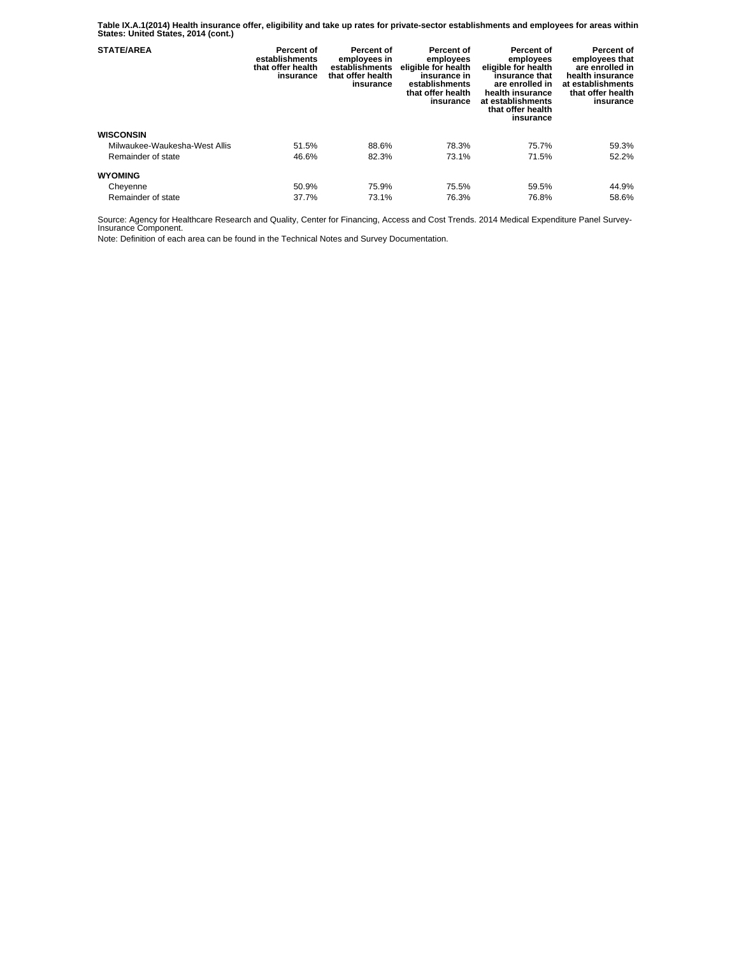**Table IX.A.1(2014) Health insurance offer, eligibility and take up rates for private-sector establishments and employees for areas within States: United States, 2014 (cont.)** 

| <b>STATE/AREA</b>             | Percent of<br>establishments<br>that offer health<br>insurance | Percent of<br>employees in<br>establishments<br>that offer health<br>insurance | Percent of<br>employees<br>eligible for health<br>insurance in<br>establishments<br>that offer health<br>insurance | Percent of<br>employees<br>eligible for health<br>insurance that<br>are enrolled in<br>health insurance<br>at establishments<br>that offer health<br>insurance | Percent of<br>employees that<br>are enrolled in<br>health insurance<br>at establishments<br>that offer health<br>insurance |
|-------------------------------|----------------------------------------------------------------|--------------------------------------------------------------------------------|--------------------------------------------------------------------------------------------------------------------|----------------------------------------------------------------------------------------------------------------------------------------------------------------|----------------------------------------------------------------------------------------------------------------------------|
| <b>WISCONSIN</b>              |                                                                |                                                                                |                                                                                                                    |                                                                                                                                                                |                                                                                                                            |
| Milwaukee-Waukesha-West Allis | 51.5%                                                          | 88.6%                                                                          | 78.3%                                                                                                              | 75.7%                                                                                                                                                          | 59.3%                                                                                                                      |
| Remainder of state            | 46.6%                                                          | 82.3%                                                                          | 73.1%                                                                                                              | 71.5%                                                                                                                                                          | 52.2%                                                                                                                      |
| <b>WYOMING</b>                |                                                                |                                                                                |                                                                                                                    |                                                                                                                                                                |                                                                                                                            |
| Cheyenne                      | 50.9%                                                          | 75.9%                                                                          | 75.5%                                                                                                              | 59.5%                                                                                                                                                          | 44.9%                                                                                                                      |
| Remainder of state            | 37.7%                                                          | 73.1%                                                                          | 76.3%                                                                                                              | 76.8%                                                                                                                                                          | 58.6%                                                                                                                      |

Source: Agency for Healthcare Research and Quality, Center for Financing, Access and Cost Trends. 2014 Medical Expenditure Panel Survey-Insurance Component.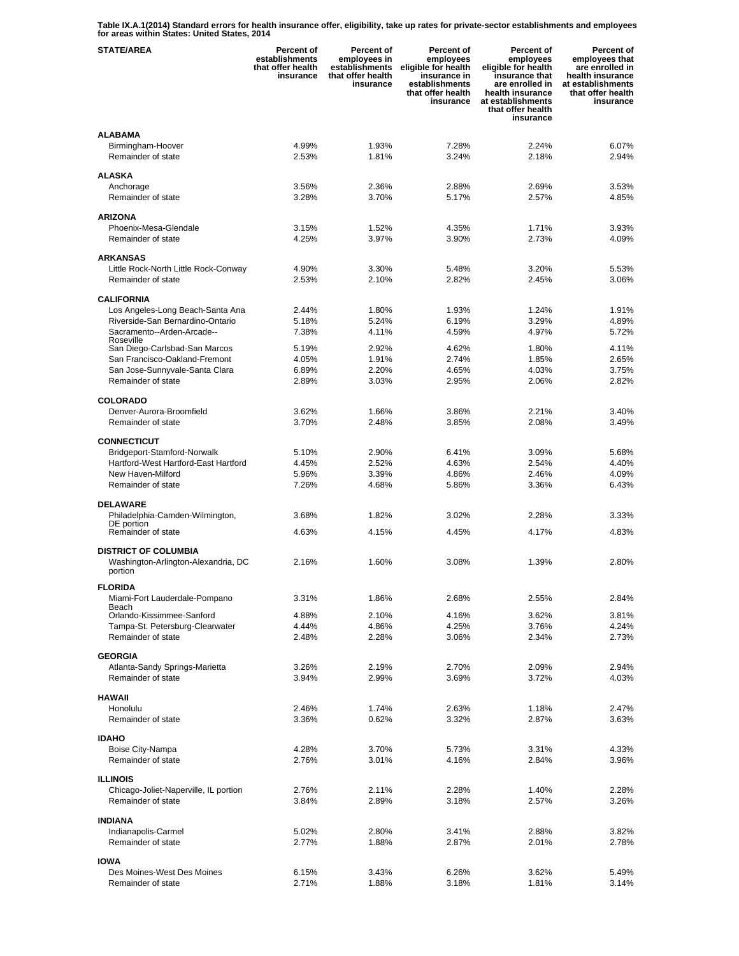**Table IX.A.1(2014) Standard errors for health insurance offer, eligibility, take up rates for private-sector establishments and employees for areas within States: United States, 2014** 

| <b>STATE/AREA</b>                                                  | <b>Percent of</b><br>establishments<br>that offer health<br>insurance | Percent of<br>employees in<br>establishments<br>that offer health<br>insurance | Percent of<br>employees<br>eligible for health<br>insurance in<br>establishments<br>that offer health<br>insurance | <b>Percent of</b><br>employees<br>eligible for health<br>insurance that<br>are enrolled in<br>health insurance<br>at establishments<br>that offer health<br>insurance | Percent of<br>employees that<br>are enrolled in<br>health insurance<br>at establishments<br>that offer health<br>insurance |
|--------------------------------------------------------------------|-----------------------------------------------------------------------|--------------------------------------------------------------------------------|--------------------------------------------------------------------------------------------------------------------|-----------------------------------------------------------------------------------------------------------------------------------------------------------------------|----------------------------------------------------------------------------------------------------------------------------|
| <b>ALABAMA</b>                                                     |                                                                       |                                                                                |                                                                                                                    |                                                                                                                                                                       |                                                                                                                            |
| Birmingham-Hoover<br>Remainder of state                            | 4.99%<br>2.53%                                                        | 1.93%<br>1.81%                                                                 | 7.28%<br>3.24%                                                                                                     | 2.24%<br>2.18%                                                                                                                                                        | 6.07%<br>2.94%                                                                                                             |
|                                                                    |                                                                       |                                                                                |                                                                                                                    |                                                                                                                                                                       |                                                                                                                            |
| <b>ALASKA</b>                                                      | 3.56%                                                                 | 2.36%                                                                          | 2.88%                                                                                                              | 2.69%                                                                                                                                                                 | 3.53%                                                                                                                      |
| Anchorage<br>Remainder of state                                    | 3.28%                                                                 | 3.70%                                                                          | 5.17%                                                                                                              | 2.57%                                                                                                                                                                 | 4.85%                                                                                                                      |
| <b>ARIZONA</b>                                                     |                                                                       |                                                                                |                                                                                                                    |                                                                                                                                                                       |                                                                                                                            |
| Phoenix-Mesa-Glendale                                              | 3.15%                                                                 | 1.52%                                                                          | 4.35%                                                                                                              | 1.71%                                                                                                                                                                 | 3.93%                                                                                                                      |
| Remainder of state                                                 | 4.25%                                                                 | 3.97%                                                                          | 3.90%                                                                                                              | 2.73%                                                                                                                                                                 | 4.09%                                                                                                                      |
| <b>ARKANSAS</b>                                                    |                                                                       |                                                                                |                                                                                                                    |                                                                                                                                                                       |                                                                                                                            |
| Little Rock-North Little Rock-Conway                               | 4.90%                                                                 | 3.30%                                                                          | 5.48%                                                                                                              | 3.20%                                                                                                                                                                 | 5.53%                                                                                                                      |
| Remainder of state                                                 | 2.53%                                                                 | 2.10%                                                                          | 2.82%                                                                                                              | 2.45%                                                                                                                                                                 | 3.06%                                                                                                                      |
| <b>CALIFORNIA</b>                                                  |                                                                       |                                                                                |                                                                                                                    |                                                                                                                                                                       |                                                                                                                            |
| Los Angeles-Long Beach-Santa Ana                                   | 2.44%                                                                 | 1.80%                                                                          | 1.93%                                                                                                              | 1.24%                                                                                                                                                                 | 1.91%                                                                                                                      |
| Riverside-San Bernardino-Ontario                                   | 5.18%                                                                 | 5.24%                                                                          | 6.19%                                                                                                              | 3.29%                                                                                                                                                                 | 4.89%                                                                                                                      |
| Sacramento--Arden-Arcade--                                         | 7.38%                                                                 | 4.11%                                                                          | 4.59%                                                                                                              | 4.97%                                                                                                                                                                 | 5.72%                                                                                                                      |
| Roseville<br>San Diego-Carlsbad-San Marcos                         | 5.19%                                                                 | 2.92%                                                                          | 4.62%                                                                                                              | 1.80%                                                                                                                                                                 | 4.11%                                                                                                                      |
| San Francisco-Oakland-Fremont                                      | 4.05%                                                                 | 1.91%                                                                          | 2.74%                                                                                                              | 1.85%                                                                                                                                                                 | 2.65%                                                                                                                      |
| San Jose-Sunnyvale-Santa Clara                                     | 6.89%                                                                 | 2.20%                                                                          | 4.65%                                                                                                              | 4.03%                                                                                                                                                                 | 3.75%                                                                                                                      |
| Remainder of state                                                 | 2.89%                                                                 | 3.03%                                                                          | 2.95%                                                                                                              | 2.06%                                                                                                                                                                 | 2.82%                                                                                                                      |
|                                                                    |                                                                       |                                                                                |                                                                                                                    |                                                                                                                                                                       |                                                                                                                            |
| <b>COLORADO</b><br>Denver-Aurora-Broomfield                        | 3.62%                                                                 | 1.66%                                                                          | 3.86%                                                                                                              | 2.21%                                                                                                                                                                 | 3.40%                                                                                                                      |
| Remainder of state                                                 | 3.70%                                                                 | 2.48%                                                                          | 3.85%                                                                                                              | 2.08%                                                                                                                                                                 | 3.49%                                                                                                                      |
|                                                                    |                                                                       |                                                                                |                                                                                                                    |                                                                                                                                                                       |                                                                                                                            |
| <b>CONNECTICUT</b>                                                 |                                                                       |                                                                                |                                                                                                                    |                                                                                                                                                                       |                                                                                                                            |
| Bridgeport-Stamford-Norwalk                                        | 5.10%                                                                 | 2.90%                                                                          | 6.41%                                                                                                              | 3.09%                                                                                                                                                                 | 5.68%                                                                                                                      |
| Hartford-West Hartford-East Hartford                               | 4.45%                                                                 | 2.52%                                                                          | 4.63%                                                                                                              | 2.54%                                                                                                                                                                 | 4.40%                                                                                                                      |
| New Haven-Milford<br>Remainder of state                            | 5.96%<br>7.26%                                                        | 3.39%<br>4.68%                                                                 | 4.86%<br>5.86%                                                                                                     | 2.46%<br>3.36%                                                                                                                                                        | 4.09%<br>6.43%                                                                                                             |
|                                                                    |                                                                       |                                                                                |                                                                                                                    |                                                                                                                                                                       |                                                                                                                            |
| <b>DELAWARE</b><br>Philadelphia-Camden-Wilmington,                 | 3.68%                                                                 | 1.82%                                                                          | 3.02%                                                                                                              | 2.28%                                                                                                                                                                 | 3.33%                                                                                                                      |
| DE portion<br>Remainder of state                                   | 4.63%                                                                 | 4.15%                                                                          | 4.45%                                                                                                              | 4.17%                                                                                                                                                                 | 4.83%                                                                                                                      |
|                                                                    |                                                                       |                                                                                |                                                                                                                    |                                                                                                                                                                       |                                                                                                                            |
| <b>DISTRICT OF COLUMBIA</b><br>Washington-Arlington-Alexandria, DC | 2.16%                                                                 | 1.60%                                                                          | 3.08%                                                                                                              | 1.39%                                                                                                                                                                 | 2.80%                                                                                                                      |
| portion                                                            |                                                                       |                                                                                |                                                                                                                    |                                                                                                                                                                       |                                                                                                                            |
| <b>FLORIDA</b><br>Miami-Fort Lauderdale-Pompano                    | 3.31%                                                                 | 1.86%                                                                          | 2.68%                                                                                                              | 2.55%                                                                                                                                                                 | 2.84%                                                                                                                      |
| Beach                                                              |                                                                       | 2.10%                                                                          |                                                                                                                    |                                                                                                                                                                       |                                                                                                                            |
| Orlando-Kissimmee-Sanford<br>Tampa-St. Petersburg-Clearwater       | 4.88%<br>4.44%                                                        | 4.86%                                                                          | 4.16%<br>4.25%                                                                                                     | 3.62%<br>3.76%                                                                                                                                                        | 3.81%<br>4.24%                                                                                                             |
| Remainder of state                                                 | 2.48%                                                                 | 2.28%                                                                          | 3.06%                                                                                                              | 2.34%                                                                                                                                                                 | 2.73%                                                                                                                      |
|                                                                    |                                                                       |                                                                                |                                                                                                                    |                                                                                                                                                                       |                                                                                                                            |
| <b>GEORGIA</b>                                                     |                                                                       |                                                                                |                                                                                                                    |                                                                                                                                                                       |                                                                                                                            |
| Atlanta-Sandy Springs-Marietta<br>Remainder of state               | 3.26%<br>3.94%                                                        | 2.19%<br>2.99%                                                                 | 2.70%<br>3.69%                                                                                                     | 2.09%<br>3.72%                                                                                                                                                        | 2.94%<br>4.03%                                                                                                             |
| <b>HAWAII</b>                                                      |                                                                       |                                                                                |                                                                                                                    |                                                                                                                                                                       |                                                                                                                            |
| Honolulu                                                           | 2.46%                                                                 | 1.74%                                                                          | 2.63%                                                                                                              | 1.18%                                                                                                                                                                 | 2.47%                                                                                                                      |
| Remainder of state                                                 | 3.36%                                                                 | 0.62%                                                                          | 3.32%                                                                                                              | 2.87%                                                                                                                                                                 | 3.63%                                                                                                                      |
| <b>IDAHO</b>                                                       |                                                                       |                                                                                |                                                                                                                    |                                                                                                                                                                       |                                                                                                                            |
| Boise City-Nampa                                                   | 4.28%                                                                 | 3.70%                                                                          | 5.73%                                                                                                              | 3.31%                                                                                                                                                                 | 4.33%                                                                                                                      |
| Remainder of state                                                 | 2.76%                                                                 | 3.01%                                                                          | 4.16%                                                                                                              | 2.84%                                                                                                                                                                 | 3.96%                                                                                                                      |
|                                                                    |                                                                       |                                                                                |                                                                                                                    |                                                                                                                                                                       |                                                                                                                            |
| <b>ILLINOIS</b>                                                    |                                                                       |                                                                                |                                                                                                                    |                                                                                                                                                                       |                                                                                                                            |
| Chicago-Joliet-Naperville, IL portion                              | 2.76%                                                                 | 2.11%                                                                          | 2.28%                                                                                                              | 1.40%                                                                                                                                                                 | 2.28%                                                                                                                      |
| Remainder of state                                                 | 3.84%                                                                 | 2.89%                                                                          | 3.18%                                                                                                              | 2.57%                                                                                                                                                                 | 3.26%                                                                                                                      |
| <b>INDIANA</b>                                                     |                                                                       |                                                                                |                                                                                                                    |                                                                                                                                                                       |                                                                                                                            |
| Indianapolis-Carmel                                                | 5.02%                                                                 | 2.80%                                                                          | 3.41%                                                                                                              | 2.88%                                                                                                                                                                 | 3.82%                                                                                                                      |
| Remainder of state                                                 | 2.77%                                                                 | 1.88%                                                                          | 2.87%                                                                                                              | 2.01%                                                                                                                                                                 | 2.78%                                                                                                                      |
| <b>IOWA</b>                                                        |                                                                       |                                                                                |                                                                                                                    |                                                                                                                                                                       |                                                                                                                            |
| Des Moines-West Des Moines                                         | 6.15%                                                                 | 3.43%                                                                          | 6.26%                                                                                                              | 3.62%                                                                                                                                                                 | 5.49%                                                                                                                      |
| Remainder of state                                                 | 2.71%                                                                 | 1.88%                                                                          | 3.18%                                                                                                              | 1.81%                                                                                                                                                                 | 3.14%                                                                                                                      |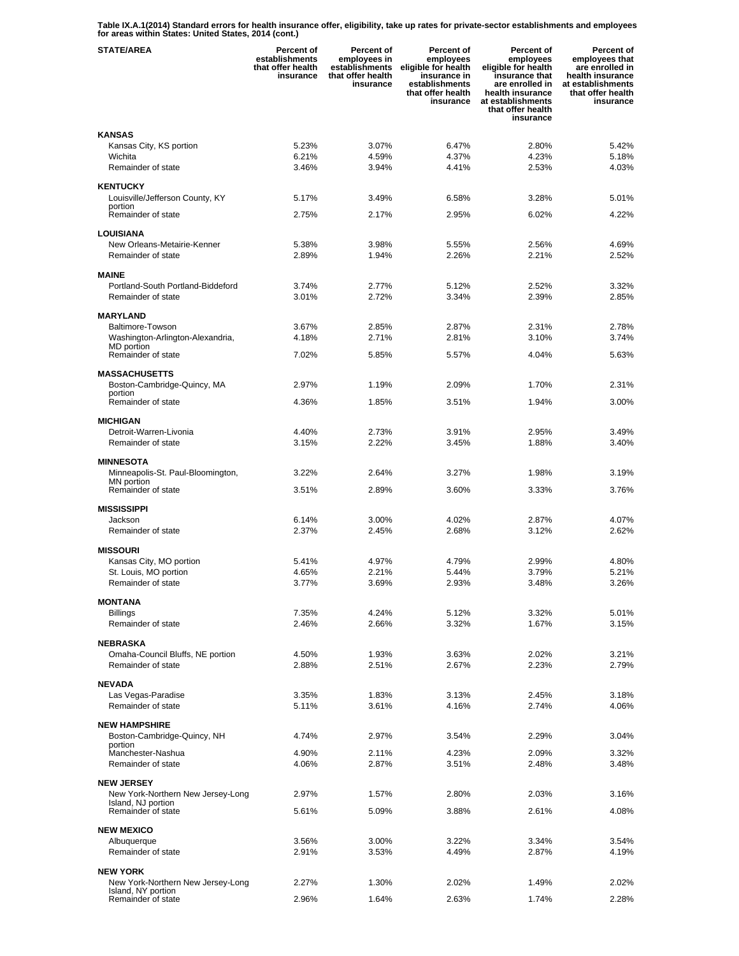**Table IX.A.1(2014) Standard errors for health insurance offer, eligibility, take up rates for private-sector establishments and employees for areas within States: United States, 2014 (cont.)** 

| <b>STATE/AREA</b>                                       | <b>Percent of</b><br>establishments<br>that offer health<br>insurance | <b>Percent of</b><br>employees in<br>establishments<br>that offer health<br>insurance | Percent of<br>employees<br>eligible for health<br>insurance in<br>establishments<br>that offer health<br>insurance | <b>Percent of</b><br>employees<br>eligible for health<br>insurance that<br>are enrolled in<br>health insurance<br>at establishments<br>that offer health<br>insurance | Percent of<br>employees that<br>are enrolled in<br>health insurance<br>at establishments<br>that offer health<br>insurance |
|---------------------------------------------------------|-----------------------------------------------------------------------|---------------------------------------------------------------------------------------|--------------------------------------------------------------------------------------------------------------------|-----------------------------------------------------------------------------------------------------------------------------------------------------------------------|----------------------------------------------------------------------------------------------------------------------------|
| <b>KANSAS</b>                                           |                                                                       |                                                                                       |                                                                                                                    |                                                                                                                                                                       |                                                                                                                            |
| Kansas City, KS portion                                 | 5.23%                                                                 | 3.07%                                                                                 | 6.47%                                                                                                              | 2.80%                                                                                                                                                                 | 5.42%                                                                                                                      |
| Wichita                                                 | 6.21%                                                                 | 4.59%                                                                                 | 4.37%                                                                                                              | 4.23%                                                                                                                                                                 | 5.18%                                                                                                                      |
| Remainder of state                                      | 3.46%                                                                 | 3.94%                                                                                 | 4.41%                                                                                                              | 2.53%                                                                                                                                                                 | 4.03%                                                                                                                      |
| <b>KENTUCKY</b>                                         |                                                                       |                                                                                       |                                                                                                                    |                                                                                                                                                                       |                                                                                                                            |
| Louisville/Jefferson County, KY                         | 5.17%                                                                 | 3.49%                                                                                 | 6.58%                                                                                                              | 3.28%                                                                                                                                                                 | 5.01%                                                                                                                      |
| portion<br>Remainder of state                           | 2.75%                                                                 | 2.17%                                                                                 | 2.95%                                                                                                              | 6.02%                                                                                                                                                                 | 4.22%                                                                                                                      |
|                                                         |                                                                       |                                                                                       |                                                                                                                    |                                                                                                                                                                       |                                                                                                                            |
| LOUISIANA<br>New Orleans-Metairie-Kenner                | 5.38%                                                                 | 3.98%                                                                                 | 5.55%                                                                                                              | 2.56%                                                                                                                                                                 | 4.69%                                                                                                                      |
| Remainder of state                                      | 2.89%                                                                 | 1.94%                                                                                 | 2.26%                                                                                                              | 2.21%                                                                                                                                                                 | 2.52%                                                                                                                      |
|                                                         |                                                                       |                                                                                       |                                                                                                                    |                                                                                                                                                                       |                                                                                                                            |
| <b>MAINE</b><br>Portland-South Portland-Biddeford       | 3.74%                                                                 | 2.77%                                                                                 | 5.12%                                                                                                              | 2.52%                                                                                                                                                                 | 3.32%                                                                                                                      |
| Remainder of state                                      | 3.01%                                                                 | 2.72%                                                                                 | 3.34%                                                                                                              | 2.39%                                                                                                                                                                 | 2.85%                                                                                                                      |
|                                                         |                                                                       |                                                                                       |                                                                                                                    |                                                                                                                                                                       |                                                                                                                            |
| <b>MARYLAND</b><br>Baltimore-Towson                     | 3.67%                                                                 | 2.85%                                                                                 | 2.87%                                                                                                              | 2.31%                                                                                                                                                                 | 2.78%                                                                                                                      |
| Washington-Arlington-Alexandria,                        | 4.18%                                                                 | 2.71%                                                                                 | 2.81%                                                                                                              | 3.10%                                                                                                                                                                 | 3.74%                                                                                                                      |
| MD portion<br>Remainder of state                        | 7.02%                                                                 | 5.85%                                                                                 | 5.57%                                                                                                              | 4.04%                                                                                                                                                                 | 5.63%                                                                                                                      |
|                                                         |                                                                       |                                                                                       |                                                                                                                    |                                                                                                                                                                       |                                                                                                                            |
| <b>MASSACHUSETTS</b>                                    |                                                                       |                                                                                       |                                                                                                                    |                                                                                                                                                                       |                                                                                                                            |
| Boston-Cambridge-Quincy, MA<br>portion                  | 2.97%                                                                 | 1.19%                                                                                 | 2.09%                                                                                                              | 1.70%                                                                                                                                                                 | 2.31%                                                                                                                      |
| Remainder of state                                      | 4.36%                                                                 | 1.85%                                                                                 | 3.51%                                                                                                              | 1.94%                                                                                                                                                                 | 3.00%                                                                                                                      |
| <b>MICHIGAN</b>                                         |                                                                       |                                                                                       |                                                                                                                    |                                                                                                                                                                       |                                                                                                                            |
| Detroit-Warren-Livonia                                  | 4.40%                                                                 | 2.73%                                                                                 | 3.91%                                                                                                              | 2.95%                                                                                                                                                                 | 3.49%                                                                                                                      |
| Remainder of state                                      | 3.15%                                                                 | 2.22%                                                                                 | 3.45%                                                                                                              | 1.88%                                                                                                                                                                 | 3.40%                                                                                                                      |
| <b>MINNESOTA</b>                                        |                                                                       |                                                                                       |                                                                                                                    |                                                                                                                                                                       |                                                                                                                            |
| Minneapolis-St. Paul-Bloomington,                       | 3.22%                                                                 | 2.64%                                                                                 | 3.27%                                                                                                              | 1.98%                                                                                                                                                                 | 3.19%                                                                                                                      |
| MN portion<br>Remainder of state                        | 3.51%                                                                 | 2.89%                                                                                 | 3.60%                                                                                                              | 3.33%                                                                                                                                                                 | 3.76%                                                                                                                      |
|                                                         |                                                                       |                                                                                       |                                                                                                                    |                                                                                                                                                                       |                                                                                                                            |
| <b>MISSISSIPPI</b>                                      |                                                                       |                                                                                       |                                                                                                                    |                                                                                                                                                                       |                                                                                                                            |
| Jackson<br>Remainder of state                           | 6.14%<br>2.37%                                                        | 3.00%<br>2.45%                                                                        | 4.02%<br>2.68%                                                                                                     | 2.87%<br>3.12%                                                                                                                                                        | 4.07%<br>2.62%                                                                                                             |
|                                                         |                                                                       |                                                                                       |                                                                                                                    |                                                                                                                                                                       |                                                                                                                            |
| <b>MISSOURI</b>                                         |                                                                       |                                                                                       |                                                                                                                    |                                                                                                                                                                       |                                                                                                                            |
| Kansas City, MO portion<br>St. Louis, MO portion        | 5.41%<br>4.65%                                                        | 4.97%<br>2.21%                                                                        | 4.79%<br>5.44%                                                                                                     | 2.99%<br>3.79%                                                                                                                                                        | 4.80%<br>5.21%                                                                                                             |
| Remainder of state                                      | 3.77%                                                                 | 3.69%                                                                                 | 2.93%                                                                                                              | 3.48%                                                                                                                                                                 | 3.26%                                                                                                                      |
|                                                         |                                                                       |                                                                                       |                                                                                                                    |                                                                                                                                                                       |                                                                                                                            |
| <b>MONTANA</b><br><b>Billings</b>                       | 7.35%                                                                 | 4.24%                                                                                 | 5.12%                                                                                                              | 3.32%                                                                                                                                                                 | 5.01%                                                                                                                      |
| Remainder of state                                      | 2.46%                                                                 | 2.66%                                                                                 | 3.32%                                                                                                              | 1.67%                                                                                                                                                                 | 3.15%                                                                                                                      |
|                                                         |                                                                       |                                                                                       |                                                                                                                    |                                                                                                                                                                       |                                                                                                                            |
| NEBRASKA<br>Omaha-Council Bluffs, NE portion            | 4.50%                                                                 | 1.93%                                                                                 | 3.63%                                                                                                              | 2.02%                                                                                                                                                                 | 3.21%                                                                                                                      |
| Remainder of state                                      | 2.88%                                                                 | 2.51%                                                                                 | 2.67%                                                                                                              | 2.23%                                                                                                                                                                 | 2.79%                                                                                                                      |
|                                                         |                                                                       |                                                                                       |                                                                                                                    |                                                                                                                                                                       |                                                                                                                            |
| <b>NEVADA</b><br>Las Vegas-Paradise                     | 3.35%                                                                 | 1.83%                                                                                 | 3.13%                                                                                                              | 2.45%                                                                                                                                                                 | 3.18%                                                                                                                      |
| Remainder of state                                      | 5.11%                                                                 | 3.61%                                                                                 | 4.16%                                                                                                              | 2.74%                                                                                                                                                                 | 4.06%                                                                                                                      |
|                                                         |                                                                       |                                                                                       |                                                                                                                    |                                                                                                                                                                       |                                                                                                                            |
| <b>NEW HAMPSHIRE</b><br>Boston-Cambridge-Quincy, NH     | 4.74%                                                                 | 2.97%                                                                                 | 3.54%                                                                                                              | 2.29%                                                                                                                                                                 | 3.04%                                                                                                                      |
| portion                                                 |                                                                       |                                                                                       |                                                                                                                    |                                                                                                                                                                       |                                                                                                                            |
| Manchester-Nashua                                       | 4.90%                                                                 | 2.11%                                                                                 | 4.23%                                                                                                              | 2.09%                                                                                                                                                                 | 3.32%                                                                                                                      |
| Remainder of state                                      | 4.06%                                                                 | 2.87%                                                                                 | 3.51%                                                                                                              | 2.48%                                                                                                                                                                 | 3.48%                                                                                                                      |
| <b>NEW JERSEY</b>                                       |                                                                       |                                                                                       |                                                                                                                    |                                                                                                                                                                       |                                                                                                                            |
| New York-Northern New Jersey-Long<br>Island, NJ portion | 2.97%                                                                 | 1.57%                                                                                 | 2.80%                                                                                                              | 2.03%                                                                                                                                                                 | 3.16%                                                                                                                      |
| Remainder of state                                      | 5.61%                                                                 | 5.09%                                                                                 | 3.88%                                                                                                              | 2.61%                                                                                                                                                                 | 4.08%                                                                                                                      |
| <b>NEW MEXICO</b>                                       |                                                                       |                                                                                       |                                                                                                                    |                                                                                                                                                                       |                                                                                                                            |
| Albuquerque                                             | 3.56%                                                                 | 3.00%                                                                                 | 3.22%                                                                                                              | 3.34%                                                                                                                                                                 | 3.54%                                                                                                                      |
| Remainder of state                                      | 2.91%                                                                 | 3.53%                                                                                 | 4.49%                                                                                                              | 2.87%                                                                                                                                                                 | 4.19%                                                                                                                      |
| <b>NEW YORK</b>                                         |                                                                       |                                                                                       |                                                                                                                    |                                                                                                                                                                       |                                                                                                                            |
| New York-Northern New Jersey-Long                       | 2.27%                                                                 | 1.30%                                                                                 | 2.02%                                                                                                              | 1.49%                                                                                                                                                                 | 2.02%                                                                                                                      |
| Island, NY portion<br>Remainder of state                | 2.96%                                                                 | 1.64%                                                                                 | 2.63%                                                                                                              | 1.74%                                                                                                                                                                 | 2.28%                                                                                                                      |
|                                                         |                                                                       |                                                                                       |                                                                                                                    |                                                                                                                                                                       |                                                                                                                            |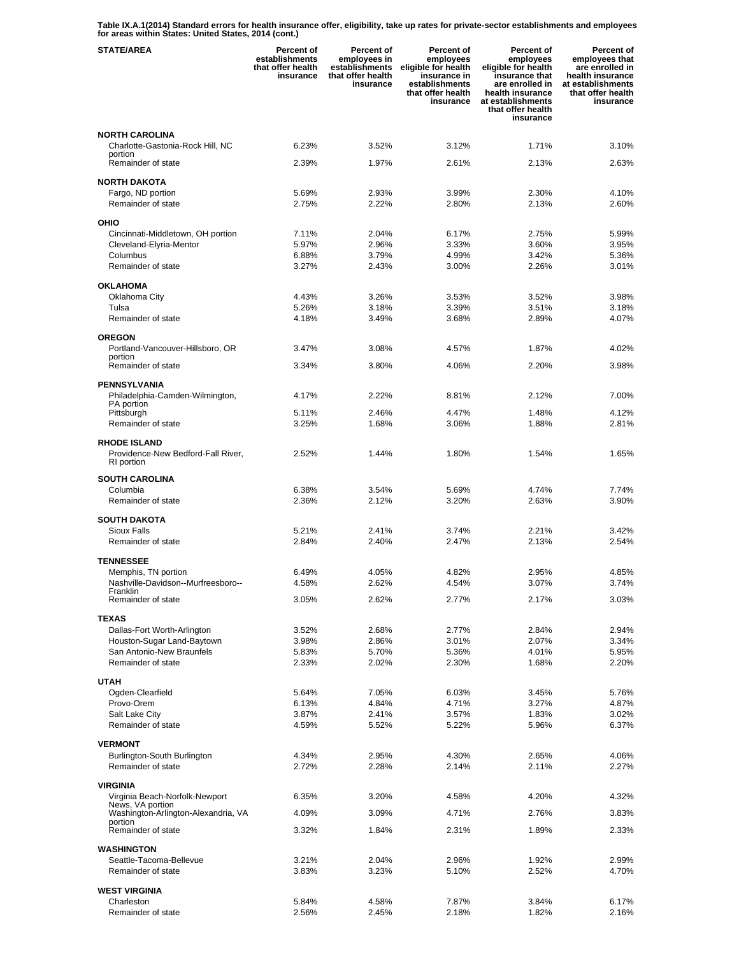**Table IX.A.1(2014) Standard errors for health insurance offer, eligibility, take up rates for private-sector establishments and employees for areas within States: United States, 2014 (cont.)** 

| <b>STATE/AREA</b>                                         | <b>Percent of</b><br>establishments<br>that offer health<br>insurance | <b>Percent of</b><br>employees in<br>establishments<br>that offer health<br>insurance | Percent of<br>employees<br>eligible for health<br>insurance in<br>establishments<br>that offer health<br>insurance | <b>Percent of</b><br>employees<br>eligible for health<br>insurance that<br>are enrolled in<br>health insurance<br>at establishments<br>that offer health<br>insurance | Percent of<br>employees that<br>are enrolled in<br>health insurance<br>at establishments<br>that offer health<br>insurance |
|-----------------------------------------------------------|-----------------------------------------------------------------------|---------------------------------------------------------------------------------------|--------------------------------------------------------------------------------------------------------------------|-----------------------------------------------------------------------------------------------------------------------------------------------------------------------|----------------------------------------------------------------------------------------------------------------------------|
| <b>NORTH CAROLINA</b>                                     |                                                                       |                                                                                       |                                                                                                                    |                                                                                                                                                                       |                                                                                                                            |
| Charlotte-Gastonia-Rock Hill, NC<br>portion               | 6.23%                                                                 | 3.52%                                                                                 | 3.12%                                                                                                              | 1.71%                                                                                                                                                                 | 3.10%                                                                                                                      |
| Remainder of state                                        | 2.39%                                                                 | 1.97%                                                                                 | 2.61%                                                                                                              | 2.13%                                                                                                                                                                 | 2.63%                                                                                                                      |
| <b>NORTH DAKOTA</b>                                       |                                                                       |                                                                                       |                                                                                                                    |                                                                                                                                                                       |                                                                                                                            |
| Fargo, ND portion<br>Remainder of state                   | 5.69%<br>2.75%                                                        | 2.93%<br>2.22%                                                                        | 3.99%<br>2.80%                                                                                                     | 2.30%<br>2.13%                                                                                                                                                        | 4.10%<br>2.60%                                                                                                             |
| <b>OHIO</b>                                               |                                                                       |                                                                                       |                                                                                                                    |                                                                                                                                                                       |                                                                                                                            |
| Cincinnati-Middletown, OH portion                         | 7.11%                                                                 | 2.04%                                                                                 | 6.17%                                                                                                              | 2.75%                                                                                                                                                                 | 5.99%                                                                                                                      |
| Cleveland-Elyria-Mentor                                   | 5.97%                                                                 | 2.96%                                                                                 | 3.33%                                                                                                              | 3.60%                                                                                                                                                                 | 3.95%                                                                                                                      |
| Columbus<br>Remainder of state                            | 6.88%<br>3.27%                                                        | 3.79%<br>2.43%                                                                        | 4.99%<br>3.00%                                                                                                     | 3.42%<br>2.26%                                                                                                                                                        | 5.36%<br>3.01%                                                                                                             |
|                                                           |                                                                       |                                                                                       |                                                                                                                    |                                                                                                                                                                       |                                                                                                                            |
| <b>OKLAHOMA</b><br>Oklahoma City                          | 4.43%                                                                 | 3.26%                                                                                 | 3.53%                                                                                                              | 3.52%                                                                                                                                                                 | 3.98%                                                                                                                      |
| Tulsa                                                     | 5.26%                                                                 | 3.18%                                                                                 | 3.39%                                                                                                              | 3.51%                                                                                                                                                                 | 3.18%                                                                                                                      |
| Remainder of state                                        | 4.18%                                                                 | 3.49%                                                                                 | 3.68%                                                                                                              | 2.89%                                                                                                                                                                 | 4.07%                                                                                                                      |
| <b>OREGON</b>                                             |                                                                       |                                                                                       |                                                                                                                    |                                                                                                                                                                       |                                                                                                                            |
| Portland-Vancouver-Hillsboro, OR                          | 3.47%                                                                 | 3.08%                                                                                 | 4.57%                                                                                                              | 1.87%                                                                                                                                                                 | 4.02%                                                                                                                      |
| portion<br>Remainder of state                             | 3.34%                                                                 | 3.80%                                                                                 | 4.06%                                                                                                              | 2.20%                                                                                                                                                                 | 3.98%                                                                                                                      |
| <b>PENNSYLVANIA</b>                                       |                                                                       |                                                                                       |                                                                                                                    |                                                                                                                                                                       |                                                                                                                            |
| Philadelphia-Camden-Wilmington,                           | 4.17%                                                                 | 2.22%                                                                                 | 8.81%                                                                                                              | 2.12%                                                                                                                                                                 | 7.00%                                                                                                                      |
| PA portion<br>Pittsburgh                                  | 5.11%                                                                 | 2.46%                                                                                 | 4.47%                                                                                                              | 1.48%                                                                                                                                                                 | 4.12%                                                                                                                      |
| Remainder of state                                        | 3.25%                                                                 | 1.68%                                                                                 | 3.06%                                                                                                              | 1.88%                                                                                                                                                                 | 2.81%                                                                                                                      |
| <b>RHODE ISLAND</b><br>Providence-New Bedford-Fall River, | 2.52%                                                                 | 1.44%                                                                                 | 1.80%                                                                                                              | 1.54%                                                                                                                                                                 | 1.65%                                                                                                                      |
| RI portion                                                |                                                                       |                                                                                       |                                                                                                                    |                                                                                                                                                                       |                                                                                                                            |
| <b>SOUTH CAROLINA</b>                                     |                                                                       |                                                                                       |                                                                                                                    |                                                                                                                                                                       |                                                                                                                            |
| Columbia<br>Remainder of state                            | 6.38%<br>2.36%                                                        | 3.54%<br>2.12%                                                                        | 5.69%<br>3.20%                                                                                                     | 4.74%<br>2.63%                                                                                                                                                        | 7.74%<br>3.90%                                                                                                             |
| <b>SOUTH DAKOTA</b>                                       |                                                                       |                                                                                       |                                                                                                                    |                                                                                                                                                                       |                                                                                                                            |
| <b>Sioux Falls</b>                                        | 5.21%                                                                 | 2.41%                                                                                 | 3.74%                                                                                                              | 2.21%                                                                                                                                                                 | 3.42%                                                                                                                      |
| Remainder of state                                        | 2.84%                                                                 | 2.40%                                                                                 | 2.47%                                                                                                              | 2.13%                                                                                                                                                                 | 2.54%                                                                                                                      |
| <b>TENNESSEE</b>                                          |                                                                       |                                                                                       |                                                                                                                    |                                                                                                                                                                       |                                                                                                                            |
| Memphis, TN portion                                       | 6.49%                                                                 | 4.05%                                                                                 | 4.82%                                                                                                              | 2.95%                                                                                                                                                                 | 4.85%                                                                                                                      |
| Nashville-Davidson--Murfreesboro--<br>Franklin            | 4.58%                                                                 | 2.62%                                                                                 | 4.54%                                                                                                              | 3.07%                                                                                                                                                                 | 3.74%                                                                                                                      |
| Remainder of state                                        | 3.05%                                                                 | 2.62%                                                                                 | 2.77%                                                                                                              | 2.17%                                                                                                                                                                 | 3.03%                                                                                                                      |
| <b>TEXAS</b>                                              |                                                                       | 2.68%                                                                                 |                                                                                                                    | 2.84%                                                                                                                                                                 |                                                                                                                            |
| Dallas-Fort Worth-Arlington<br>Houston-Sugar Land-Baytown | 3.52%<br>3.98%                                                        | 2.86%                                                                                 | 2.77%<br>3.01%                                                                                                     | 2.07%                                                                                                                                                                 | 2.94%<br>3.34%                                                                                                             |
| San Antonio-New Braunfels                                 | 5.83%                                                                 | 5.70%                                                                                 | 5.36%                                                                                                              | 4.01%                                                                                                                                                                 | 5.95%                                                                                                                      |
| Remainder of state                                        | 2.33%                                                                 | 2.02%                                                                                 | 2.30%                                                                                                              | 1.68%                                                                                                                                                                 | 2.20%                                                                                                                      |
| <b>UTAH</b>                                               |                                                                       |                                                                                       |                                                                                                                    |                                                                                                                                                                       |                                                                                                                            |
| Ogden-Clearfield                                          | 5.64%                                                                 | 7.05%                                                                                 | 6.03%                                                                                                              | 3.45%                                                                                                                                                                 | 5.76%                                                                                                                      |
| Provo-Orem<br>Salt Lake City                              | 6.13%<br>3.87%                                                        | 4.84%<br>2.41%                                                                        | 4.71%<br>3.57%                                                                                                     | 3.27%<br>1.83%                                                                                                                                                        | 4.87%<br>3.02%                                                                                                             |
| Remainder of state                                        | 4.59%                                                                 | 5.52%                                                                                 | 5.22%                                                                                                              | 5.96%                                                                                                                                                                 | 6.37%                                                                                                                      |
| <b>VERMONT</b>                                            |                                                                       |                                                                                       |                                                                                                                    |                                                                                                                                                                       |                                                                                                                            |
| Burlington-South Burlington                               | 4.34%                                                                 | 2.95%                                                                                 | 4.30%                                                                                                              | 2.65%                                                                                                                                                                 | 4.06%                                                                                                                      |
| Remainder of state                                        | 2.72%                                                                 | 2.28%                                                                                 | 2.14%                                                                                                              | 2.11%                                                                                                                                                                 | 2.27%                                                                                                                      |
| <b>VIRGINIA</b>                                           |                                                                       |                                                                                       |                                                                                                                    |                                                                                                                                                                       |                                                                                                                            |
| Virginia Beach-Norfolk-Newport<br>News, VA portion        | 6.35%                                                                 | 3.20%                                                                                 | 4.58%                                                                                                              | 4.20%                                                                                                                                                                 | 4.32%                                                                                                                      |
| Washington-Arlington-Alexandria, VA<br>portion            | 4.09%                                                                 | 3.09%                                                                                 | 4.71%                                                                                                              | 2.76%                                                                                                                                                                 | 3.83%                                                                                                                      |
| Remainder of state                                        | 3.32%                                                                 | 1.84%                                                                                 | 2.31%                                                                                                              | 1.89%                                                                                                                                                                 | 2.33%                                                                                                                      |
| <b>WASHINGTON</b>                                         |                                                                       |                                                                                       |                                                                                                                    |                                                                                                                                                                       |                                                                                                                            |
| Seattle-Tacoma-Bellevue                                   | 3.21%                                                                 | 2.04%                                                                                 | 2.96%                                                                                                              | 1.92%                                                                                                                                                                 | 2.99%                                                                                                                      |
| Remainder of state                                        | 3.83%                                                                 | 3.23%                                                                                 | 5.10%                                                                                                              | 2.52%                                                                                                                                                                 | 4.70%                                                                                                                      |
| <b>WEST VIRGINIA</b>                                      |                                                                       |                                                                                       |                                                                                                                    |                                                                                                                                                                       |                                                                                                                            |
| Charleston<br>Remainder of state                          | 5.84%<br>2.56%                                                        | 4.58%<br>2.45%                                                                        | 7.87%<br>2.18%                                                                                                     | 3.84%<br>1.82%                                                                                                                                                        | 6.17%<br>2.16%                                                                                                             |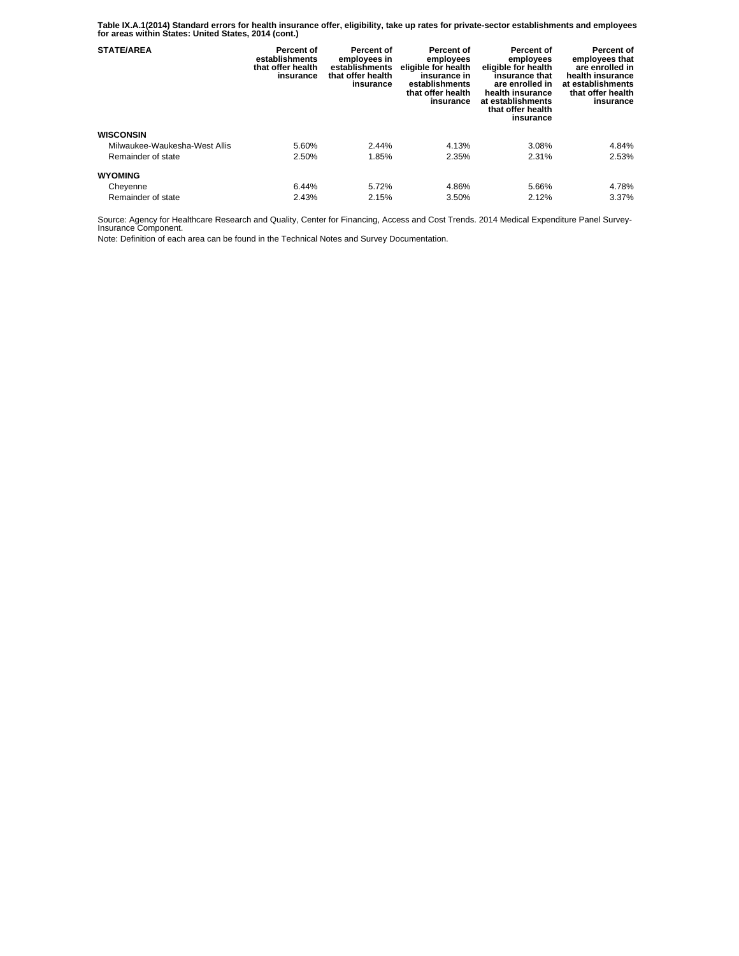**Table IX.A.1(2014) Standard errors for health insurance offer, eligibility, take up rates for private-sector establishments and employees for areas within States: United States, 2014 (cont.)** 

| <b>STATE/AREA</b>             | Percent of<br>establishments<br>that offer health<br>insurance | Percent of<br>employees in<br>establishments<br>that offer health<br>insurance | Percent of<br>employees<br>eligible for health<br>insurance in<br>establishments<br>that offer health<br>insurance | Percent of<br>employees<br>eligible for health<br>insurance that<br>are enrolled in<br>health insurance<br>at establishments<br>that offer health<br>insurance | Percent of<br>employees that<br>are enrolled in<br>health insurance<br>at establishments<br>that offer health<br>insurance |
|-------------------------------|----------------------------------------------------------------|--------------------------------------------------------------------------------|--------------------------------------------------------------------------------------------------------------------|----------------------------------------------------------------------------------------------------------------------------------------------------------------|----------------------------------------------------------------------------------------------------------------------------|
| <b>WISCONSIN</b>              |                                                                |                                                                                |                                                                                                                    |                                                                                                                                                                |                                                                                                                            |
| Milwaukee-Waukesha-West Allis | 5.60%                                                          | 2.44%                                                                          | 4.13%                                                                                                              | 3.08%                                                                                                                                                          | 4.84%                                                                                                                      |
| Remainder of state            | 2.50%                                                          | 1.85%                                                                          | 2.35%                                                                                                              | 2.31%                                                                                                                                                          | 2.53%                                                                                                                      |
| <b>WYOMING</b>                |                                                                |                                                                                |                                                                                                                    |                                                                                                                                                                |                                                                                                                            |
| Cheyenne                      | 6.44%                                                          | 5.72%                                                                          | 4.86%                                                                                                              | 5.66%                                                                                                                                                          | 4.78%                                                                                                                      |
| Remainder of state            | 2.43%                                                          | 2.15%                                                                          | 3.50%                                                                                                              | 2.12%                                                                                                                                                          | 3.37%                                                                                                                      |

Source: Agency for Healthcare Research and Quality, Center for Financing, Access and Cost Trends. 2014 Medical Expenditure Panel Survey-Insurance Component.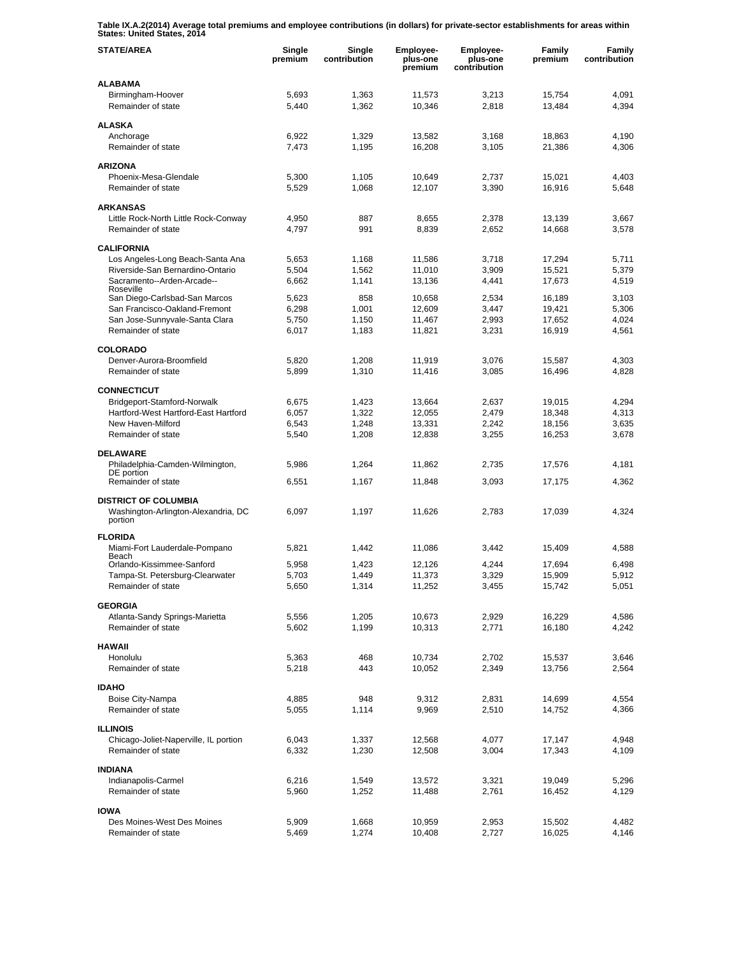**Table IX.A.2(2014) Average total premiums and employee contributions (in dollars) for private-sector establishments for areas within States: United States, 2014** 

| <b>STATE/AREA</b>                                                             | Single<br>premium | Single<br>contribution | <b>Employee-</b><br>plus-one<br>premium | <b>Employee-</b><br>plus-one<br>contribution | Family<br>premium | Family<br>contribution |
|-------------------------------------------------------------------------------|-------------------|------------------------|-----------------------------------------|----------------------------------------------|-------------------|------------------------|
| <b>ALABAMA</b>                                                                |                   |                        |                                         |                                              |                   |                        |
| Birmingham-Hoover<br>Remainder of state                                       | 5,693<br>5,440    | 1,363<br>1,362         | 11,573<br>10,346                        | 3,213<br>2,818                               | 15,754<br>13,484  | 4,091<br>4,394         |
| <b>ALASKA</b>                                                                 |                   |                        |                                         |                                              |                   |                        |
| Anchorage                                                                     | 6,922             | 1,329                  | 13,582                                  | 3,168                                        | 18,863            | 4,190                  |
| Remainder of state                                                            | 7,473             | 1,195                  | 16,208                                  | 3,105                                        | 21,386            | 4,306                  |
| <b>ARIZONA</b>                                                                |                   |                        |                                         |                                              |                   |                        |
| Phoenix-Mesa-Glendale                                                         | 5,300             | 1,105                  | 10,649                                  | 2,737                                        | 15,021            | 4,403                  |
| Remainder of state                                                            | 5,529             | 1,068                  | 12,107                                  | 3,390                                        | 16,916            | 5,648                  |
| <b>ARKANSAS</b>                                                               |                   |                        |                                         |                                              |                   |                        |
| Little Rock-North Little Rock-Conway                                          | 4,950             | 887                    | 8,655                                   | 2,378                                        | 13,139            | 3,667                  |
| Remainder of state                                                            | 4,797             | 991                    | 8,839                                   | 2,652                                        | 14,668            | 3,578                  |
| <b>CALIFORNIA</b>                                                             |                   |                        |                                         |                                              |                   |                        |
| Los Angeles-Long Beach-Santa Ana                                              | 5,653             | 1,168                  | 11,586                                  | 3,718                                        | 17,294            | 5,711                  |
| Riverside-San Bernardino-Ontario                                              | 5,504             | 1,562                  | 11,010                                  | 3,909                                        | 15,521            | 5,379                  |
| Sacramento--Arden-Arcade--                                                    | 6,662             | 1,141                  | 13,136                                  | 4,441                                        | 17,673            | 4,519                  |
| Roseville<br>San Diego-Carlsbad-San Marcos                                    | 5,623             | 858                    | 10,658                                  | 2,534                                        | 16,189            | 3,103                  |
| San Francisco-Oakland-Fremont                                                 | 6,298             | 1,001                  | 12,609                                  | 3,447                                        | 19,421            | 5,306                  |
| San Jose-Sunnyvale-Santa Clara                                                | 5,750             | 1,150                  | 11,467                                  | 2,993                                        | 17.652            | 4,024                  |
| Remainder of state                                                            | 6,017             | 1,183                  | 11,821                                  | 3,231                                        | 16,919            | 4,561                  |
|                                                                               |                   |                        |                                         |                                              |                   |                        |
| <b>COLORADO</b>                                                               |                   |                        |                                         |                                              |                   |                        |
| Denver-Aurora-Broomfield<br>Remainder of state                                | 5,820<br>5,899    | 1,208<br>1,310         | 11,919<br>11,416                        | 3,076<br>3,085                               | 15,587<br>16,496  | 4,303<br>4,828         |
|                                                                               |                   |                        |                                         |                                              |                   |                        |
| <b>CONNECTICUT</b>                                                            |                   |                        |                                         |                                              |                   |                        |
| Bridgeport-Stamford-Norwalk                                                   | 6,675             | 1,423                  | 13,664                                  | 2,637                                        | 19,015            | 4,294                  |
| Hartford-West Hartford-East Hartford                                          | 6,057             | 1,322                  | 12,055                                  | 2,479                                        | 18,348            | 4,313                  |
| New Haven-Milford<br>Remainder of state                                       | 6,543<br>5,540    | 1,248<br>1,208         | 13,331<br>12,838                        | 2,242<br>3,255                               | 18,156<br>16,253  | 3,635<br>3,678         |
|                                                                               |                   |                        |                                         |                                              |                   |                        |
| <b>DELAWARE</b>                                                               |                   |                        |                                         |                                              |                   |                        |
| Philadelphia-Camden-Wilmington,<br>DE portion                                 | 5,986             | 1,264                  | 11,862                                  | 2,735                                        | 17,576            | 4,181                  |
| Remainder of state                                                            | 6,551             | 1,167                  | 11,848                                  | 3,093                                        | 17,175            | 4,362                  |
|                                                                               |                   |                        |                                         |                                              |                   |                        |
| <b>DISTRICT OF COLUMBIA</b><br>Washington-Arlington-Alexandria, DC<br>portion | 6,097             | 1,197                  | 11,626                                  | 2,783                                        | 17,039            | 4,324                  |
|                                                                               |                   |                        |                                         |                                              |                   |                        |
| <b>FLORIDA</b>                                                                |                   |                        |                                         |                                              |                   |                        |
| Miami-Fort Lauderdale-Pompano<br>Beach                                        | 5,821             | 1,442                  | 11,086                                  | 3,442                                        | 15,409            | 4,588                  |
| Orlando-Kissimmee-Sanford                                                     | 5.958             | 1,423                  | 12,126                                  | 4,244                                        | 17,694            | 6,498                  |
| Tampa-St. Petersburg-Clearwater                                               | 5,703             | 1,449                  | 11,373                                  | 3,329                                        | 15,909            | 5,912                  |
| Remainder of state                                                            | 5,650             | 1,314                  | 11,252                                  | 3,455                                        | 15,742            | 5,051                  |
| <b>GEORGIA</b>                                                                |                   |                        |                                         |                                              |                   |                        |
| Atlanta-Sandy Springs-Marietta                                                | 5,556             | 1,205                  | 10,673                                  | 2,929                                        | 16,229            | 4,586                  |
| Remainder of state                                                            | 5,602             | 1,199                  | 10,313                                  | 2,771                                        | 16,180            | 4,242                  |
| <b>HAWAII</b>                                                                 |                   |                        |                                         |                                              |                   |                        |
| Honolulu                                                                      | 5,363             | 468                    | 10,734                                  | 2,702                                        | 15,537            | 3,646                  |
| Remainder of state                                                            | 5,218             | 443                    | 10,052                                  | 2,349                                        | 13,756            | 2,564                  |
| <b>IDAHO</b>                                                                  |                   |                        |                                         |                                              |                   |                        |
| Boise City-Nampa                                                              | 4,885             | 948                    | 9,312                                   | 2,831                                        | 14,699            | 4,554                  |
| Remainder of state                                                            | 5,055             | 1,114                  | 9,969                                   | 2,510                                        | 14,752            | 4,366                  |
|                                                                               |                   |                        |                                         |                                              |                   |                        |
| <b>ILLINOIS</b>                                                               |                   |                        |                                         |                                              |                   |                        |
| Chicago-Joliet-Naperville, IL portion<br>Remainder of state                   | 6,043             | 1,337                  | 12,568                                  | 4,077                                        | 17,147            | 4,948<br>4,109         |
|                                                                               | 6,332             | 1,230                  | 12,508                                  | 3,004                                        | 17,343            |                        |
| <b>INDIANA</b>                                                                |                   |                        |                                         |                                              |                   |                        |
| Indianapolis-Carmel                                                           | 6,216             | 1,549                  | 13,572                                  | 3,321                                        | 19,049            | 5,296                  |
| Remainder of state                                                            | 5,960             | 1,252                  | 11,488                                  | 2,761                                        | 16,452            | 4,129                  |
| <b>IOWA</b>                                                                   |                   |                        |                                         |                                              |                   |                        |
| Des Moines-West Des Moines                                                    | 5,909             | 1,668                  | 10,959                                  | 2,953                                        | 15,502            | 4,482                  |
| Remainder of state                                                            | 5,469             | 1,274                  | 10,408                                  | 2,727                                        | 16,025            | 4,146                  |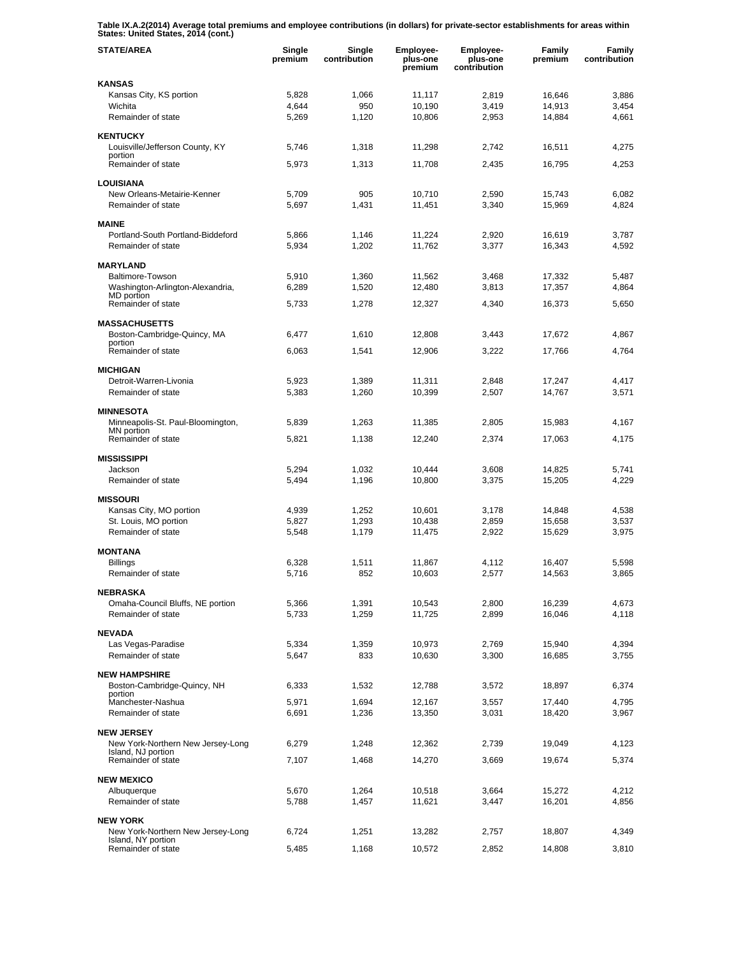**Table IX.A.2(2014) Average total premiums and employee contributions (in dollars) for private-sector establishments for areas within States: United States, 2014 (cont.)** 

| <b>STATE/AREA</b>                          | Single<br>premium | Single<br>contribution | Employee-<br>plus-one<br>premium | Employee-<br>plus-one<br>contribution | Family<br>premium | Family<br>contribution |
|--------------------------------------------|-------------------|------------------------|----------------------------------|---------------------------------------|-------------------|------------------------|
| <b>KANSAS</b>                              |                   |                        |                                  |                                       |                   |                        |
| Kansas City, KS portion                    | 5,828             | 1,066                  | 11,117                           | 2,819                                 | 16,646            | 3,886                  |
| Wichita                                    | 4,644             | 950                    | 10,190                           | 3,419                                 | 14,913            | 3,454                  |
| Remainder of state                         | 5,269             | 1,120                  | 10,806                           | 2,953                                 | 14,884            | 4,661                  |
| <b>KENTUCKY</b>                            |                   |                        |                                  |                                       |                   |                        |
| Louisville/Jefferson County, KY            | 5,746             | 1,318                  | 11,298                           | 2,742                                 | 16,511            | 4,275                  |
| portion<br>Remainder of state              | 5.973             | 1,313                  | 11,708                           | 2,435                                 | 16,795            | 4,253                  |
|                                            |                   |                        |                                  |                                       |                   |                        |
| <b>LOUISIANA</b>                           |                   |                        |                                  |                                       |                   |                        |
| New Orleans-Metairie-Kenner                | 5.709             | 905                    | 10,710                           | 2,590                                 | 15,743            | 6,082                  |
| Remainder of state                         | 5,697             | 1,431                  | 11,451                           | 3,340                                 | 15,969            | 4,824                  |
| <b>MAINE</b>                               |                   |                        |                                  |                                       |                   |                        |
| Portland-South Portland-Biddeford          | 5,866             | 1,146                  | 11,224                           | 2,920                                 | 16,619            | 3,787                  |
| Remainder of state                         | 5,934             | 1,202                  | 11,762                           | 3,377                                 | 16,343            | 4,592                  |
|                                            |                   |                        |                                  |                                       |                   |                        |
| <b>MARYLAND</b><br>Baltimore-Towson        |                   |                        |                                  |                                       | 17,332            | 5,487                  |
| Washington-Arlington-Alexandria,           | 5,910<br>6,289    | 1,360<br>1,520         | 11,562<br>12,480                 | 3,468<br>3,813                        | 17,357            | 4,864                  |
| MD portion                                 |                   |                        |                                  |                                       |                   |                        |
| Remainder of state                         | 5,733             | 1,278                  | 12,327                           | 4,340                                 | 16,373            | 5,650                  |
| <b>MASSACHUSETTS</b>                       |                   |                        |                                  |                                       |                   |                        |
| Boston-Cambridge-Quincy, MA                | 6,477             | 1,610                  | 12,808                           | 3,443                                 | 17,672            | 4,867                  |
| portion                                    |                   |                        |                                  |                                       |                   |                        |
| Remainder of state                         | 6,063             | 1,541                  | 12,906                           | 3,222                                 | 17,766            | 4,764                  |
| <b>MICHIGAN</b>                            |                   |                        |                                  |                                       |                   |                        |
| Detroit-Warren-Livonia                     | 5,923             | 1,389                  | 11,311                           | 2,848                                 | 17,247            | 4,417                  |
| Remainder of state                         | 5,383             | 1,260                  | 10,399                           | 2,507                                 | 14,767            | 3,571                  |
| <b>MINNESOTA</b>                           |                   |                        |                                  |                                       |                   |                        |
| Minneapolis-St. Paul-Bloomington,          | 5,839             | 1,263                  | 11,385                           | 2,805                                 | 15,983            | 4,167                  |
| MN portion                                 |                   |                        |                                  |                                       |                   |                        |
| Remainder of state                         | 5,821             | 1,138                  | 12,240                           | 2,374                                 | 17,063            | 4,175                  |
| <b>MISSISSIPPI</b>                         |                   |                        |                                  |                                       |                   |                        |
| Jackson                                    | 5,294             | 1,032                  | 10,444                           | 3,608                                 | 14,825            | 5,741                  |
| Remainder of state                         | 5,494             | 1,196                  | 10,800                           | 3,375                                 | 15,205            | 4,229                  |
|                                            |                   |                        |                                  |                                       |                   |                        |
| <b>MISSOURI</b><br>Kansas City, MO portion | 4,939             | 1,252                  | 10,601                           | 3,178                                 | 14,848            | 4,538                  |
| St. Louis, MO portion                      | 5,827             | 1,293                  | 10,438                           | 2,859                                 | 15,658            | 3,537                  |
| Remainder of state                         | 5,548             | 1,179                  | 11,475                           | 2,922                                 | 15,629            | 3,975                  |
|                                            |                   |                        |                                  |                                       |                   |                        |
| <b>MONTANA</b>                             |                   |                        |                                  |                                       |                   |                        |
| <b>Billings</b>                            | 6,328             | 1,511                  | 11,867                           | 4,112                                 | 16,407            | 5,598                  |
| Remainder of state                         | 5,716             | 852                    | 10,603                           | 2,577                                 | 14,563            | 3,865                  |
| <b>NEBRASKA</b>                            |                   |                        |                                  |                                       |                   |                        |
| Omaha-Council Bluffs, NE portion           | 5,366             | 1,391                  | 10,543                           | 2,800                                 | 16,239            | 4,673                  |
| Remainder of state                         | 5,733             | 1,259                  | 11,725                           | 2,899                                 | 16,046            | 4,118                  |
| <b>NEVADA</b>                              |                   |                        |                                  |                                       |                   |                        |
| Las Vegas-Paradise                         | 5,334             | 1,359                  | 10,973                           | 2,769                                 | 15,940            | 4,394                  |
| Remainder of state                         | 5.647             | 833                    | 10,630                           | 3,300                                 | 16,685            | 3,755                  |
|                                            |                   |                        |                                  |                                       |                   |                        |
| <b>NEW HAMPSHIRE</b>                       |                   |                        |                                  |                                       |                   |                        |
| Boston-Cambridge-Quincy, NH<br>portion     | 6,333             | 1,532                  | 12,788                           | 3,572                                 | 18,897            | 6,374                  |
| Manchester-Nashua                          | 5,971             | 1,694                  | 12,167                           | 3,557                                 | 17,440            | 4,795                  |
| Remainder of state                         | 6,691             | 1,236                  | 13,350                           | 3,031                                 | 18,420            | 3,967                  |
| <b>NEW JERSEY</b>                          |                   |                        |                                  |                                       |                   |                        |
| New York-Northern New Jersey-Long          | 6,279             | 1,248                  | 12,362                           | 2,739                                 | 19,049            | 4,123                  |
| Island, NJ portion                         |                   |                        |                                  |                                       |                   |                        |
| Remainder of state                         | 7,107             | 1,468                  | 14,270                           | 3,669                                 | 19,674            | 5,374                  |
| <b>NEW MEXICO</b>                          |                   |                        |                                  |                                       |                   |                        |
| Albuquerque                                | 5,670             | 1,264                  | 10,518                           | 3,664                                 | 15,272            | 4,212                  |
| Remainder of state                         | 5,788             | 1,457                  | 11,621                           | 3,447                                 | 16,201            | 4,856                  |
| <b>NEW YORK</b>                            |                   |                        |                                  |                                       |                   |                        |
| New York-Northern New Jersey-Long          | 6,724             | 1,251                  | 13,282                           | 2,757                                 | 18,807            | 4,349                  |
| Island, NY portion                         |                   |                        |                                  |                                       |                   |                        |
| Remainder of state                         | 5,485             | 1,168                  | 10,572                           | 2,852                                 | 14,808            | 3,810                  |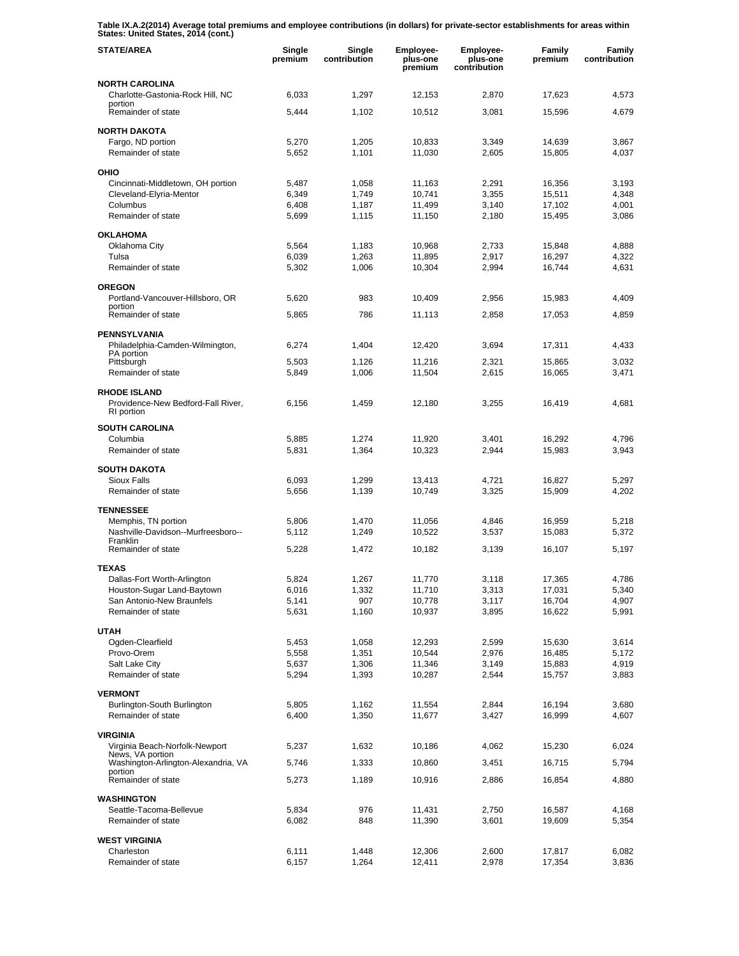**Table IX.A.2(2014) Average total premiums and employee contributions (in dollars) for private-sector establishments for areas within States: United States, 2014 (cont.)** 

| <b>STATE/AREA</b>                                                       | Single<br>premium | Single<br>contribution | <b>Employee-</b><br>plus-one<br>premium | <b>Employee-</b><br>plus-one<br>contribution | Family<br>premium | Family<br>contribution |
|-------------------------------------------------------------------------|-------------------|------------------------|-----------------------------------------|----------------------------------------------|-------------------|------------------------|
| <b>NORTH CAROLINA</b>                                                   |                   |                        |                                         |                                              |                   |                        |
| Charlotte-Gastonia-Rock Hill, NC<br>portion<br>Remainder of state       | 6,033<br>5,444    | 1,297<br>1,102         | 12,153<br>10,512                        | 2,870<br>3,081                               | 17,623<br>15,596  | 4,573<br>4,679         |
| <b>NORTH DAKOTA</b>                                                     |                   |                        |                                         |                                              |                   |                        |
| Fargo, ND portion<br>Remainder of state                                 | 5,270<br>5,652    | 1,205<br>1,101         | 10,833<br>11,030                        | 3,349<br>2,605                               | 14,639<br>15,805  | 3,867<br>4,037         |
| OHIO                                                                    |                   |                        |                                         |                                              |                   |                        |
| Cincinnati-Middletown, OH portion                                       | 5,487             | 1,058                  | 11,163                                  | 2,291                                        | 16,356            | 3,193                  |
| Cleveland-Elyria-Mentor<br>Columbus                                     | 6,349<br>6,408    | 1,749<br>1,187         | 10,741<br>11,499                        | 3,355<br>3,140                               | 15,511<br>17,102  | 4,348<br>4,001         |
| Remainder of state                                                      | 5,699             | 1,115                  | 11,150                                  | 2,180                                        | 15,495            | 3,086                  |
| <b>OKLAHOMA</b>                                                         |                   |                        |                                         |                                              |                   |                        |
| Oklahoma City                                                           | 5,564             | 1,183                  | 10,968                                  | 2,733                                        | 15,848            | 4,888                  |
| Tulsa<br>Remainder of state                                             | 6,039<br>5,302    | 1,263<br>1,006         | 11,895<br>10,304                        | 2,917<br>2,994                               | 16,297<br>16,744  | 4,322<br>4,631         |
| <b>OREGON</b>                                                           |                   |                        |                                         |                                              |                   |                        |
| Portland-Vancouver-Hillsboro, OR                                        | 5,620             | 983                    | 10,409                                  | 2,956                                        | 15,983            | 4,409                  |
| portion<br>Remainder of state                                           | 5,865             | 786                    | 11,113                                  | 2,858                                        | 17,053            | 4,859                  |
| <b>PENNSYLVANIA</b>                                                     |                   |                        |                                         |                                              |                   |                        |
| Philadelphia-Camden-Wilmington,                                         | 6,274             | 1,404                  | 12,420                                  | 3,694                                        | 17,311            | 4,433                  |
| PA portion<br>Pittsburgh                                                | 5,503             | 1,126                  | 11,216                                  | 2,321                                        | 15,865            | 3,032                  |
| Remainder of state                                                      | 5,849             | 1,006                  | 11,504                                  | 2,615                                        | 16,065            | 3,471                  |
| <b>RHODE ISLAND</b><br>Providence-New Bedford-Fall River,<br>RI portion | 6,156             | 1,459                  | 12,180                                  | 3,255                                        | 16,419            | 4,681                  |
| <b>SOUTH CAROLINA</b>                                                   |                   |                        |                                         |                                              |                   |                        |
| Columbia                                                                | 5,885             | 1,274                  | 11,920                                  | 3,401                                        | 16,292            | 4,796                  |
| Remainder of state                                                      | 5,831             | 1,364                  | 10,323                                  | 2,944                                        | 15,983            | 3,943                  |
| <b>SOUTH DAKOTA</b>                                                     |                   |                        |                                         |                                              |                   |                        |
| <b>Sioux Falls</b><br>Remainder of state                                | 6,093<br>5,656    | 1,299<br>1,139         | 13,413<br>10,749                        | 4,721<br>3,325                               | 16,827<br>15,909  | 5,297<br>4,202         |
| <b>TENNESSEE</b>                                                        |                   |                        |                                         |                                              |                   |                        |
| Memphis, TN portion                                                     | 5,806             | 1,470                  | 11,056                                  | 4,846                                        | 16,959            | 5,218                  |
| Nashville-Davidson--Murfreesboro--<br>Franklin                          | 5,112             | 1,249                  | 10,522                                  | 3,537                                        | 15,083            | 5,372                  |
| Remainder of state                                                      | 5,228             | 1,472                  | 10,182                                  | 3,139                                        | 16,107            | 5,197                  |
| <b>TEXAS</b>                                                            |                   |                        |                                         |                                              |                   |                        |
| Dallas-Fort Worth-Arlington<br>Houston-Sugar Land-Baytown               | 5,824<br>6,016    | 1,267                  | 11,770                                  | 3,118                                        | 17,365            | 4,786                  |
| San Antonio-New Braunfels                                               | 5,141             | 1,332<br>907           | 11,710<br>10,778                        | 3,313<br>3,117                               | 17,031<br>16,704  | 5,340<br>4,907         |
| Remainder of state                                                      | 5,631             | 1,160                  | 10,937                                  | 3,895                                        | 16,622            | 5,991                  |
| <b>UTAH</b>                                                             |                   |                        |                                         |                                              |                   |                        |
| Ogden-Clearfield                                                        | 5,453             | 1,058                  | 12,293                                  | 2,599                                        | 15,630            | 3,614                  |
| Provo-Orem<br>Salt Lake City                                            | 5,558<br>5,637    | 1,351<br>1,306         | 10,544<br>11,346                        | 2,976<br>3,149                               | 16,485<br>15,883  | 5,172<br>4,919         |
| Remainder of state                                                      | 5,294             | 1,393                  | 10,287                                  | 2,544                                        | 15,757            | 3,883                  |
| <b>VERMONT</b>                                                          |                   |                        |                                         |                                              |                   |                        |
| Burlington-South Burlington                                             | 5,805             | 1,162                  | 11,554                                  | 2,844                                        | 16,194            | 3,680                  |
| Remainder of state                                                      | 6,400             | 1,350                  | 11,677                                  | 3,427                                        | 16,999            | 4,607                  |
| <b>VIRGINIA</b>                                                         |                   |                        |                                         |                                              |                   |                        |
| Virginia Beach-Norfolk-Newport<br>News, VA portion                      | 5,237             | 1,632                  | 10,186                                  | 4,062                                        | 15,230            | 6,024                  |
| Washington-Arlington-Alexandria, VA<br>portion                          | 5,746             | 1,333                  | 10,860                                  | 3,451                                        | 16,715            | 5,794                  |
| Remainder of state                                                      | 5,273             | 1,189                  | 10,916                                  | 2,886                                        | 16,854            | 4,880                  |
| <b>WASHINGTON</b><br>Seattle-Tacoma-Bellevue                            | 5,834             | 976                    | 11,431                                  |                                              | 16,587            |                        |
| Remainder of state                                                      | 6,082             | 848                    | 11,390                                  | 2,750<br>3,601                               | 19,609            | 4,168<br>5,354         |
| <b>WEST VIRGINIA</b>                                                    |                   |                        |                                         |                                              |                   |                        |
| Charleston                                                              | 6,111             | 1,448                  | 12,306                                  | 2,600                                        | 17,817            | 6,082                  |
| Remainder of state                                                      | 6,157             | 1,264                  | 12,411                                  | 2,978                                        | 17,354            | 3,836                  |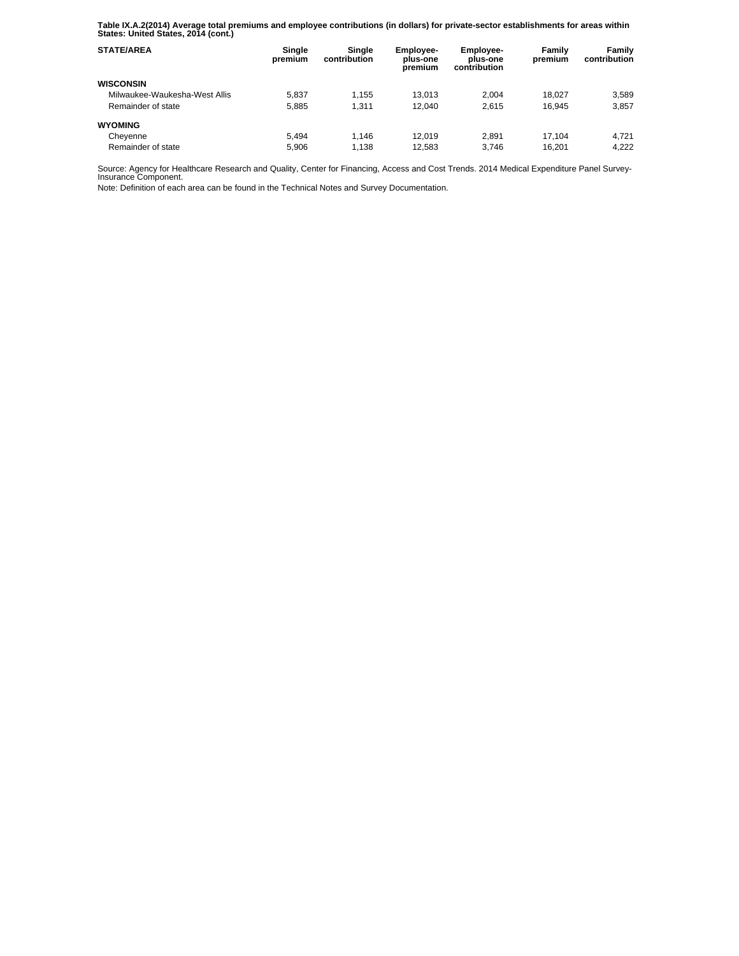**Table IX.A.2(2014) Average total premiums and employee contributions (in dollars) for private-sector establishments for areas within States: United States, 2014 (cont.)** 

| <b>STATE/AREA</b>             | Single<br>premium | Sinale<br>contribution | Employee-<br>plus-one<br>premium | <b>Employee-</b><br>plus-one<br>contribution | Family<br>premium | Family<br>contribution |
|-------------------------------|-------------------|------------------------|----------------------------------|----------------------------------------------|-------------------|------------------------|
| <b>WISCONSIN</b>              |                   |                        |                                  |                                              |                   |                        |
| Milwaukee-Waukesha-West Allis | 5.837             | 1.155                  | 13.013                           | 2.004                                        | 18.027            | 3.589                  |
| Remainder of state            | 5.885             | 1.311                  | 12.040                           | 2.615                                        | 16.945            | 3.857                  |
| <b>WYOMING</b>                |                   |                        |                                  |                                              |                   |                        |
| Cheyenne                      | 5.494             | 1.146                  | 12.019                           | 2.891                                        | 17.104            | 4.721                  |
| Remainder of state            | 5.906             | 1.138                  | 12.583                           | 3.746                                        | 16.201            | 4.222                  |

Source: Agency for Healthcare Research and Quality, Center for Financing, Access and Cost Trends. 2014 Medical Expenditure Panel Survey-Insurance Component.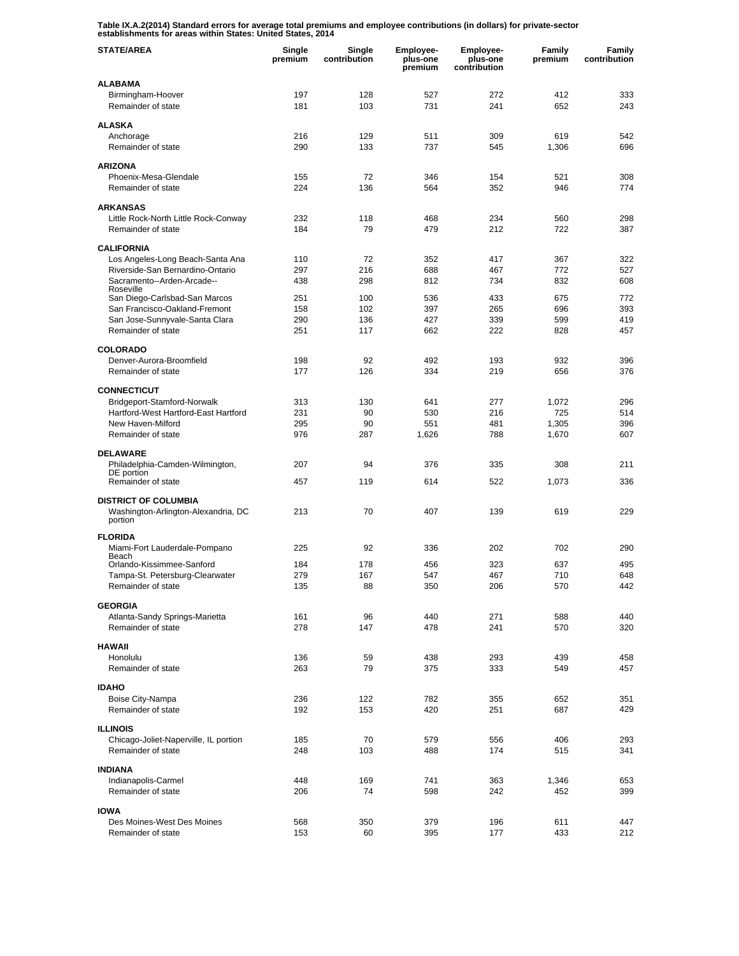**Table IX.A.2(2014) Standard errors for average total premiums and employee contributions (in dollars) for private-sector establishments for areas within States: United States, 2014** 

| <b>STATE/AREA</b>                                                   | Single<br>premium | Single<br>contribution | Employee-<br>plus-one<br>premium | Employee-<br>plus-one<br>contribution | Family<br>premium | Family<br>contribution |
|---------------------------------------------------------------------|-------------------|------------------------|----------------------------------|---------------------------------------|-------------------|------------------------|
| <b>ALABAMA</b>                                                      |                   |                        |                                  |                                       |                   |                        |
| Birmingham-Hoover<br>Remainder of state                             | 197<br>181        | 128<br>103             | 527<br>731                       | 272<br>241                            | 412<br>652        | 333<br>243             |
| <b>ALASKA</b>                                                       |                   |                        |                                  |                                       |                   |                        |
| Anchorage<br>Remainder of state                                     | 216<br>290        | 129<br>133             | 511<br>737                       | 309<br>545                            | 619<br>1,306      | 542<br>696             |
|                                                                     |                   |                        |                                  |                                       |                   |                        |
| <b>ARIZONA</b><br>Phoenix-Mesa-Glendale                             | 155               | 72                     | 346                              | 154                                   | 521               | 308                    |
| Remainder of state                                                  | 224               | 136                    | 564                              | 352                                   | 946               | 774                    |
| <b>ARKANSAS</b>                                                     |                   |                        |                                  |                                       |                   |                        |
| Little Rock-North Little Rock-Conway                                | 232               | 118                    | 468                              | 234                                   | 560               | 298                    |
| Remainder of state                                                  | 184               | 79                     | 479                              | 212                                   | 722               | 387                    |
| <b>CALIFORNIA</b>                                                   |                   |                        |                                  |                                       |                   |                        |
| Los Angeles-Long Beach-Santa Ana                                    | 110               | 72                     | 352                              | 417                                   | 367               | 322                    |
| Riverside-San Bernardino-Ontario<br>Sacramento--Arden-Arcade--      | 297<br>438        | 216<br>298             | 688<br>812                       | 467<br>734                            | 772<br>832        | 527<br>608             |
| Roseville<br>San Diego-Carlsbad-San Marcos                          | 251               | 100                    | 536                              | 433                                   | 675               | 772                    |
| San Francisco-Oakland-Fremont                                       | 158               | 102                    | 397                              | 265                                   | 696               | 393                    |
| San Jose-Sunnyvale-Santa Clara                                      | 290               | 136                    | 427                              | 339                                   | 599               | 419                    |
| Remainder of state                                                  | 251               | 117                    | 662                              | 222                                   | 828               | 457                    |
| <b>COLORADO</b>                                                     |                   |                        |                                  |                                       |                   |                        |
| Denver-Aurora-Broomfield<br>Remainder of state                      | 198<br>177        | 92<br>126              | 492<br>334                       | 193<br>219                            | 932<br>656        | 396<br>376             |
|                                                                     |                   |                        |                                  |                                       |                   |                        |
| <b>CONNECTICUT</b>                                                  |                   |                        | 641                              | 277                                   |                   | 296                    |
| Bridgeport-Stamford-Norwalk<br>Hartford-West Hartford-East Hartford | 313<br>231        | 130<br>90              | 530                              | 216                                   | 1,072<br>725      | 514                    |
| New Haven-Milford                                                   | 295               | 90                     | 551                              | 481                                   | 1,305             | 396                    |
| Remainder of state                                                  | 976               | 287                    | 1,626                            | 788                                   | 1,670             | 607                    |
| <b>DELAWARE</b>                                                     |                   |                        |                                  |                                       |                   |                        |
| Philadelphia-Camden-Wilmington,<br>DE portion                       | 207               | 94                     | 376                              | 335                                   | 308               | 211                    |
| Remainder of state                                                  | 457               | 119                    | 614                              | 522                                   | 1,073             | 336                    |
| <b>DISTRICT OF COLUMBIA</b>                                         |                   |                        |                                  |                                       |                   |                        |
| Washington-Arlington-Alexandria, DC<br>portion                      | 213               | 70                     | 407                              | 139                                   | 619               | 229                    |
| <b>FLORIDA</b>                                                      |                   |                        |                                  |                                       |                   |                        |
| Miami-Fort Lauderdale-Pompano<br>Beach                              | 225               | 92                     | 336                              | 202                                   | 702               | 290                    |
| Orlando-Kissimmee-Sanford                                           | 184               | 178                    | 456                              | 323                                   | 637               | 495                    |
| Tampa-St. Petersburg-Clearwater<br>Remainder of state               | 279<br>135        | 167<br>88              | 547<br>350                       | 467<br>206                            | 710<br>570        | 648<br>442             |
|                                                                     |                   |                        |                                  |                                       |                   |                        |
| <b>GEORGIA</b><br>Atlanta-Sandy Springs-Marietta                    | 161               | 96                     | 440                              | 271                                   | 588               | 440                    |
| Remainder of state                                                  | 278               | 147                    | 478                              | 241                                   | 570               | 320                    |
| <b>HAWAII</b>                                                       |                   |                        |                                  |                                       |                   |                        |
| Honolulu                                                            | 136               | 59                     | 438                              | 293                                   | 439               | 458                    |
| Remainder of state                                                  | 263               | 79                     | 375                              | 333                                   | 549               | 457                    |
| <b>IDAHO</b>                                                        |                   |                        |                                  |                                       |                   |                        |
| Boise City-Nampa                                                    | 236               | 122                    | 782                              | 355                                   | 652               | 351                    |
| Remainder of state                                                  | 192               | 153                    | 420                              | 251                                   | 687               | 429                    |
| <b>ILLINOIS</b>                                                     |                   |                        |                                  |                                       |                   |                        |
| Chicago-Joliet-Naperville, IL portion<br>Remainder of state         | 185<br>248        | 70<br>103              | 579<br>488                       | 556<br>174                            | 406<br>515        | 293<br>341             |
|                                                                     |                   |                        |                                  |                                       |                   |                        |
| <b>INDIANA</b><br>Indianapolis-Carmel                               | 448               | 169                    | 741                              | 363                                   | 1,346             | 653                    |
| Remainder of state                                                  | 206               | 74                     | 598                              | 242                                   | 452               | 399                    |
| <b>IOWA</b>                                                         |                   |                        |                                  |                                       |                   |                        |
| Des Moines-West Des Moines                                          | 568               | 350                    | 379                              | 196                                   | 611               | 447                    |
| Remainder of state                                                  | 153               | 60                     | 395                              | 177                                   | 433               | 212                    |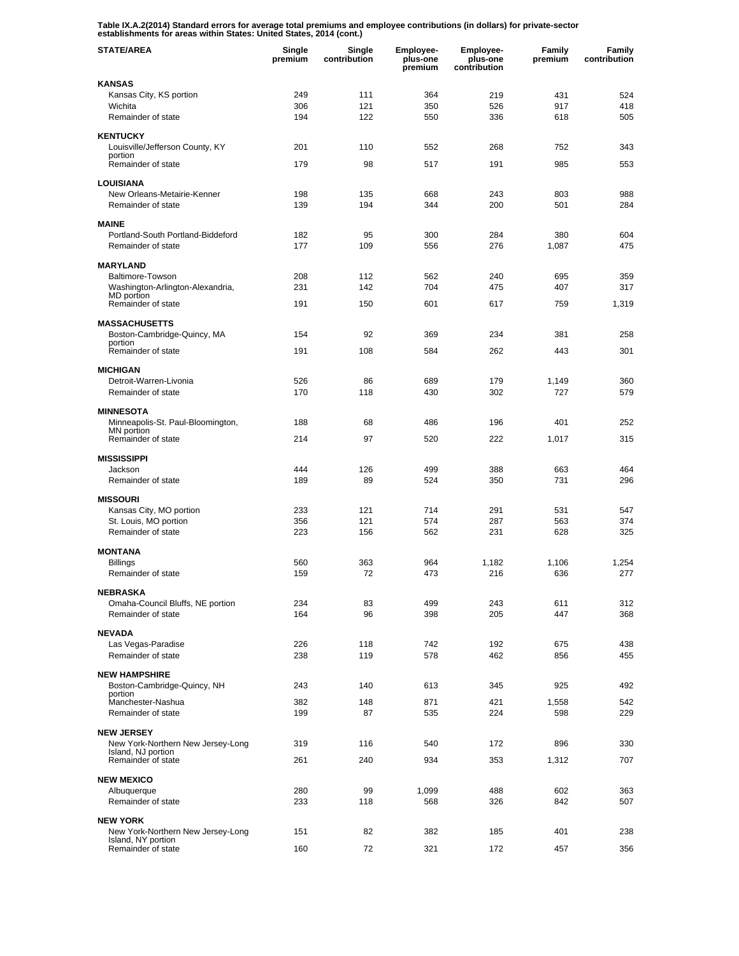**Table IX.A.2(2014) Standard errors for average total premiums and employee contributions (in dollars) for private-sector establishments for areas within States: United States, 2014 (cont.)** 

| <b>STATE/AREA</b>                                       | Single<br>premium | Single<br>contribution | Employee-<br>plus-one<br>premium | <b>Employee-</b><br>plus-one<br>contribution | Family<br>premium | Family<br>contribution |
|---------------------------------------------------------|-------------------|------------------------|----------------------------------|----------------------------------------------|-------------------|------------------------|
| <b>KANSAS</b>                                           |                   |                        |                                  |                                              |                   |                        |
| Kansas City, KS portion                                 | 249               | 111                    | 364                              | 219                                          | 431               | 524                    |
| Wichita<br>Remainder of state                           | 306<br>194        | 121<br>122             | 350<br>550                       | 526<br>336                                   | 917<br>618        | 418<br>505             |
|                                                         |                   |                        |                                  |                                              |                   |                        |
| <b>KENTUCKY</b>                                         |                   |                        |                                  |                                              |                   |                        |
| Louisville/Jefferson County, KY<br>portion              | 201               | 110                    | 552                              | 268                                          | 752               | 343                    |
| Remainder of state                                      | 179               | 98                     | 517                              | 191                                          | 985               | 553                    |
| <b>LOUISIANA</b>                                        |                   |                        |                                  |                                              |                   |                        |
| New Orleans-Metairie-Kenner                             | 198               | 135                    | 668                              | 243                                          | 803               | 988                    |
| Remainder of state                                      | 139               | 194                    | 344                              | 200                                          | 501               | 284                    |
| <b>MAINE</b>                                            |                   |                        |                                  |                                              |                   |                        |
| Portland-South Portland-Biddeford                       | 182               | 95                     | 300                              | 284                                          | 380               | 604                    |
| Remainder of state                                      | 177               | 109                    | 556                              | 276                                          | 1,087             | 475                    |
| <b>MARYLAND</b>                                         |                   |                        |                                  |                                              |                   |                        |
| <b>Baltimore-Towson</b>                                 | 208               | 112                    | 562                              | 240                                          | 695               | 359                    |
| Washington-Arlington-Alexandria,                        | 231               | 142                    | 704                              | 475                                          | 407               | 317                    |
| MD portion<br>Remainder of state                        | 191               | 150                    | 601                              | 617                                          | 759               | 1,319                  |
|                                                         |                   |                        |                                  |                                              |                   |                        |
| <b>MASSACHUSETTS</b>                                    |                   |                        |                                  |                                              |                   |                        |
| Boston-Cambridge-Quincy, MA<br>portion                  | 154               | 92                     | 369                              | 234                                          | 381               | 258                    |
| Remainder of state                                      | 191               | 108                    | 584                              | 262                                          | 443               | 301                    |
| <b>MICHIGAN</b>                                         |                   |                        |                                  |                                              |                   |                        |
| Detroit-Warren-Livonia                                  | 526               | 86                     | 689                              | 179                                          | 1,149             | 360                    |
| Remainder of state                                      | 170               | 118                    | 430                              | 302                                          | 727               | 579                    |
| <b>MINNESOTA</b>                                        |                   |                        |                                  |                                              |                   |                        |
| Minneapolis-St. Paul-Bloomington,                       | 188               | 68                     | 486                              | 196                                          | 401               | 252                    |
| MN portion<br>Remainder of state                        | 214               | 97                     | 520                              | 222                                          | 1,017             | 315                    |
|                                                         |                   |                        |                                  |                                              |                   |                        |
| <b>MISSISSIPPI</b>                                      |                   |                        |                                  |                                              |                   |                        |
| Jackson<br>Remainder of state                           | 444<br>189        | 126<br>89              | 499<br>524                       | 388<br>350                                   | 663<br>731        | 464<br>296             |
|                                                         |                   |                        |                                  |                                              |                   |                        |
| <b>MISSOURI</b>                                         | 233               | 121                    | 714                              | 291                                          | 531               | 547                    |
| Kansas City, MO portion<br>St. Louis, MO portion        | 356               | 121                    | 574                              | 287                                          | 563               | 374                    |
| Remainder of state                                      | 223               | 156                    | 562                              | 231                                          | 628               | 325                    |
|                                                         |                   |                        |                                  |                                              |                   |                        |
| <b>MONTANA</b><br><b>Billings</b>                       | 560               | 363                    | 964                              | 1,182                                        | 1,106             | 1,254                  |
| Remainder of state                                      | 159               | 72                     | 473                              | 216                                          | 636               | 277                    |
|                                                         |                   |                        |                                  |                                              |                   |                        |
| <b>NEBRASKA</b><br>Omaha-Council Bluffs, NE portion     | 234               | 83                     | 499                              | 243                                          | 611               | 312                    |
| Remainder of state                                      | 164               | 96                     | 398                              | 205                                          | 447               | 368                    |
|                                                         |                   |                        |                                  |                                              |                   |                        |
| <b>NEVADA</b><br>Las Vegas-Paradise                     | 226               | 118                    | 742                              | 192                                          | 675               | 438                    |
| Remainder of state                                      | 238               | 119                    | 578                              | 462                                          | 856               | 455                    |
|                                                         |                   |                        |                                  |                                              |                   |                        |
| <b>NEW HAMPSHIRE</b><br>Boston-Cambridge-Quincy, NH     | 243               | 140                    | 613                              | 345                                          | 925               | 492                    |
| portion                                                 |                   |                        |                                  |                                              |                   |                        |
| Manchester-Nashua                                       | 382               | 148                    | 871                              | 421                                          | 1,558             | 542                    |
| Remainder of state                                      | 199               | 87                     | 535                              | 224                                          | 598               | 229                    |
| <b>NEW JERSEY</b>                                       |                   |                        |                                  |                                              |                   |                        |
| New York-Northern New Jersey-Long<br>Island, NJ portion | 319               | 116                    | 540                              | 172                                          | 896               | 330                    |
| Remainder of state                                      | 261               | 240                    | 934                              | 353                                          | 1,312             | 707                    |
| <b>NEW MEXICO</b>                                       |                   |                        |                                  |                                              |                   |                        |
| Albuquerque                                             | 280               | 99                     | 1,099                            | 488                                          | 602               | 363                    |
| Remainder of state                                      | 233               | 118                    | 568                              | 326                                          | 842               | 507                    |
| <b>NEW YORK</b>                                         |                   |                        |                                  |                                              |                   |                        |
| New York-Northern New Jersey-Long                       | 151               | 82                     | 382                              | 185                                          | 401               | 238                    |
| Island, NY portion<br>Remainder of state                | 160               | 72                     | 321                              | 172                                          | 457               | 356                    |
|                                                         |                   |                        |                                  |                                              |                   |                        |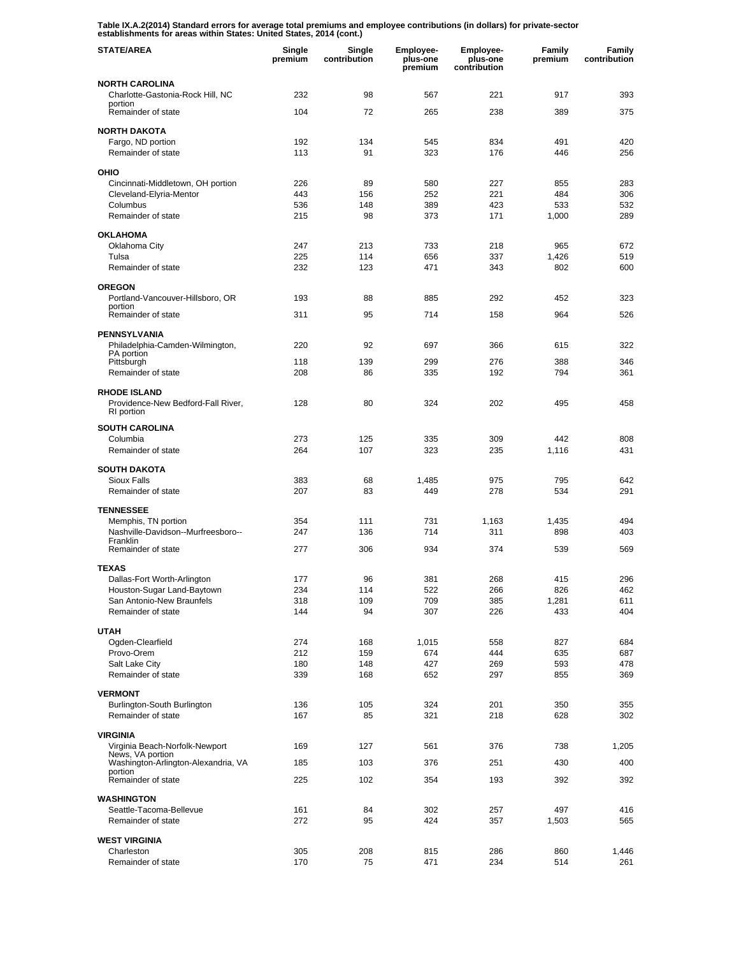**Table IX.A.2(2014) Standard errors for average total premiums and employee contributions (in dollars) for private-sector establishments for areas within States: United States, 2014 (cont.)** 

| <b>STATE/AREA</b>                                                       | Single<br>premium | Single<br>contribution | Employee-<br>plus-one<br>premium | <b>Employee-</b><br>plus-one<br>contribution | Family<br>premium | Family<br>contribution |
|-------------------------------------------------------------------------|-------------------|------------------------|----------------------------------|----------------------------------------------|-------------------|------------------------|
| <b>NORTH CAROLINA</b>                                                   |                   |                        |                                  |                                              |                   |                        |
| Charlotte-Gastonia-Rock Hill, NC<br>portion                             | 232               | 98                     | 567                              | 221                                          | 917               | 393                    |
| Remainder of state                                                      | 104               | 72                     | 265                              | 238                                          | 389               | 375                    |
| <b>NORTH DAKOTA</b>                                                     |                   |                        |                                  |                                              |                   |                        |
| Fargo, ND portion<br>Remainder of state                                 | 192<br>113        | 134<br>91              | 545<br>323                       | 834<br>176                                   | 491<br>446        | 420<br>256             |
|                                                                         |                   |                        |                                  |                                              |                   |                        |
| OHIO<br>Cincinnati-Middletown, OH portion                               | 226               | 89                     | 580                              | 227                                          | 855               | 283                    |
| Cleveland-Elyria-Mentor                                                 | 443               | 156                    | 252                              | 221                                          | 484               | 306                    |
| Columbus<br>Remainder of state                                          | 536               | 148<br>98              | 389                              | 423<br>171                                   | 533               | 532<br>289             |
|                                                                         | 215               |                        | 373                              |                                              | 1,000             |                        |
| <b>OKLAHOMA</b><br>Oklahoma City                                        | 247               | 213                    | 733                              | 218                                          | 965               | 672                    |
| Tulsa                                                                   | 225               | 114                    | 656                              | 337                                          | 1,426             | 519                    |
| Remainder of state                                                      | 232               | 123                    | 471                              | 343                                          | 802               | 600                    |
| <b>OREGON</b>                                                           |                   |                        |                                  |                                              |                   |                        |
| Portland-Vancouver-Hillsboro, OR<br>portion                             | 193               | 88                     | 885                              | 292                                          | 452               | 323                    |
| Remainder of state                                                      | 311               | 95                     | 714                              | 158                                          | 964               | 526                    |
| <b>PENNSYLVANIA</b>                                                     |                   |                        |                                  |                                              |                   |                        |
| Philadelphia-Camden-Wilmington,<br>PA portion                           | 220               | 92                     | 697                              | 366                                          | 615               | 322                    |
| Pittsburgh                                                              | 118               | 139                    | 299                              | 276                                          | 388               | 346                    |
| Remainder of state                                                      | 208               | 86                     | 335                              | 192                                          | 794               | 361                    |
| <b>RHODE ISLAND</b><br>Providence-New Bedford-Fall River,<br>RI portion | 128               | 80                     | 324                              | 202                                          | 495               | 458                    |
| <b>SOUTH CAROLINA</b>                                                   |                   |                        |                                  |                                              |                   |                        |
| Columbia                                                                | 273               | 125                    | 335                              | 309                                          | 442               | 808                    |
| Remainder of state                                                      | 264               | 107                    | 323                              | 235                                          | 1,116             | 431                    |
| <b>SOUTH DAKOTA</b>                                                     |                   |                        |                                  |                                              |                   |                        |
| Sioux Falls<br>Remainder of state                                       | 383<br>207        | 68<br>83               | 1,485<br>449                     | 975<br>278                                   | 795<br>534        | 642<br>291             |
|                                                                         |                   |                        |                                  |                                              |                   |                        |
| <b>TENNESSEE</b><br>Memphis, TN portion                                 | 354               | 111                    | 731                              | 1,163                                        | 1,435             | 494                    |
| Nashville-Davidson--Murfreesboro--                                      | 247               | 136                    | 714                              | 311                                          | 898               | 403                    |
| Franklin<br>Remainder of state                                          | 277               | 306                    | 934                              | 374                                          | 539               | 569                    |
| <b>TEXAS</b>                                                            |                   |                        |                                  |                                              |                   |                        |
| Dallas-Fort Worth-Arlington                                             | 177               | 96                     | 381                              | 268                                          | 415               | 296                    |
| Houston-Sugar Land-Baytown<br>San Antonio-New Braunfels                 | 234               | 114                    | 522                              | 266                                          | 826               | 462                    |
| Remainder of state                                                      | 318<br>144        | 109<br>94              | 709<br>307                       | 385<br>226                                   | 1,281<br>433      | 611<br>404             |
| <b>UTAH</b>                                                             |                   |                        |                                  |                                              |                   |                        |
| Ogden-Clearfield                                                        | 274               | 168                    | 1,015                            | 558                                          | 827               | 684                    |
| Provo-Orem                                                              | 212               | 159                    | 674                              | 444                                          | 635               | 687                    |
| Salt Lake City                                                          | 180               | 148                    | 427                              | 269                                          | 593               | 478                    |
| Remainder of state                                                      | 339               | 168                    | 652                              | 297                                          | 855               | 369                    |
| <b>VERMONT</b><br>Burlington-South Burlington                           |                   | 105                    | 324                              | 201                                          | 350               | 355                    |
| Remainder of state                                                      | 136<br>167        | 85                     | 321                              | 218                                          | 628               | 302                    |
| <b>VIRGINIA</b>                                                         |                   |                        |                                  |                                              |                   |                        |
| Virginia Beach-Norfolk-Newport                                          | 169               | 127                    | 561                              | 376                                          | 738               | 1,205                  |
| News, VA portion<br>Washington-Arlington-Alexandria, VA                 | 185               | 103                    | 376                              | 251                                          | 430               | 400                    |
| portion<br>Remainder of state                                           | 225               | 102                    | 354                              | 193                                          | 392               | 392                    |
| <b>WASHINGTON</b>                                                       |                   |                        |                                  |                                              |                   |                        |
| Seattle-Tacoma-Bellevue                                                 | 161               | 84                     | 302                              | 257                                          | 497               | 416                    |
| Remainder of state                                                      | 272               | 95                     | 424                              | 357                                          | 1,503             | 565                    |
| <b>WEST VIRGINIA</b>                                                    |                   |                        |                                  |                                              |                   |                        |
| Charleston                                                              | 305               | 208                    | 815                              | 286                                          | 860               | 1,446                  |
| Remainder of state                                                      | 170               | 75                     | 471                              | 234                                          | 514               | 261                    |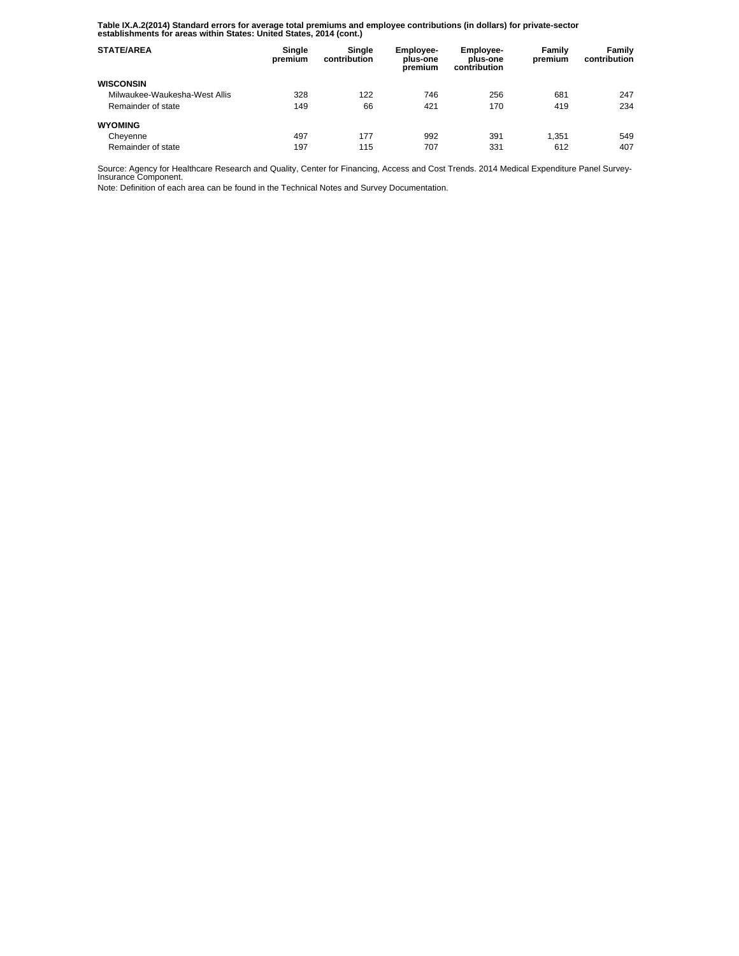**Table IX.A.2(2014) Standard errors for average total premiums and employee contributions (in dollars) for private-sector establishments for areas within States: United States, 2014 (cont.)** 

| <b>STATE/AREA</b>             | Single<br>premium | Single<br>contribution | Employee-<br>plus-one<br>premium | Employee-<br>plus-one<br>contribution | Family<br>premium | Family<br>contribution |
|-------------------------------|-------------------|------------------------|----------------------------------|---------------------------------------|-------------------|------------------------|
| <b>WISCONSIN</b>              |                   |                        |                                  |                                       |                   |                        |
| Milwaukee-Waukesha-West Allis | 328               | 122                    | 746                              | 256                                   | 681               | 247                    |
| Remainder of state            | 149               | 66                     | 421                              | 170                                   | 419               | 234                    |
| <b>WYOMING</b>                |                   |                        |                                  |                                       |                   |                        |
| Cheyenne                      | 497               | 177                    | 992                              | 391                                   | 1.351             | 549                    |
| Remainder of state            | 197               | 115                    | 707                              | 331                                   | 612               | 407                    |

Source: Agency for Healthcare Research and Quality, Center for Financing, Access and Cost Trends. 2014 Medical Expenditure Panel Survey-Insurance Component.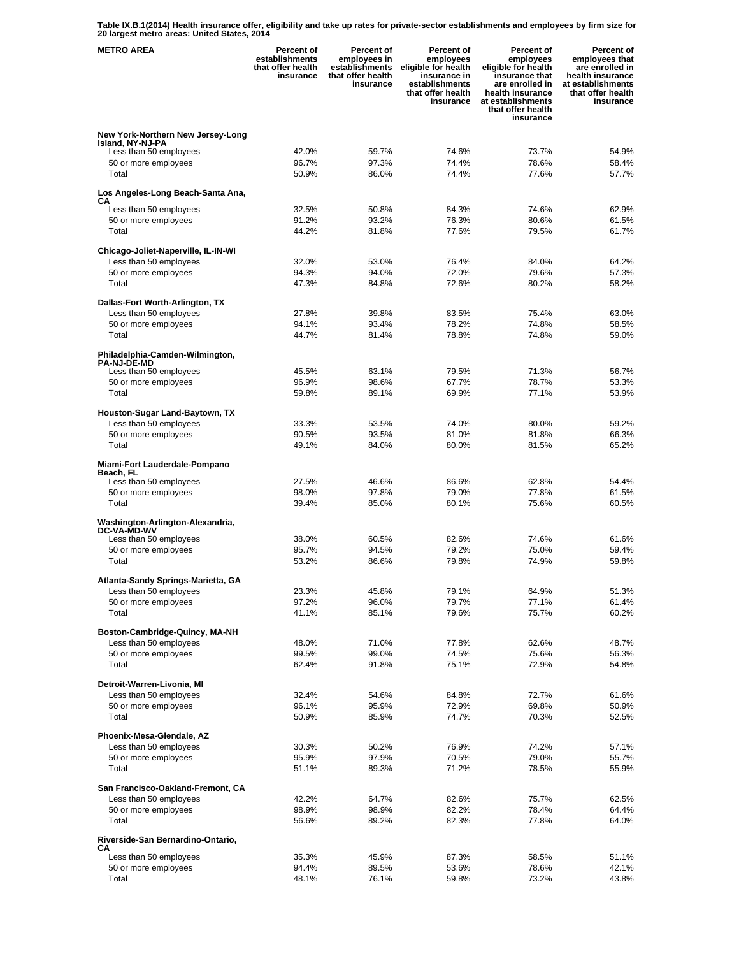**Table IX.B.1(2014) Health insurance offer, eligibility and take up rates for private-sector establishments and employees by firm size for 20 largest metro areas: United States, 2014** 

| <b>METRO AREA</b>                                     | <b>Percent of</b><br>establishments<br>that offer health<br>insurance | Percent of<br>employees in<br>establishments<br>that offer health<br>insurance | Percent of<br>employees<br>eligible for health<br>insurance in<br>establishments<br>that offer health<br>insurance | <b>Percent of</b><br>employees<br>eligible for health<br>insurance that<br>are enrolled in<br>health insurance<br>at establishments<br>that offer health<br>insurance | Percent of<br>employees that<br>are enrolled in<br>health insurance<br>at establishments<br>that offer health<br>insurance |
|-------------------------------------------------------|-----------------------------------------------------------------------|--------------------------------------------------------------------------------|--------------------------------------------------------------------------------------------------------------------|-----------------------------------------------------------------------------------------------------------------------------------------------------------------------|----------------------------------------------------------------------------------------------------------------------------|
| New York-Northern New Jersey-Long                     |                                                                       |                                                                                |                                                                                                                    |                                                                                                                                                                       |                                                                                                                            |
| Island, NY-NJ-PA<br>Less than 50 employees            | 42.0%                                                                 | 59.7%                                                                          | 74.6%                                                                                                              | 73.7%                                                                                                                                                                 | 54.9%                                                                                                                      |
| 50 or more employees                                  | 96.7%                                                                 | 97.3%                                                                          | 74.4%                                                                                                              | 78.6%                                                                                                                                                                 | 58.4%                                                                                                                      |
| Total                                                 | 50.9%                                                                 | 86.0%                                                                          | 74.4%                                                                                                              | 77.6%                                                                                                                                                                 | 57.7%                                                                                                                      |
| Los Angeles-Long Beach-Santa Ana,                     |                                                                       |                                                                                |                                                                                                                    |                                                                                                                                                                       |                                                                                                                            |
| CА<br>Less than 50 employees                          | 32.5%                                                                 | 50.8%                                                                          | 84.3%                                                                                                              | 74.6%                                                                                                                                                                 | 62.9%                                                                                                                      |
| 50 or more employees                                  | 91.2%                                                                 | 93.2%                                                                          | 76.3%                                                                                                              | 80.6%                                                                                                                                                                 | 61.5%                                                                                                                      |
| Total                                                 | 44.2%                                                                 | 81.8%                                                                          | 77.6%                                                                                                              | 79.5%                                                                                                                                                                 | 61.7%                                                                                                                      |
| Chicago-Joliet-Naperville, IL-IN-WI                   |                                                                       |                                                                                |                                                                                                                    |                                                                                                                                                                       |                                                                                                                            |
| Less than 50 employees                                | 32.0%                                                                 | 53.0%                                                                          | 76.4%                                                                                                              | 84.0%                                                                                                                                                                 | 64.2%                                                                                                                      |
| 50 or more employees                                  | 94.3%                                                                 | 94.0%                                                                          | 72.0%                                                                                                              | 79.6%                                                                                                                                                                 | 57.3%                                                                                                                      |
| Total                                                 | 47.3%                                                                 | 84.8%                                                                          | 72.6%                                                                                                              | 80.2%                                                                                                                                                                 | 58.2%                                                                                                                      |
| Dallas-Fort Worth-Arlington, TX                       |                                                                       |                                                                                |                                                                                                                    |                                                                                                                                                                       |                                                                                                                            |
| Less than 50 employees                                | 27.8%                                                                 | 39.8%                                                                          | 83.5%                                                                                                              | 75.4%                                                                                                                                                                 | 63.0%                                                                                                                      |
| 50 or more employees<br>Total                         | 94.1%<br>44.7%                                                        | 93.4%<br>81.4%                                                                 | 78.2%<br>78.8%                                                                                                     | 74.8%<br>74.8%                                                                                                                                                        | 58.5%<br>59.0%                                                                                                             |
|                                                       |                                                                       |                                                                                |                                                                                                                    |                                                                                                                                                                       |                                                                                                                            |
| Philadelphia-Camden-Wilmington,<br><b>PA-NJ-DE-MD</b> |                                                                       |                                                                                |                                                                                                                    |                                                                                                                                                                       |                                                                                                                            |
| Less than 50 employees                                | 45.5%                                                                 | 63.1%                                                                          | 79.5%                                                                                                              | 71.3%                                                                                                                                                                 | 56.7%                                                                                                                      |
| 50 or more employees                                  | 96.9%                                                                 | 98.6%                                                                          | 67.7%                                                                                                              | 78.7%                                                                                                                                                                 | 53.3%                                                                                                                      |
| Total                                                 | 59.8%                                                                 | 89.1%                                                                          | 69.9%                                                                                                              | 77.1%                                                                                                                                                                 | 53.9%                                                                                                                      |
| Houston-Sugar Land-Baytown, TX                        |                                                                       |                                                                                |                                                                                                                    |                                                                                                                                                                       |                                                                                                                            |
| Less than 50 employees                                | 33.3%                                                                 | 53.5%                                                                          | 74.0%                                                                                                              | 80.0%                                                                                                                                                                 | 59.2%                                                                                                                      |
| 50 or more employees<br>Total                         | 90.5%<br>49.1%                                                        | 93.5%<br>84.0%                                                                 | 81.0%<br>80.0%                                                                                                     | 81.8%<br>81.5%                                                                                                                                                        | 66.3%<br>65.2%                                                                                                             |
|                                                       |                                                                       |                                                                                |                                                                                                                    |                                                                                                                                                                       |                                                                                                                            |
| Miami-Fort Lauderdale-Pompano<br>Beach, FL            |                                                                       |                                                                                |                                                                                                                    |                                                                                                                                                                       |                                                                                                                            |
| Less than 50 employees                                | 27.5%                                                                 | 46.6%                                                                          | 86.6%                                                                                                              | 62.8%                                                                                                                                                                 | 54.4%                                                                                                                      |
| 50 or more employees                                  | 98.0%                                                                 | 97.8%                                                                          | 79.0%                                                                                                              | 77.8%                                                                                                                                                                 | 61.5%                                                                                                                      |
| Total                                                 | 39.4%                                                                 | 85.0%                                                                          | 80.1%                                                                                                              | 75.6%                                                                                                                                                                 | 60.5%                                                                                                                      |
| Washington-Arlington-Alexandria,                      |                                                                       |                                                                                |                                                                                                                    |                                                                                                                                                                       |                                                                                                                            |
| <b>DC-VA-MD-WV</b><br>Less than 50 employees          | 38.0%                                                                 | 60.5%                                                                          | 82.6%                                                                                                              | 74.6%                                                                                                                                                                 | 61.6%                                                                                                                      |
| 50 or more employees                                  | 95.7%                                                                 | 94.5%                                                                          | 79.2%                                                                                                              | 75.0%                                                                                                                                                                 | 59.4%                                                                                                                      |
| Total                                                 | 53.2%                                                                 | 86.6%                                                                          | 79.8%                                                                                                              | 74.9%                                                                                                                                                                 | 59.8%                                                                                                                      |
| Atlanta-Sandy Springs-Marietta, GA                    |                                                                       |                                                                                |                                                                                                                    |                                                                                                                                                                       |                                                                                                                            |
| Less than 50 employees                                | 23.3%                                                                 | 45.8%                                                                          | 79.1%                                                                                                              | 64.9%                                                                                                                                                                 | 51.3%                                                                                                                      |
| 50 or more employees                                  | 97.2%                                                                 | 96.0%                                                                          | 79.7%                                                                                                              | 77.1%                                                                                                                                                                 | 61.4%                                                                                                                      |
| Total                                                 | 41.1%                                                                 | 85.1%                                                                          | 79.6%                                                                                                              | 75.7%                                                                                                                                                                 | 60.2%                                                                                                                      |
| Boston-Cambridge-Quincy, MA-NH                        |                                                                       |                                                                                |                                                                                                                    |                                                                                                                                                                       |                                                                                                                            |
| Less than 50 employees                                | 48.0%                                                                 | 71.0%                                                                          | 77.8%                                                                                                              | 62.6%                                                                                                                                                                 | 48.7%                                                                                                                      |
| 50 or more employees<br>Total                         | 99.5%                                                                 | 99.0%                                                                          | 74.5%                                                                                                              | 75.6%                                                                                                                                                                 | 56.3%                                                                                                                      |
|                                                       | 62.4%                                                                 | 91.8%                                                                          | 75.1%                                                                                                              | 72.9%                                                                                                                                                                 | 54.8%                                                                                                                      |
| Detroit-Warren-Livonia, MI                            |                                                                       |                                                                                |                                                                                                                    |                                                                                                                                                                       |                                                                                                                            |
| Less than 50 employees<br>50 or more employees        | 32.4%<br>96.1%                                                        | 54.6%<br>95.9%                                                                 | 84.8%<br>72.9%                                                                                                     | 72.7%<br>69.8%                                                                                                                                                        | 61.6%<br>50.9%                                                                                                             |
| Total                                                 | 50.9%                                                                 | 85.9%                                                                          | 74.7%                                                                                                              | 70.3%                                                                                                                                                                 | 52.5%                                                                                                                      |
|                                                       |                                                                       |                                                                                |                                                                                                                    |                                                                                                                                                                       |                                                                                                                            |
| Phoenix-Mesa-Glendale, AZ<br>Less than 50 employees   | 30.3%                                                                 | 50.2%                                                                          | 76.9%                                                                                                              | 74.2%                                                                                                                                                                 | 57.1%                                                                                                                      |
| 50 or more employees                                  | 95.9%                                                                 | 97.9%                                                                          | 70.5%                                                                                                              | 79.0%                                                                                                                                                                 | 55.7%                                                                                                                      |
| Total                                                 | 51.1%                                                                 | 89.3%                                                                          | 71.2%                                                                                                              | 78.5%                                                                                                                                                                 | 55.9%                                                                                                                      |
| San Francisco-Oakland-Fremont, CA                     |                                                                       |                                                                                |                                                                                                                    |                                                                                                                                                                       |                                                                                                                            |
| Less than 50 employees                                | 42.2%                                                                 | 64.7%                                                                          | 82.6%                                                                                                              | 75.7%                                                                                                                                                                 | 62.5%                                                                                                                      |
| 50 or more employees                                  | 98.9%                                                                 | 98.9%                                                                          | 82.2%                                                                                                              | 78.4%                                                                                                                                                                 | 64.4%                                                                                                                      |
| Total                                                 | 56.6%                                                                 | 89.2%                                                                          | 82.3%                                                                                                              | 77.8%                                                                                                                                                                 | 64.0%                                                                                                                      |
| Riverside-San Bernardino-Ontario,                     |                                                                       |                                                                                |                                                                                                                    |                                                                                                                                                                       |                                                                                                                            |
| СA<br>Less than 50 employees                          | 35.3%                                                                 | 45.9%                                                                          | 87.3%                                                                                                              | 58.5%                                                                                                                                                                 | 51.1%                                                                                                                      |
| 50 or more employees                                  | 94.4%                                                                 | 89.5%                                                                          | 53.6%                                                                                                              | 78.6%                                                                                                                                                                 | 42.1%                                                                                                                      |
| Total                                                 | 48.1%                                                                 | 76.1%                                                                          | 59.8%                                                                                                              | 73.2%                                                                                                                                                                 | 43.8%                                                                                                                      |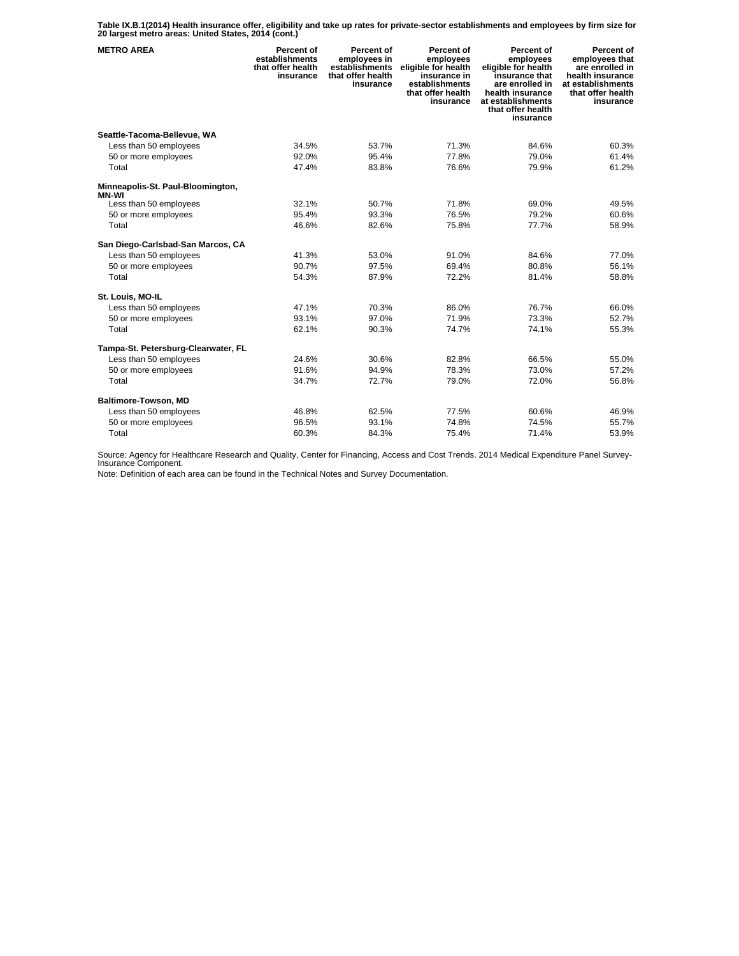**Table IX.B.1(2014) Health insurance offer, eligibility and take up rates for private-sector establishments and employees by firm size for 20 largest metro areas: United States, 2014 (cont.)** 

| <b>METRO AREA</b>                                 | Percent of<br>establishments<br>that offer health<br>insurance | Percent of<br>employees in<br>establishments<br>that offer health<br>insurance | Percent of<br>employees<br>eligible for health<br>insurance in<br>establishments<br>that offer health<br>insurance | <b>Percent of</b><br>employees<br>eligible for health<br>insurance that<br>are enrolled in<br>health insurance<br>at establishments<br>that offer health<br>insurance | Percent of<br>employees that<br>are enrolled in<br>health insurance<br>at establishments<br>that offer health<br>insurance |
|---------------------------------------------------|----------------------------------------------------------------|--------------------------------------------------------------------------------|--------------------------------------------------------------------------------------------------------------------|-----------------------------------------------------------------------------------------------------------------------------------------------------------------------|----------------------------------------------------------------------------------------------------------------------------|
| Seattle-Tacoma-Bellevue, WA                       |                                                                |                                                                                |                                                                                                                    |                                                                                                                                                                       |                                                                                                                            |
| Less than 50 employees                            | 34.5%                                                          | 53.7%                                                                          | 71.3%                                                                                                              | 84.6%                                                                                                                                                                 | 60.3%                                                                                                                      |
| 50 or more employees                              | 92.0%                                                          | 95.4%                                                                          | 77.8%                                                                                                              | 79.0%                                                                                                                                                                 | 61.4%                                                                                                                      |
| Total                                             | 47.4%                                                          | 83.8%                                                                          | 76.6%                                                                                                              | 79.9%                                                                                                                                                                 | 61.2%                                                                                                                      |
| Minneapolis-St. Paul-Bloomington,<br><b>MN-WI</b> |                                                                |                                                                                |                                                                                                                    |                                                                                                                                                                       |                                                                                                                            |
| Less than 50 employees                            | 32.1%                                                          | 50.7%                                                                          | 71.8%                                                                                                              | 69.0%                                                                                                                                                                 | 49.5%                                                                                                                      |
| 50 or more employees                              | 95.4%                                                          | 93.3%                                                                          | 76.5%                                                                                                              | 79.2%                                                                                                                                                                 | 60.6%                                                                                                                      |
| Total                                             | 46.6%                                                          | 82.6%                                                                          | 75.8%                                                                                                              | 77.7%                                                                                                                                                                 | 58.9%                                                                                                                      |
| San Diego-Carlsbad-San Marcos, CA                 |                                                                |                                                                                |                                                                                                                    |                                                                                                                                                                       |                                                                                                                            |
| Less than 50 employees                            | 41.3%                                                          | 53.0%                                                                          | 91.0%                                                                                                              | 84.6%                                                                                                                                                                 | 77.0%                                                                                                                      |
| 50 or more employees                              | 90.7%                                                          | 97.5%                                                                          | 69.4%                                                                                                              | 80.8%                                                                                                                                                                 | 56.1%                                                                                                                      |
| Total                                             | 54.3%                                                          | 87.9%                                                                          | 72.2%                                                                                                              | 81.4%                                                                                                                                                                 | 58.8%                                                                                                                      |
| St. Louis, MO-IL                                  |                                                                |                                                                                |                                                                                                                    |                                                                                                                                                                       |                                                                                                                            |
| Less than 50 employees                            | 47.1%                                                          | 70.3%                                                                          | 86.0%                                                                                                              | 76.7%                                                                                                                                                                 | 66.0%                                                                                                                      |
| 50 or more employees                              | 93.1%                                                          | 97.0%                                                                          | 71.9%                                                                                                              | 73.3%                                                                                                                                                                 | 52.7%                                                                                                                      |
| Total                                             | 62.1%                                                          | 90.3%                                                                          | 74.7%                                                                                                              | 74.1%                                                                                                                                                                 | 55.3%                                                                                                                      |
| Tampa-St. Petersburg-Clearwater, FL               |                                                                |                                                                                |                                                                                                                    |                                                                                                                                                                       |                                                                                                                            |
| Less than 50 employees                            | 24.6%                                                          | 30.6%                                                                          | 82.8%                                                                                                              | 66.5%                                                                                                                                                                 | 55.0%                                                                                                                      |
| 50 or more employees                              | 91.6%                                                          | 94.9%                                                                          | 78.3%                                                                                                              | 73.0%                                                                                                                                                                 | 57.2%                                                                                                                      |
| Total                                             | 34.7%                                                          | 72.7%                                                                          | 79.0%                                                                                                              | 72.0%                                                                                                                                                                 | 56.8%                                                                                                                      |
| Baltimore-Towson, MD                              |                                                                |                                                                                |                                                                                                                    |                                                                                                                                                                       |                                                                                                                            |
| Less than 50 employees                            | 46.8%                                                          | 62.5%                                                                          | 77.5%                                                                                                              | 60.6%                                                                                                                                                                 | 46.9%                                                                                                                      |
| 50 or more employees                              | 96.5%                                                          | 93.1%                                                                          | 74.8%                                                                                                              | 74.5%                                                                                                                                                                 | 55.7%                                                                                                                      |
| Total                                             | 60.3%                                                          | 84.3%                                                                          | 75.4%                                                                                                              | 71.4%                                                                                                                                                                 | 53.9%                                                                                                                      |

Source: Agency for Healthcare Research and Quality, Center for Financing, Access and Cost Trends. 2014 Medical Expenditure Panel Survey-Insurance Component.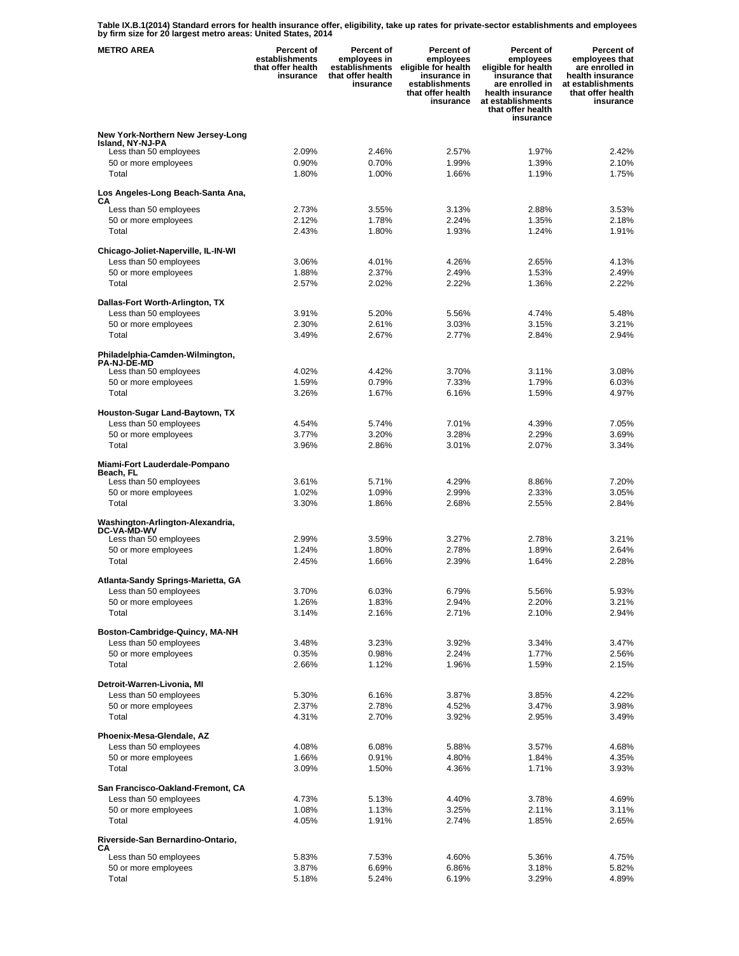**Table IX.B.1(2014) Standard errors for health insurance offer, eligibility, take up rates for private-sector establishments and employees by firm size for 20 largest metro areas: United States, 2014** 

| <b>METRO AREA</b>                                            | <b>Percent of</b><br>establishments<br>that offer health<br>insurance | Percent of<br>employees in<br>establishments<br>that offer health<br>insurance | Percent of<br>employees<br>eligible for health<br>insurance in<br>establishments<br>that offer health<br>insurance | Percent of<br>employees<br>eligible for health<br>insurance that<br>are enrolled in<br>health insurance<br>at establishments<br>that offer health<br>insurance | Percent of<br>employees that<br>are enrolled in<br>health insurance<br>at establishments<br>that offer health<br>insurance |
|--------------------------------------------------------------|-----------------------------------------------------------------------|--------------------------------------------------------------------------------|--------------------------------------------------------------------------------------------------------------------|----------------------------------------------------------------------------------------------------------------------------------------------------------------|----------------------------------------------------------------------------------------------------------------------------|
| New York-Northern New Jersey-Long                            |                                                                       |                                                                                |                                                                                                                    |                                                                                                                                                                |                                                                                                                            |
| Island, NY-NJ-PA<br>Less than 50 employees                   | 2.09%                                                                 | 2.46%                                                                          | 2.57%                                                                                                              | 1.97%                                                                                                                                                          | 2.42%                                                                                                                      |
| 50 or more employees                                         | 0.90%                                                                 | 0.70%                                                                          | 1.99%                                                                                                              | 1.39%                                                                                                                                                          | 2.10%                                                                                                                      |
| Total                                                        | 1.80%                                                                 | 1.00%                                                                          | 1.66%                                                                                                              | 1.19%                                                                                                                                                          | 1.75%                                                                                                                      |
| Los Angeles-Long Beach-Santa Ana,                            |                                                                       |                                                                                |                                                                                                                    |                                                                                                                                                                |                                                                                                                            |
| CА<br>Less than 50 employees                                 | 2.73%                                                                 | 3.55%                                                                          | 3.13%                                                                                                              | 2.88%                                                                                                                                                          | 3.53%                                                                                                                      |
| 50 or more employees                                         | 2.12%                                                                 | 1.78%                                                                          | 2.24%                                                                                                              | 1.35%                                                                                                                                                          | 2.18%                                                                                                                      |
| Total                                                        | 2.43%                                                                 | 1.80%                                                                          | 1.93%                                                                                                              | 1.24%                                                                                                                                                          | 1.91%                                                                                                                      |
| Chicago-Joliet-Naperville, IL-IN-WI                          |                                                                       |                                                                                |                                                                                                                    |                                                                                                                                                                |                                                                                                                            |
| Less than 50 employees                                       | 3.06%                                                                 | 4.01%                                                                          | 4.26%                                                                                                              | 2.65%                                                                                                                                                          | 4.13%                                                                                                                      |
| 50 or more employees<br>Total                                | 1.88%<br>2.57%                                                        | 2.37%<br>2.02%                                                                 | 2.49%<br>2.22%                                                                                                     | 1.53%<br>1.36%                                                                                                                                                 | 2.49%<br>2.22%                                                                                                             |
|                                                              |                                                                       |                                                                                |                                                                                                                    |                                                                                                                                                                |                                                                                                                            |
| Dallas-Fort Worth-Arlington, TX<br>Less than 50 employees    | 3.91%                                                                 | 5.20%                                                                          | 5.56%                                                                                                              | 4.74%                                                                                                                                                          | 5.48%                                                                                                                      |
| 50 or more employees                                         | 2.30%                                                                 | 2.61%                                                                          | 3.03%                                                                                                              | 3.15%                                                                                                                                                          | 3.21%                                                                                                                      |
| Total                                                        | 3.49%                                                                 | 2.67%                                                                          | 2.77%                                                                                                              | 2.84%                                                                                                                                                          | 2.94%                                                                                                                      |
| Philadelphia-Camden-Wilmington,                              |                                                                       |                                                                                |                                                                                                                    |                                                                                                                                                                |                                                                                                                            |
| <b>PA-NJ-DE-MD</b><br>Less than 50 employees                 | 4.02%                                                                 | 4.42%                                                                          | 3.70%                                                                                                              | 3.11%                                                                                                                                                          | 3.08%                                                                                                                      |
| 50 or more employees                                         | 1.59%                                                                 | 0.79%                                                                          | 7.33%                                                                                                              | 1.79%                                                                                                                                                          | 6.03%                                                                                                                      |
| Total                                                        | 3.26%                                                                 | 1.67%                                                                          | 6.16%                                                                                                              | 1.59%                                                                                                                                                          | 4.97%                                                                                                                      |
| Houston-Sugar Land-Baytown, TX                               |                                                                       |                                                                                |                                                                                                                    |                                                                                                                                                                |                                                                                                                            |
| Less than 50 employees                                       | 4.54%                                                                 | 5.74%                                                                          | 7.01%                                                                                                              | 4.39%                                                                                                                                                          | 7.05%                                                                                                                      |
| 50 or more employees<br>Total                                | 3.77%<br>3.96%                                                        | 3.20%<br>2.86%                                                                 | 3.28%<br>3.01%                                                                                                     | 2.29%<br>2.07%                                                                                                                                                 | 3.69%<br>3.34%                                                                                                             |
|                                                              |                                                                       |                                                                                |                                                                                                                    |                                                                                                                                                                |                                                                                                                            |
| Miami-Fort Lauderdale-Pompano<br>Beach, FL                   |                                                                       |                                                                                |                                                                                                                    |                                                                                                                                                                |                                                                                                                            |
| Less than 50 employees                                       | 3.61%                                                                 | 5.71%                                                                          | 4.29%                                                                                                              | 8.86%                                                                                                                                                          | 7.20%                                                                                                                      |
| 50 or more employees<br>Total                                | 1.02%<br>3.30%                                                        | 1.09%<br>1.86%                                                                 | 2.99%<br>2.68%                                                                                                     | 2.33%<br>2.55%                                                                                                                                                 | 3.05%<br>2.84%                                                                                                             |
|                                                              |                                                                       |                                                                                |                                                                                                                    |                                                                                                                                                                |                                                                                                                            |
| Washington-Arlington-Alexandria,<br><b>DC-VA-MD-WV</b>       |                                                                       |                                                                                |                                                                                                                    |                                                                                                                                                                |                                                                                                                            |
| Less than 50 employees                                       | 2.99%                                                                 | 3.59%                                                                          | 3.27%                                                                                                              | 2.78%                                                                                                                                                          | 3.21%                                                                                                                      |
| 50 or more employees<br>Total                                | 1.24%<br>2.45%                                                        | 1.80%<br>1.66%                                                                 | 2.78%<br>2.39%                                                                                                     | 1.89%<br>1.64%                                                                                                                                                 | 2.64%<br>2.28%                                                                                                             |
|                                                              |                                                                       |                                                                                |                                                                                                                    |                                                                                                                                                                |                                                                                                                            |
| Atlanta-Sandy Springs-Marietta, GA<br>Less than 50 employees | 3.70%                                                                 | 6.03%                                                                          | 6.79%                                                                                                              | 5.56%                                                                                                                                                          | 5.93%                                                                                                                      |
| 50 or more employees                                         | 1.26%                                                                 | 1.83%                                                                          | 2.94%                                                                                                              | 2.20%                                                                                                                                                          | 3.21%                                                                                                                      |
| Total                                                        | 3.14%                                                                 | 2.16%                                                                          | 2.71%                                                                                                              | 2.10%                                                                                                                                                          | 2.94%                                                                                                                      |
| Boston-Cambridge-Quincy, MA-NH                               |                                                                       |                                                                                |                                                                                                                    |                                                                                                                                                                |                                                                                                                            |
| Less than 50 employees                                       | 3.48%                                                                 | 3.23%                                                                          | 3.92%                                                                                                              | 3.34%                                                                                                                                                          | 3.47%                                                                                                                      |
| 50 or more employees                                         | 0.35%                                                                 | 0.98%                                                                          | 2.24%                                                                                                              | 1.77%                                                                                                                                                          | 2.56%                                                                                                                      |
| Total                                                        | 2.66%                                                                 | 1.12%                                                                          | 1.96%                                                                                                              | 1.59%                                                                                                                                                          | 2.15%                                                                                                                      |
| Detroit-Warren-Livonia, MI                                   |                                                                       |                                                                                |                                                                                                                    |                                                                                                                                                                |                                                                                                                            |
| Less than 50 employees                                       | 5.30%                                                                 | 6.16%                                                                          | 3.87%                                                                                                              | 3.85%                                                                                                                                                          | 4.22%<br>3.98%                                                                                                             |
| 50 or more employees<br>Total                                | 2.37%<br>4.31%                                                        | 2.78%<br>2.70%                                                                 | 4.52%<br>3.92%                                                                                                     | 3.47%<br>2.95%                                                                                                                                                 | 3.49%                                                                                                                      |
|                                                              |                                                                       |                                                                                |                                                                                                                    |                                                                                                                                                                |                                                                                                                            |
| Phoenix-Mesa-Glendale, AZ<br>Less than 50 employees          | 4.08%                                                                 | 6.08%                                                                          | 5.88%                                                                                                              | 3.57%                                                                                                                                                          | 4.68%                                                                                                                      |
| 50 or more employees                                         | 1.66%                                                                 | 0.91%                                                                          | 4.80%                                                                                                              | 1.84%                                                                                                                                                          | 4.35%                                                                                                                      |
| Total                                                        | 3.09%                                                                 | 1.50%                                                                          | 4.36%                                                                                                              | 1.71%                                                                                                                                                          | 3.93%                                                                                                                      |
| San Francisco-Oakland-Fremont, CA                            |                                                                       |                                                                                |                                                                                                                    |                                                                                                                                                                |                                                                                                                            |
| Less than 50 employees                                       | 4.73%                                                                 | 5.13%                                                                          | 4.40%                                                                                                              | 3.78%                                                                                                                                                          | 4.69%                                                                                                                      |
| 50 or more employees<br>Total                                | 1.08%<br>4.05%                                                        | 1.13%<br>1.91%                                                                 | 3.25%<br>2.74%                                                                                                     | 2.11%<br>1.85%                                                                                                                                                 | 3.11%<br>2.65%                                                                                                             |
|                                                              |                                                                       |                                                                                |                                                                                                                    |                                                                                                                                                                |                                                                                                                            |
| Riverside-San Bernardino-Ontario,<br>CА                      |                                                                       |                                                                                |                                                                                                                    |                                                                                                                                                                |                                                                                                                            |
| Less than 50 employees<br>50 or more employees               | 5.83%<br>3.87%                                                        | 7.53%<br>6.69%                                                                 | 4.60%<br>6.86%                                                                                                     | 5.36%<br>3.18%                                                                                                                                                 | 4.75%<br>5.82%                                                                                                             |
| Total                                                        | 5.18%                                                                 | 5.24%                                                                          | 6.19%                                                                                                              | 3.29%                                                                                                                                                          | 4.89%                                                                                                                      |
|                                                              |                                                                       |                                                                                |                                                                                                                    |                                                                                                                                                                |                                                                                                                            |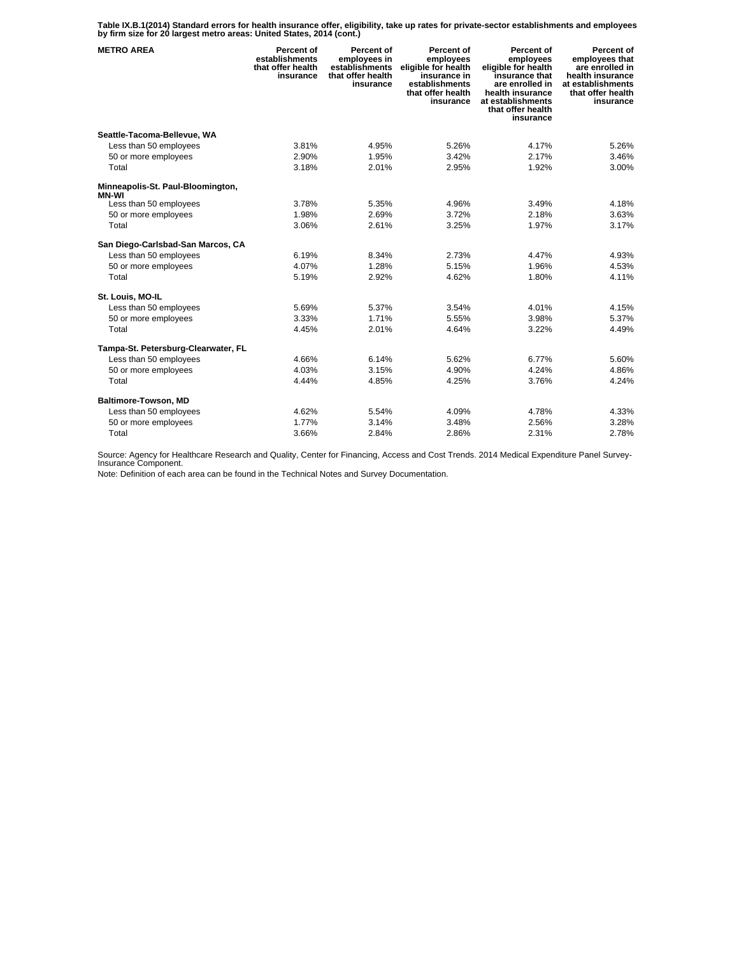**Table IX.B.1(2014) Standard errors for health insurance offer, eligibility, take up rates for private-sector establishments and employees by firm size for 20 largest metro areas: United States, 2014 (cont.)** 

| <b>METRO AREA</b>                                 | <b>Percent of</b><br>establishments<br>that offer health<br>insurance | Percent of<br>employees in<br>establishments<br>that offer health<br>insurance | Percent of<br>employees<br>eligible for health<br>insurance in<br>establishments<br>that offer health<br>insurance | Percent of<br>employees<br>eligible for health<br>insurance that<br>are enrolled in<br>health insurance<br>at establishments<br>that offer health<br>insurance | Percent of<br>employees that<br>are enrolled in<br>health insurance<br>at establishments<br>that offer health<br>insurance |
|---------------------------------------------------|-----------------------------------------------------------------------|--------------------------------------------------------------------------------|--------------------------------------------------------------------------------------------------------------------|----------------------------------------------------------------------------------------------------------------------------------------------------------------|----------------------------------------------------------------------------------------------------------------------------|
| Seattle-Tacoma-Bellevue, WA                       |                                                                       |                                                                                |                                                                                                                    |                                                                                                                                                                |                                                                                                                            |
| Less than 50 employees                            | 3.81%                                                                 | 4.95%                                                                          | 5.26%                                                                                                              | 4.17%                                                                                                                                                          | 5.26%                                                                                                                      |
| 50 or more employees                              | 2.90%                                                                 | 1.95%                                                                          | 3.42%                                                                                                              | 2.17%                                                                                                                                                          | 3.46%                                                                                                                      |
| Total                                             | 3.18%                                                                 | 2.01%                                                                          | 2.95%                                                                                                              | 1.92%                                                                                                                                                          | 3.00%                                                                                                                      |
| Minneapolis-St. Paul-Bloomington,<br><b>MN-WI</b> |                                                                       |                                                                                |                                                                                                                    |                                                                                                                                                                |                                                                                                                            |
| Less than 50 employees                            | 3.78%                                                                 | 5.35%                                                                          | 4.96%                                                                                                              | 3.49%                                                                                                                                                          | 4.18%                                                                                                                      |
| 50 or more employees                              | 1.98%                                                                 | 2.69%                                                                          | 3.72%                                                                                                              | 2.18%                                                                                                                                                          | 3.63%                                                                                                                      |
| Total                                             | 3.06%                                                                 | 2.61%                                                                          | 3.25%                                                                                                              | 1.97%                                                                                                                                                          | 3.17%                                                                                                                      |
| San Diego-Carlsbad-San Marcos, CA                 |                                                                       |                                                                                |                                                                                                                    |                                                                                                                                                                |                                                                                                                            |
| Less than 50 employees                            | 6.19%                                                                 | 8.34%                                                                          | 2.73%                                                                                                              | 4.47%                                                                                                                                                          | 4.93%                                                                                                                      |
| 50 or more employees                              | 4.07%                                                                 | 1.28%                                                                          | 5.15%                                                                                                              | 1.96%                                                                                                                                                          | 4.53%                                                                                                                      |
| Total                                             | 5.19%                                                                 | 2.92%                                                                          | 4.62%                                                                                                              | 1.80%                                                                                                                                                          | 4.11%                                                                                                                      |
| St. Louis, MO-IL                                  |                                                                       |                                                                                |                                                                                                                    |                                                                                                                                                                |                                                                                                                            |
| Less than 50 employees                            | 5.69%                                                                 | 5.37%                                                                          | 3.54%                                                                                                              | 4.01%                                                                                                                                                          | 4.15%                                                                                                                      |
| 50 or more employees                              | 3.33%                                                                 | 1.71%                                                                          | 5.55%                                                                                                              | 3.98%                                                                                                                                                          | 5.37%                                                                                                                      |
| Total                                             | 4.45%                                                                 | 2.01%                                                                          | 4.64%                                                                                                              | 3.22%                                                                                                                                                          | 4.49%                                                                                                                      |
| Tampa-St. Petersburg-Clearwater, FL               |                                                                       |                                                                                |                                                                                                                    |                                                                                                                                                                |                                                                                                                            |
| Less than 50 employees                            | 4.66%                                                                 | 6.14%                                                                          | 5.62%                                                                                                              | 6.77%                                                                                                                                                          | 5.60%                                                                                                                      |
| 50 or more employees                              | 4.03%                                                                 | 3.15%                                                                          | 4.90%                                                                                                              | 4.24%                                                                                                                                                          | 4.86%                                                                                                                      |
| Total                                             | 4.44%                                                                 | 4.85%                                                                          | 4.25%                                                                                                              | 3.76%                                                                                                                                                          | 4.24%                                                                                                                      |
| Baltimore-Towson, MD                              |                                                                       |                                                                                |                                                                                                                    |                                                                                                                                                                |                                                                                                                            |
| Less than 50 employees                            | 4.62%                                                                 | 5.54%                                                                          | 4.09%                                                                                                              | 4.78%                                                                                                                                                          | 4.33%                                                                                                                      |
| 50 or more employees                              | 1.77%                                                                 | 3.14%                                                                          | 3.48%                                                                                                              | 2.56%                                                                                                                                                          | 3.28%                                                                                                                      |
| Total                                             | 3.66%                                                                 | 2.84%                                                                          | 2.86%                                                                                                              | 2.31%                                                                                                                                                          | 2.78%                                                                                                                      |

Source: Agency for Healthcare Research and Quality, Center for Financing, Access and Cost Trends. 2014 Medical Expenditure Panel Survey-Insurance Component.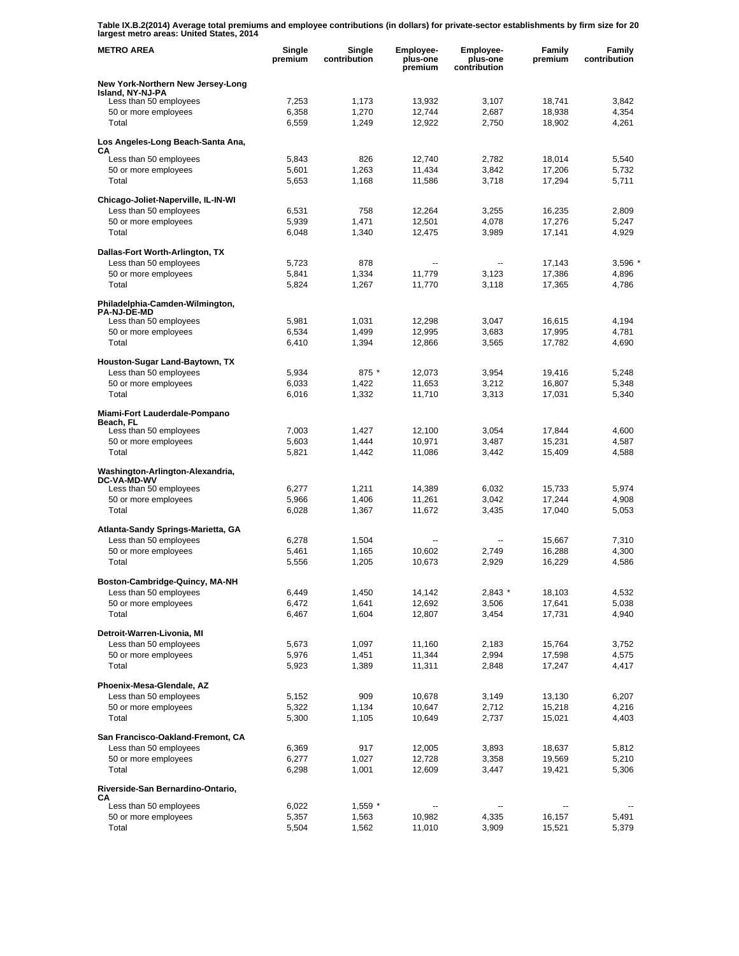**Table IX.B.2(2014) Average total premiums and employee contributions (in dollars) for private-sector establishments by firm size for 20 largest metro areas: United States, 2014** 

| <b>METRO AREA</b>                                             | Single<br>premium | Single<br>contribution | Employee-<br>plus-one<br>premium | Employee-<br>plus-one<br>contribution | Family<br>premium | Family<br>contribution |
|---------------------------------------------------------------|-------------------|------------------------|----------------------------------|---------------------------------------|-------------------|------------------------|
| New York-Northern New Jersey-Long<br>Island, NY-NJ-PA         |                   |                        |                                  |                                       |                   |                        |
| Less than 50 employees                                        | 7,253             | 1,173                  | 13,932                           | 3,107                                 | 18,741            | 3,842                  |
| 50 or more employees                                          | 6,358             | 1,270                  | 12,744                           | 2,687                                 | 18,938            | 4,354                  |
| Total                                                         | 6,559             | 1,249                  | 12,922                           | 2,750                                 | 18,902            | 4,261                  |
| Los Angeles-Long Beach-Santa Ana,<br>CА                       |                   |                        |                                  |                                       |                   |                        |
| Less than 50 employees                                        | 5,843             | 826                    | 12,740                           | 2,782                                 | 18,014            | 5,540                  |
| 50 or more employees<br>Total                                 | 5,601<br>5,653    | 1,263<br>1,168         | 11,434<br>11,586                 | 3,842<br>3,718                        | 17,206<br>17,294  | 5,732<br>5,711         |
|                                                               |                   |                        |                                  |                                       |                   |                        |
| Chicago-Joliet-Naperville, IL-IN-WI<br>Less than 50 employees | 6,531             | 758                    | 12,264                           | 3,255                                 | 16,235            | 2,809                  |
| 50 or more employees                                          | 5,939             | 1,471                  | 12,501                           | 4,078                                 | 17,276            | 5,247                  |
| Total                                                         | 6,048             | 1,340                  | 12,475                           | 3,989                                 | 17,141            | 4,929                  |
|                                                               |                   |                        |                                  |                                       |                   |                        |
| Dallas-Fort Worth-Arlington, TX<br>Less than 50 employees     | 5,723             | 878                    | --                               | $\overline{\phantom{a}}$              | 17,143            | 3,596                  |
| 50 or more employees                                          | 5,841             | 1,334                  | 11,779                           | 3,123                                 | 17,386            | 4,896                  |
| Total                                                         | 5,824             | 1,267                  | 11,770                           | 3,118                                 | 17,365            | 4,786                  |
| Philadelphia-Camden-Wilmington,                               |                   |                        |                                  |                                       |                   |                        |
| <b>PA-NJ-DE-MD</b>                                            | 5,981             |                        | 12,298                           | 3,047                                 |                   | 4,194                  |
| Less than 50 employees<br>50 or more employees                | 6,534             | 1,031<br>1,499         | 12,995                           | 3,683                                 | 16,615<br>17,995  | 4,781                  |
| Total                                                         | 6,410             | 1,394                  | 12,866                           | 3,565                                 | 17,782            | 4,690                  |
| Houston-Sugar Land-Baytown, TX                                |                   |                        |                                  |                                       |                   |                        |
| Less than 50 employees                                        | 5,934             | 875 *                  | 12,073                           | 3,954                                 | 19,416            | 5,248                  |
| 50 or more employees                                          | 6,033             | 1,422                  | 11,653                           | 3.212                                 | 16,807            | 5,348                  |
| Total                                                         | 6,016             | 1,332                  | 11,710                           | 3,313                                 | 17,031            | 5,340                  |
| Miami-Fort Lauderdale-Pompano<br>Beach, FL                    |                   |                        |                                  |                                       |                   |                        |
| Less than 50 employees                                        | 7,003             | 1,427                  | 12,100                           | 3,054                                 | 17,844            | 4,600                  |
| 50 or more employees                                          | 5,603             | 1,444                  | 10,971                           | 3,487                                 | 15,231            | 4,587                  |
| Total                                                         | 5,821             | 1,442                  | 11,086                           | 3,442                                 | 15,409            | 4,588                  |
| Washington-Arlington-Alexandria,<br><b>DC-VA-MD-WV</b>        |                   |                        |                                  |                                       |                   |                        |
| Less than 50 employees                                        | 6,277             | 1,211                  | 14,389                           | 6,032                                 | 15,733            | 5,974                  |
| 50 or more employees                                          | 5,966             | 1,406                  | 11,261                           | 3,042                                 | 17,244            | 4,908                  |
| Total                                                         | 6,028             | 1,367                  | 11,672                           | 3,435                                 | 17,040            | 5.053                  |
| Atlanta-Sandy Springs-Marietta, GA                            |                   |                        |                                  |                                       |                   |                        |
| Less than 50 employees                                        | 6,278             | 1,504                  | --                               | --                                    | 15,667            | 7,310                  |
| 50 or more employees                                          | 5,461             | 1,165                  | 10,602                           | 2,749                                 | 16,288            | 4,300                  |
| Total                                                         | 5,556             | 1,205                  | 10,673                           | 2,929                                 | 16,229            | 4,586                  |
| Boston-Cambridge-Quincy, MA-NH                                |                   |                        |                                  |                                       |                   |                        |
| Less than 50 employees                                        | 6,449             | 1,450                  | 14,142                           | $2,843$ *                             | 18,103            | 4,532                  |
| 50 or more employees<br>Total                                 | 6,472<br>6,467    | 1,641<br>1,604         | 12,692<br>12,807                 | 3,506<br>3,454                        | 17,641<br>17,731  | 5,038<br>4,940         |
|                                                               |                   |                        |                                  |                                       |                   |                        |
| Detroit-Warren-Livonia, MI<br>Less than 50 employees          |                   |                        |                                  |                                       |                   |                        |
| 50 or more employees                                          | 5,673<br>5,976    | 1,097<br>1,451         | 11,160<br>11,344                 | 2,183<br>2,994                        | 15,764<br>17,598  | 3,752<br>4,575         |
| Total                                                         | 5,923             | 1,389                  | 11,311                           | 2,848                                 | 17,247            | 4,417                  |
| Phoenix-Mesa-Glendale, AZ                                     |                   |                        |                                  |                                       |                   |                        |
| Less than 50 employees                                        | 5,152             | 909                    | 10,678                           | 3,149                                 | 13,130            | 6,207                  |
| 50 or more employees                                          | 5,322             | 1,134                  | 10,647                           | 2,712                                 | 15,218            | 4,216                  |
| Total                                                         | 5,300             | 1,105                  | 10,649                           | 2,737                                 | 15,021            | 4,403                  |
| San Francisco-Oakland-Fremont, CA                             |                   |                        |                                  |                                       |                   |                        |
| Less than 50 employees                                        | 6,369             | 917                    | 12,005                           | 3,893                                 | 18,637            | 5,812                  |
| 50 or more employees                                          | 6,277             | 1,027                  | 12,728                           | 3,358                                 | 19,569            | 5,210                  |
| Total                                                         | 6,298             | 1,001                  | 12,609                           | 3,447                                 | 19,421            | 5,306                  |
| Riverside-San Bernardino-Ontario,<br>CА                       |                   |                        |                                  |                                       |                   |                        |
| Less than 50 employees                                        | 6,022             | $1,559$ *              | $\overline{\phantom{a}}$         | --                                    |                   |                        |
| 50 or more employees                                          | 5,357             | 1,563                  | 10,982                           | 4,335                                 | 16,157            | 5,491                  |
| Total                                                         | 5,504             | 1,562                  | 11,010                           | 3,909                                 | 15,521            | 5,379                  |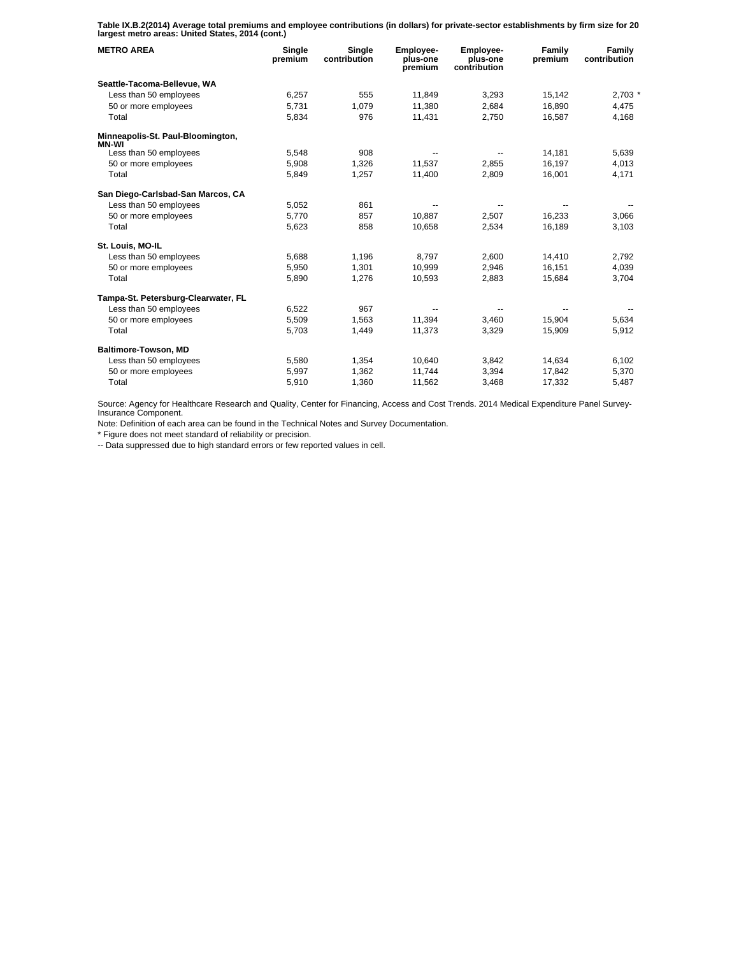**Table IX.B.2(2014) Average total premiums and employee contributions (in dollars) for private-sector establishments by firm size for 20 largest metro areas: United States, 2014 (cont.)** 

| <b>METRO AREA</b>                          | Single<br>premium | Single<br>contribution | Employee-<br>plus-one<br>premium | <b>Employee-</b><br>plus-one<br>contribution | Family<br>premium | Family<br>contribution |
|--------------------------------------------|-------------------|------------------------|----------------------------------|----------------------------------------------|-------------------|------------------------|
| Seattle-Tacoma-Bellevue, WA                |                   |                        |                                  |                                              |                   |                        |
| Less than 50 employees                     | 6,257             | 555                    | 11.849                           | 3,293                                        | 15.142            | $2,703$ *              |
| 50 or more employees                       | 5,731             | 1,079                  | 11,380                           | 2,684                                        | 16,890            | 4,475                  |
| Total                                      | 5,834             | 976                    | 11,431                           | 2,750                                        | 16,587            | 4,168                  |
| Minneapolis-St. Paul-Bloomington,<br>MN-WI |                   |                        |                                  |                                              |                   |                        |
| Less than 50 employees                     | 5,548             | 908                    |                                  |                                              | 14,181            | 5,639                  |
| 50 or more employees                       | 5,908             | 1.326                  | 11.537                           | 2.855                                        | 16.197            | 4.013                  |
| Total                                      | 5,849             | 1,257                  | 11,400                           | 2.809                                        | 16.001            | 4,171                  |
| San Diego-Carlsbad-San Marcos, CA          |                   |                        |                                  |                                              |                   |                        |
| Less than 50 employees                     | 5,052             | 861                    |                                  |                                              |                   |                        |
| 50 or more employees                       | 5,770             | 857                    | 10.887                           | 2,507                                        | 16,233            | 3,066                  |
| Total                                      | 5,623             | 858                    | 10,658                           | 2,534                                        | 16,189            | 3,103                  |
| St. Louis, MO-IL                           |                   |                        |                                  |                                              |                   |                        |
| Less than 50 employees                     | 5,688             | 1,196                  | 8,797                            | 2,600                                        | 14,410            | 2,792                  |
| 50 or more employees                       | 5.950             | 1.301                  | 10.999                           | 2.946                                        | 16.151            | 4.039                  |
| Total                                      | 5,890             | 1,276                  | 10,593                           | 2,883                                        | 15,684            | 3,704                  |
| Tampa-St. Petersburg-Clearwater, FL        |                   |                        |                                  |                                              |                   |                        |
| Less than 50 employees                     | 6,522             | 967                    |                                  |                                              |                   |                        |
| 50 or more employees                       | 5,509             | 1,563                  | 11.394                           | 3,460                                        | 15.904            | 5,634                  |
| Total                                      | 5,703             | 1,449                  | 11,373                           | 3,329                                        | 15,909            | 5,912                  |
| Baltimore-Towson, MD                       |                   |                        |                                  |                                              |                   |                        |
| Less than 50 employees                     | 5,580             | 1,354                  | 10,640                           | 3,842                                        | 14,634            | 6,102                  |
| 50 or more employees                       | 5,997             | 1.362                  | 11.744                           | 3.394                                        | 17.842            | 5,370                  |
| Total                                      | 5,910             | 1,360                  | 11,562                           | 3,468                                        | 17,332            | 5,487                  |

Source: Agency for Healthcare Research and Quality, Center for Financing, Access and Cost Trends. 2014 Medical Expenditure Panel Survey-Insurance Component.

Note: Definition of each area can be found in the Technical Notes and Survey Documentation.

\* Figure does not meet standard of reliability or precision.

-- Data suppressed due to high standard errors or few reported values in cell.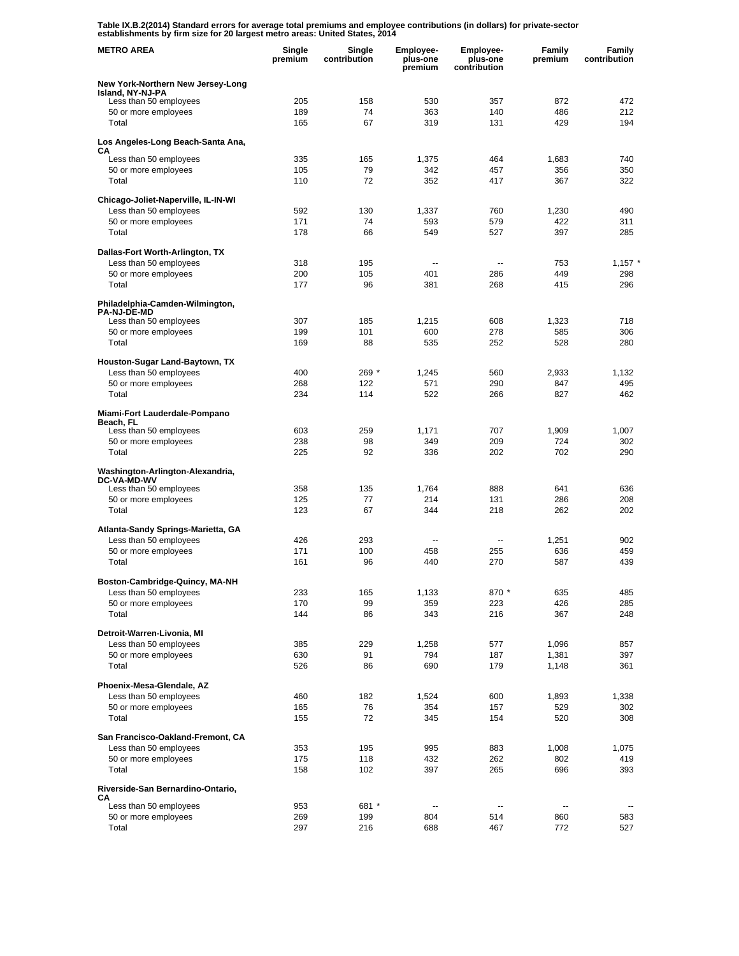**Table IX.B.2(2014) Standard errors for average total premiums and employee contributions (in dollars) for private-sector establishments by firm size for 20 largest metro areas: United States, 2014** 

| <b>METRO AREA</b>                                            | Single<br>premium | Single<br>contribution | Employee-<br>plus-one<br>premium | Employee-<br>plus-one<br>contribution | <b>Family</b><br>premium | <b>Family</b><br>contribution |
|--------------------------------------------------------------|-------------------|------------------------|----------------------------------|---------------------------------------|--------------------------|-------------------------------|
| New York-Northern New Jersey-Long                            |                   |                        |                                  |                                       |                          |                               |
| Island, NY-NJ-PA<br>Less than 50 employees                   | 205               | 158                    | 530                              | 357                                   | 872                      | 472                           |
| 50 or more employees                                         | 189               | 74                     | 363                              | 140                                   | 486                      | 212                           |
| Total                                                        | 165               | 67                     | 319                              | 131                                   | 429                      | 194                           |
| Los Angeles-Long Beach-Santa Ana,                            |                   |                        |                                  |                                       |                          |                               |
| CА<br>Less than 50 employees                                 | 335               | 165                    | 1,375                            | 464                                   | 1,683                    | 740                           |
| 50 or more employees                                         | 105               | 79                     | 342                              | 457                                   | 356                      | 350                           |
| Total                                                        | 110               | 72                     | 352                              | 417                                   | 367                      | 322                           |
| Chicago-Joliet-Naperville, IL-IN-WI                          |                   |                        |                                  |                                       |                          |                               |
| Less than 50 employees                                       | 592               | 130                    | 1,337                            | 760                                   | 1,230                    | 490                           |
| 50 or more employees                                         | 171               | 74                     | 593                              | 579                                   | 422                      | 311                           |
| Total                                                        | 178               | 66                     | 549                              | 527                                   | 397                      | 285                           |
| Dallas-Fort Worth-Arlington, TX                              |                   |                        |                                  |                                       |                          |                               |
| Less than 50 employees                                       | 318<br>200        | 195<br>105             | --<br>401                        | ۰.<br>286                             | 753<br>449               | $1,157$ $*$<br>298            |
| 50 or more employees<br>Total                                | 177               | 96                     | 381                              | 268                                   | 415                      | 296                           |
|                                                              |                   |                        |                                  |                                       |                          |                               |
| Philadelphia-Camden-Wilmington,<br><b>PA-NJ-DE-MD</b>        |                   |                        |                                  |                                       |                          |                               |
| Less than 50 employees                                       | 307               | 185                    | 1,215                            | 608                                   | 1,323                    | 718                           |
| 50 or more employees                                         | 199               | 101                    | 600                              | 278                                   | 585                      | 306                           |
| Total                                                        | 169               | 88                     | 535                              | 252                                   | 528                      | 280                           |
| Houston-Sugar Land-Baytown, TX                               |                   |                        |                                  |                                       |                          |                               |
| Less than 50 employees<br>50 or more employees               | 400<br>268        | 269 *<br>122           | 1,245<br>571                     | 560<br>290                            | 2,933<br>847             | 1,132<br>495                  |
| Total                                                        | 234               | 114                    | 522                              | 266                                   | 827                      | 462                           |
|                                                              |                   |                        |                                  |                                       |                          |                               |
| Miami-Fort Lauderdale-Pompano<br>Beach, FL                   |                   |                        |                                  |                                       |                          |                               |
| Less than 50 employees                                       | 603               | 259                    | 1,171                            | 707                                   | 1,909                    | 1,007                         |
| 50 or more employees<br>Total                                | 238<br>225        | 98<br>92               | 349<br>336                       | 209<br>202                            | 724<br>702               | 302<br>290                    |
|                                                              |                   |                        |                                  |                                       |                          |                               |
| Washington-Arlington-Alexandria,<br><b>DC-VA-MD-WV</b>       |                   |                        |                                  |                                       |                          |                               |
| Less than 50 employees                                       | 358               | 135                    | 1,764                            | 888                                   | 641                      | 636                           |
| 50 or more employees<br>Total                                | 125<br>123        | 77<br>67               | 214<br>344                       | 131<br>218                            | 286<br>262               | 208<br>202                    |
|                                                              |                   |                        |                                  |                                       |                          |                               |
| Atlanta-Sandy Springs-Marietta, GA<br>Less than 50 employees | 426               | 293                    | $\overline{a}$                   | --                                    | 1,251                    | 902                           |
| 50 or more employees                                         | 171               | 100                    | 458                              | 255                                   | 636                      | 459                           |
| Total                                                        | 161               | 96                     | 440                              | 270                                   | 587                      | 439                           |
| Boston-Cambridge-Quincy, MA-NH                               |                   |                        |                                  |                                       |                          |                               |
| Less than 50 employees                                       | 233               | 165                    | 1,133                            | 870 *                                 | 635                      | 485                           |
| 50 or more employees                                         | 170               | 99                     | 359                              | 223                                   | 426                      | 285                           |
| Total                                                        | 144               | 86                     | 343                              | 216                                   | 367                      | 248                           |
| Detroit-Warren-Livonia, MI                                   |                   |                        |                                  |                                       |                          |                               |
| Less than 50 employees                                       | 385               | 229                    | 1,258                            | 577                                   | 1,096                    | 857                           |
| 50 or more employees<br>Total                                | 630<br>526        | 91<br>86               | 794<br>690                       | 187<br>179                            | 1,381<br>1,148           | 397<br>361                    |
|                                                              |                   |                        |                                  |                                       |                          |                               |
| Phoenix-Mesa-Glendale, AZ                                    |                   |                        |                                  |                                       |                          |                               |
| Less than 50 employees<br>50 or more employees               | 460<br>165        | 182<br>76              | 1,524<br>354                     | 600<br>157                            | 1,893<br>529             | 1,338<br>302                  |
| Total                                                        | 155               | 72                     | 345                              | 154                                   | 520                      | 308                           |
| San Francisco-Oakland-Fremont, CA                            |                   |                        |                                  |                                       |                          |                               |
| Less than 50 employees                                       | 353               | 195                    | 995                              | 883                                   | 1,008                    | 1,075                         |
| 50 or more employees                                         | 175               | 118                    | 432                              | 262                                   | 802                      | 419                           |
| Total                                                        | 158               | 102                    | 397                              | 265                                   | 696                      | 393                           |
| Riverside-San Bernardino-Ontario,                            |                   |                        |                                  |                                       |                          |                               |
| CА<br>Less than 50 employees                                 | 953               | 681 *                  | --                               | --                                    | --                       |                               |
| 50 or more employees                                         | 269               | 199                    | 804                              | 514                                   | 860                      | 583                           |
| Total                                                        | 297               | 216                    | 688                              | 467                                   | 772                      | 527                           |